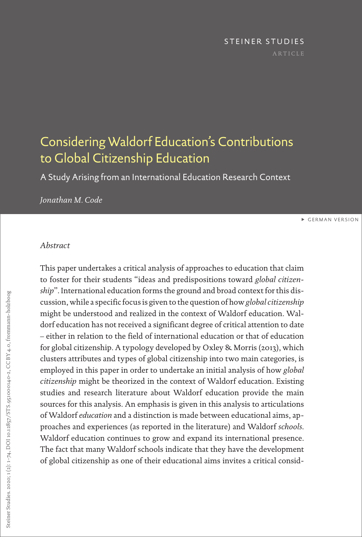# STEINER STUDIES

## <span id="page-0-0"></span>Considering Waldorf Education's Contributions to Global Citizenship Education

A Study Arising from an International Education Research Context

### *Jonathan M. Code*

[GERMAN VERSION](#page-34-0)

#### *Abstract*

This paper undertakes a critical analysis of approaches to education that claim to foster for their students "ideas and predispositions toward *global citizenship*". International education forms the ground and broad context for this discussion, while a specific focus is given to the question of how *global citizenship* might be understood and realized in the context of Waldorf education. Waldorf education has not received a significant degree of critical attention to date – either in relation to the field of international education or that of education for global citizenship. A typology developed by Oxley & Morris (2013), which clusters attributes and types of global citizenship into two main categories, is employed in this paper in order to undertake an initial analysis of how *global citizenship* might be theorized in the context of Waldorf education. Existing studies and research literature about Waldorf education provide the main sources for this analysis. An emphasis is given in this analysis to articulations of Waldorf *education* and a distinction is made between educational aims, approaches and experiences (as reported in the literature) and Waldorf *schools*. Waldorf education continues to grow and expand its international presence. The fact that many Waldorf schools indicate that they have the development of global citizenship as one of their educational aims invites a critical consid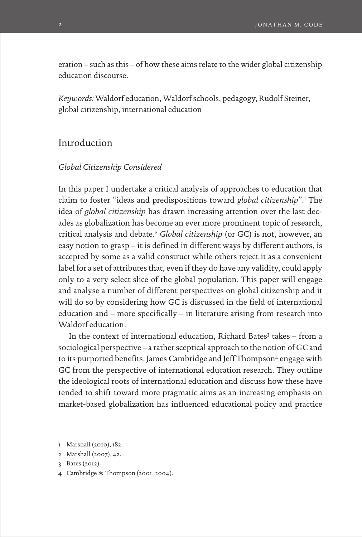eration – such as this – of how these aims relate to the wider global citizenship education discourse.

*Keywords:* Waldorf education, Waldorf schools, pedagogy, Rudolf Steiner, global citizenship, international education

## Introduction

#### *Global Citizenship Considered*

In this paper I undertake a critical analysis of approaches to education that claim to foster "ideas and predispositions toward *global citizenship*".1 The idea of *global citizenship* has drawn increasing attention over the last decades as globalization has become an ever more prominent topic of research, critical analysis and debate.2 *Global citizenship* (or GC) is not, however, an easy notion to grasp – it is defined in different ways by different authors, is accepted by some as a valid construct while others reject it as a convenient label for a set of attributes that, even if they do have any validity, could apply only to a very select slice of the global population. This paper will engage and analyse a number of different perspectives on global citizenship and it will do so by considering how GC is discussed in the field of international education and – more specifically – in literature arising from research into Waldorf education.

In the context of international education, Richard Bates<sup>3</sup> takes - from a sociological perspective – a rather sceptical approach to the notion of GC and to its purported benefits. James Cambridge and Jeff Thompson<sup>4</sup> engage with GC from the perspective of international education research. They outline the ideological roots of international education and discuss how these have tended to shift toward more pragmatic aims as an increasing emphasis on market-based globalization has influenced educational policy and practice

4 Cambridge & Thompson (2001, 2004).

<sup>1</sup> Marshall (2010), 182.

<sup>2</sup> Marshall (2007), 42.

<sup>3</sup> Bates (2012).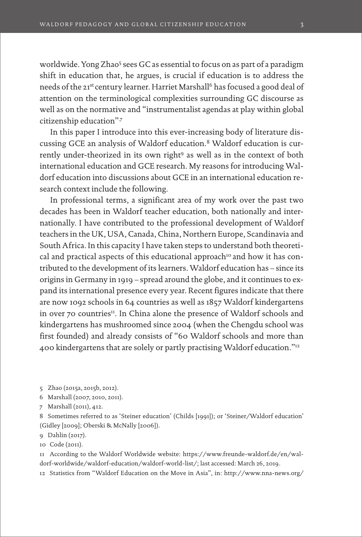worldwide. Yong Zhao<sup>5</sup> sees GC as essential to focus on as part of a paradigm shift in education that, he argues, is crucial if education is to address the needs of the 21<sup>st</sup> century learner. Harriet Marshall<sup>6</sup> has focused a good deal of attention on the terminological complexities surrounding GC discourse as well as on the normative and "instrumentalist agendas at play within global citizenship education"?

In this paper I introduce into this ever-increasing body of literature discussing GCE an analysis of Waldorf education.8 Waldorf education is currently under-theorized in its own right<sup>9</sup> as well as in the context of both international education and GCE research. My reasons for introducing Waldorf education into discussions about GCE in an international education research context include the following.

In professional terms, a significant area of my work over the past two decades has been in Waldorf teacher education, both nationally and internationally. I have contributed to the professional development of Waldorf teachers in the UK, USA, Canada, China, Northern Europe, Scandinavia and South Africa. In this capacity I have taken steps to understand both theoretical and practical aspects of this educational approach<sup>10</sup> and how it has contributed to the development of its learners. Waldorf education has – since its origins in Germany in 1919 – spread around the globe, and it continues to expand its international presence every year. Recent figures indicate that there are now 1092 schools in 64 countries as well as 1857 Waldorf kindergartens in over 70 countries<sup>11</sup>. In China alone the presence of Waldorf schools and kindergartens has mushroomed since 2004 (when the Chengdu school was first founded) and already consists of "60 Waldorf schools and more than 400 kindergartens that are solely or partly practising Waldorf education."12

5 Zhao (2015a, 2015b, 2012).

6 Marshall (2007, 2010, 2011).

7 Marshall (2011), 412.

8 Sometimes referred to as 'Steiner education' (Childs [1991]); or 'Steiner/Waldorf education' (Gidley [2009]; Oberski & McNally [2006]).

9 Dahlin (2017).

10 Code (2011).

11 According to the Waldorf Worldwide website: [https://www.freunde-waldorf.de/en/wal](https://www.freunde-waldorf.de/en/waldorf-worldwide/waldorf-education/waldorf-world-list/)[dorf-worldwide/waldorf-education/waldorf-world-list/](https://www.freunde-waldorf.de/en/waldorf-worldwide/waldorf-education/waldorf-world-list/); last accessed: March 26, 2019.

12 Statistics from "Waldorf Education on the Move in Asia", in: [http://www.nna-news.org/](http://www.nna-news.org/news/article/?tx_ttnews%5Btt_news%5D=2639&cHash=eea66f65927ce80850dcaf44c9fd69f8)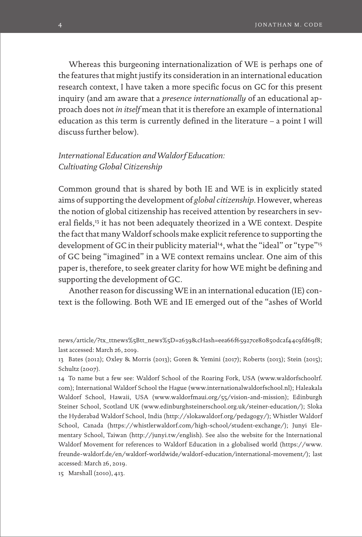Whereas this burgeoning internationalization of WE is perhaps one of the features that might justify its consideration in an international education research context, I have taken a more specific focus on GC for this present inquiry (and am aware that a *presence internationally* of an educational approach does not *in itself* mean that it is therefore an example of international education as this term is currently defined in the literature – a point I will discuss further below).

## *International Education and Waldorf Education: Cultivating Global Citizenship*

Common ground that is shared by both IE and WE is in explicitly stated aims of supporting the development of *global citizenship*. However, whereas the notion of global citizenship has received attention by researchers in several fields,<sup>13</sup> it has not been adequately theorized in a WE context. Despite the fact that many Waldorf schools make explicit reference to supporting the development of GC in their publicity material<sup>14</sup>, what the "ideal" or "type"<sup>15</sup> of GC being "imagined" in a WE context remains unclear. One aim of this paper is, therefore, to seek greater clarity for how WE might be defining and supporting the development of GC.

Another reason for discussing WE in an international education (IE) context is the following. Both WE and IE emerged out of the "ashes of World

[news/article/?tx\\_ttnews%5Btt\\_news%5D=2639&cHash=eea66f65927ce80850dcaf44c9fd69f8;](http://www.nna-news.org/news/article/?tx_ttnews%5Btt_news%5D=2639&cHash=eea66f65927ce80850dcaf44c9fd69f8) last accessed: March 26, 2019.

13 Bates (2012); Oxley & Morris (2013); Goren & Yemini (2017); Roberts (2013); Stein (2015); Schultz (2007).

14 To name but a few see: Waldorf School of the Roaring Fork, USA [\(www.waldorfschoolrf.](http://www.waldorfschoolrf.com) [com](http://www.waldorfschoolrf.com)); International Waldorf School the Hague [\(www.internationalwaldorfschool.nl](http://www.internationalwaldorfschool.nl)); Haleakala Waldorf School, Hawaii, USA [\(www.waldorfmaui.org/55/vision-and-mission\)](http://www.waldorfmaui.org/55/vision-and-mission); Edinburgh Steiner School, Scotland UK [\(www.edinburghsteinerschool.org.uk/steiner-education/](http://www.edinburghsteinerschool.org.uk/steiner-education/)); Sloka the Hyderabad Waldorf School, India (<http://slokawaldorf.org/pedagogy/>); Whistler Waldorf School, Canada [\(https://whistlerwaldorf.com/high-school/student-exchange/](https://whistlerwaldorf.com/high-school/student-exchange/)); Junyi Elementary School, Taiwan (<http://junyi.tw/english>). See also the website for the International Waldorf Movement for references to Waldorf Education in a globalised world [\(https://www.](https://www.freunde-waldorf.de/en/waldorf-worldwide/waldorf-education/international-movement/) [freunde-waldorf.de/en/waldorf-worldwide/waldorf-education/international-movement/\)](https://www.freunde-waldorf.de/en/waldorf-worldwide/waldorf-education/international-movement/); last accessed: March 26, 2019.

15 Marshall (2010), 413.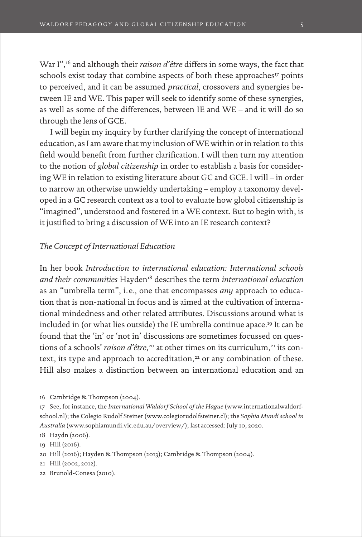War I",16 and although their *raison d'être* differs in some ways, the fact that schools exist today that combine aspects of both these approaches<sup>17</sup> points to perceived, and it can be assumed *practical*, crossovers and synergies between IE and WE. This paper will seek to identify some of these synergies, as well as some of the differences, between IE and WE – and it will do so through the lens of GCE.

I will begin my inquiry by further clarifying the concept of international education, as I am aware that my inclusion of WE within or in relation to this field would benefit from further clarification. I will then turn my attention to the notion of *global citizenship* in order to establish a basis for considering WE in relation to existing literature about GC and GCE. I will – in order to narrow an otherwise unwieldy undertaking – employ a taxonomy developed in a GC research context as a tool to evaluate how global citizenship is "imagined", understood and fostered in a WE context. But to begin with, is it justified to bring a discussion of WE into an IE research context?

#### *The Concept of International Education*

In her book *Introduction to international education: International schools and their communities* Hayden18 describes the term *international education*  as an "umbrella term", i. e., one that encompasses *any* approach to education that is non-national in focus and is aimed at the cultivation of international mindedness and other related attributes. Discussions around what is included in (or what lies outside) the IE umbrella continue apace.19 It can be found that the 'in' or 'not in' discussions are sometimes focussed on questions of a schools' *raison d'être*,<sup>20</sup> at other times on its curriculum,<sup>21</sup> its context, its type and approach to accreditation, $22$  or any combination of these. Hill also makes a distinction between an international education and an

22 Brunold-Conesa (2010).

<sup>16</sup> Cambridge & Thompson (2004).

<sup>17</sup> See, for instance, the *International Waldorf School of the Hague* ([www.internationalwaldorf](http://www.internationalwaldorfschool.nl)[school.nl\)](http://www.internationalwaldorfschool.nl); the Colegio Rudolf Steiner [\(www.colegiorudolfsteiner.cl](http://www.colegiorudolfsteiner.cl)); the *Sophia Mundi school in Australia* [\(www.sophiamundi.vic.edu.au/overview/](http://www.sophiamundi.vic.edu.au/overview/)); last accessed: July 10, 2020.

<sup>18</sup> Haydn (2006).

<sup>19</sup> Hill (2016).

<sup>20</sup> Hill (2016); Hayden & Thompson (2013); Cambridge & Thompson (2004).

<sup>21</sup> Hill (2002, 2012).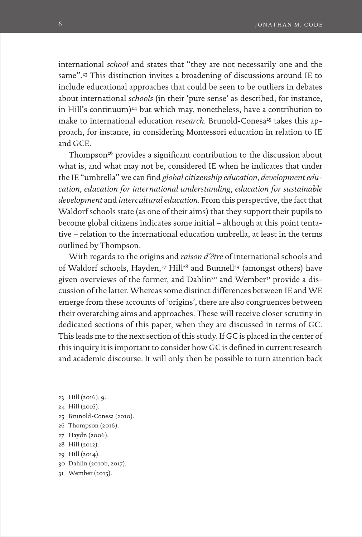international *school* and states that "they are not necessarily one and the same".<sup>23</sup> This distinction invites a broadening of discussions around IE to include educational approaches that could be seen to be outliers in debates about international *schools* (in their 'pure sense' as described, for instance, in Hill's continuum)<sup>24</sup> but which may, nonetheless, have a contribution to make to international education *research*. Brunold-Conesa<sup>25</sup> takes this approach, for instance, in considering Montessori education in relation to IE and GCE.

Thompson<sup>26</sup> provides a significant contribution to the discussion about what is, and what may not be, considered IE when he indicates that under the IE "umbrella" we can find *global citizenship education*, *development education*, *education for international understanding*, *education for sustainable development* and *intercultural education*. From this perspective, the fact that Waldorf schools state (as one of their aims) that they support their pupils to become global citizens indicates some initial – although at this point tentative – relation to the international education umbrella, at least in the terms outlined by Thompson.

With regards to the origins and *raison d'être* of international schools and of Waldorf schools, Hayden,<sup>27</sup> Hill<sup>28</sup> and Bunnell<sup>29</sup> (amongst others) have given overviews of the former, and Dahlin<sup>30</sup> and Wember<sup>31</sup> provide a discussion of the latter. Whereas some distinct differences between IE and WE emerge from these accounts of 'origins', there are also congruences between their overarching aims and approaches. These will receive closer scrutiny in dedicated sections of this paper, when they are discussed in terms of GC. This leads me to the next section of this study. If GC is placed in the center of this inquiry it is important to consider how GC is defined in current research and academic discourse. It will only then be possible to turn attention back

- 23 Hill (2016), 9.
- 24 Hill (2016).
- 25 Brunold-Conesa (2010).
- 26 Thompson (2016).
- 27 Haydn (2006).
- 28 Hill (2012).
- 29 Hill (2014).
- 30 Dahlin (2010b, 2017).
- 31 Wember (2015).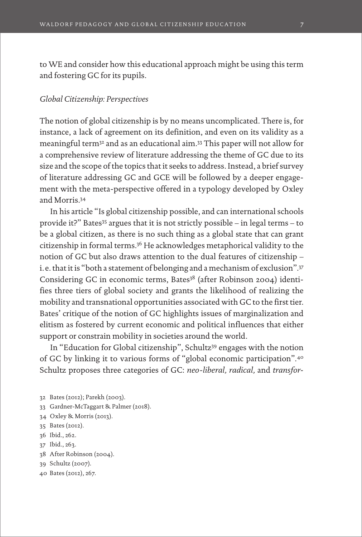to WE and consider how this educational approach might be using this term and fostering GC for its pupils.

#### *Global Citizenship: Perspectives*

The notion of global citizenship is by no means uncomplicated. There is, for instance, a lack of agreement on its definition, and even on its validity as a meaningful term32 and as an educational aim.33 This paper will not allow for a comprehensive review of literature addressing the theme of GC due to its size and the scope of the topics that it seeks to address. Instead, a brief survey of literature addressing GC and GCE will be followed by a deeper engagement with the meta-perspective offered in a typology developed by Oxley and Morris.34

In his article "Is global citizenship possible, and can international schools provide it?" Bates35 argues that it is not strictly possible – in legal terms – to be a global citizen, as there is no such thing as a global state that can grant citizenship in formal terms.36 He acknowledges metaphorical validity to the notion of GC but also draws attention to the dual features of citizenship – i. e. that it is "both a statement of belonging and a mechanism of exclusion".37 Considering GC in economic terms, Bates<sup>38</sup> (after Robinson 2004) identifies three tiers of global society and grants the likelihood of realizing the mobility and transnational opportunities associated with GC to the first tier. Bates' critique of the notion of GC highlights issues of marginalization and elitism as fostered by current economic and political influences that either support or constrain mobility in societies around the world.

In "Education for Global citizenship", Schultz39 engages with the notion of GC by linking it to various forms of "global economic participation".40 Schultz proposes three categories of GC: *neo-liberal, radical,* and *transfor-*

- 32 Bates (2012); Parekh (2003).
- 33 Gardner-McTaggart & Palmer (2018).
- 34 Oxley & Morris (2013).
- 35 Bates (2012).
- 36 Ibid., 262.
- 37 Ibid., 263.
- 38 After Robinson (2004).
- 39 Schultz (2007).
- 40 Bates (2012), 267.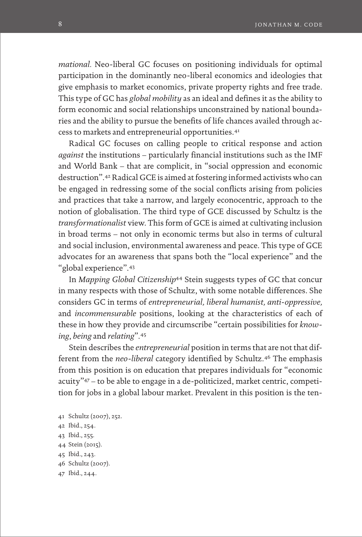*mational.* Neo-liberal GC focuses on positioning individuals for optimal participation in the dominantly neo-liberal economics and ideologies that give emphasis to market economics, private property rights and free trade. This type of GC has *global mobility* as an ideal and defines it as the ability to form economic and social relationships unconstrained by national boundaries and the ability to pursue the benefits of life chances availed through access to markets and entrepreneurial opportunities.41

Radical GC focuses on calling people to critical response and action *against* the institutions – particularly financial institutions such as the IMF and World Bank – that are complicit, in "social oppression and economic destruction".42 Radical GCE is aimed at fostering informed activists who can be engaged in redressing some of the social conflicts arising from policies and practices that take a narrow, and largely econocentric, approach to the notion of globalisation. The third type of GCE discussed by Schultz is the *transformationalist* view. This form of GCE is aimed at cultivating inclusion in broad terms – not only in economic terms but also in terms of cultural and social inclusion, environmental awareness and peace. This type of GCE advocates for an awareness that spans both the "local experience" and the "global experience".43

In *Mapping Global Citizenship*<sup>44</sup> Stein suggests types of GC that concur in many respects with those of Schultz, with some notable differences. She considers GC in terms of *entrepreneurial, liberal humanist, anti-oppressive,*  and *incommensurable* positions, looking at the characteristics of each of these in how they provide and circumscribe "certain possibilities for *knowing*, *being* and *relating*".45

Stein describes the *entrepreneurial* position in terms that are not that different from the *neo-liberal* category identified by Schultz.<sup>46</sup> The emphasis from this position is on education that prepares individuals for "economic acuity"47 – to be able to engage in a de-politicized, market centric, competition for jobs in a global labour market. Prevalent in this position is the ten-

- 41 Schultz (2007), 252.
- 42 Ibid., 254.
- 43 Ibid., 255.
- 44 Stein (2015).
- 45 Ibid., 243.
- 46 Schultz (2007).
- 47 Ibid., 244.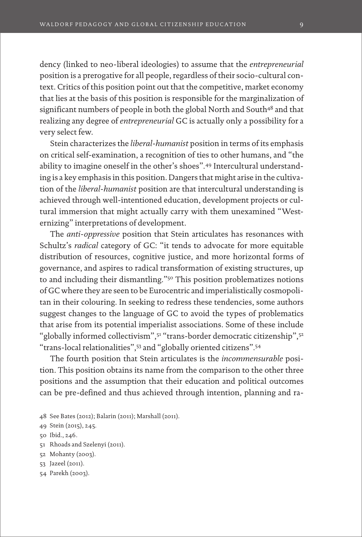dency (linked to neo-liberal ideologies) to assume that the *entrepreneurial*  position is a prerogative for all people, regardless of their socio-cultural context. Critics of this position point out that the competitive, market economy that lies at the basis of this position is responsible for the marginalization of significant numbers of people in both the global North and South<sup>48</sup> and that realizing any degree of *entrepreneurial* GC is actually only a possibility for a very select few.

Stein characterizes the *liberal-humanist* position in terms of its emphasis on critical self-examination, a recognition of ties to other humans, and "the ability to imagine oneself in the other's shoes".49 Intercultural understanding is a key emphasis in this position. Dangers that might arise in the cultivation of the *liberal-humanist* position are that intercultural understanding is achieved through well-intentioned education, development projects or cultural immersion that might actually carry with them unexamined "Westernizing" interpretations of development.

The *anti-oppressive* position that Stein articulates has resonances with Schultz's *radical* category of GC: "it tends to advocate for more equitable distribution of resources, cognitive justice, and more horizontal forms of governance, and aspires to radical transformation of existing structures, up to and including their dismantling."50 This position problematizes notions of GC where they are seen to be Eurocentric and imperialistically cosmopolitan in their colouring. In seeking to redress these tendencies, some authors suggest changes to the language of GC to avoid the types of problematics that arise from its potential imperialist associations. Some of these include "globally informed collectivism", 51 "trans-border democratic citizenship", 52 "trans-local relationalities",53 and "globally oriented citizens".54

The fourth position that Stein articulates is the *incommensurable* position. This position obtains its name from the comparison to the other three positions and the assumption that their education and political outcomes can be pre-defined and thus achieved through intention, planning and ra-

- 48 See Bates (2012); Balarin (2011); Marshall (2011).
- 49 Stein (2015), 245.

```
50 Ibid., 246.
```
- 51 Rhoads and Szelenyi (2011).
- 52 Mohanty (2003).
- 53 Jazeel (2011).
- 54 Parekh (2003).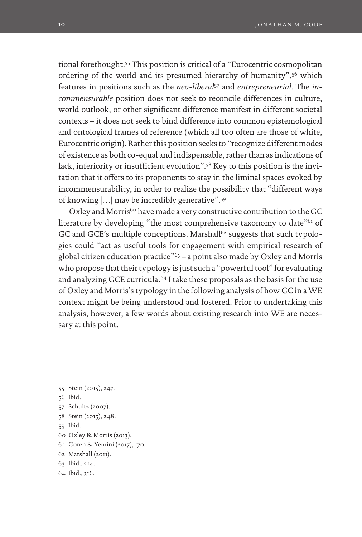tional forethought.55 This position is critical of a "Eurocentric cosmopolitan ordering of the world and its presumed hierarchy of humanity",<sup>56</sup> which features in positions such as the *neo-liberal*<sup>57</sup> and *entrepreneurial*. The *incommensurable* position does not seek to reconcile differences in culture, world outlook, or other significant difference manifest in different societal contexts – it does not seek to bind difference into common epistemological and ontological frames of reference (which all too often are those of white, Eurocentric origin). Rather this position seeks to "recognize different modes of existence as both co-equal and indispensable, rather than as indications of lack, inferiority or insufficient evolution".58 Key to this position is the invitation that it offers to its proponents to stay in the liminal spaces evoked by incommensurability, in order to realize the possibility that "different ways of knowing […] may be incredibly generative".59

Oxley and Morris<sup>60</sup> have made a very constructive contribution to the GC literature by developing "the most comprehensive taxonomy to date"<sup>61</sup> of GC and GCE's multiple conceptions. Marshall<sup>62</sup> suggests that such typologies could "act as useful tools for engagement with empirical research of global citizen education practice"63 – a point also made by Oxley and Morris who propose that their typology is just such a "powerful tool" for evaluating and analyzing GCE curricula.<sup>64</sup> I take these proposals as the basis for the use of Oxley and Morris's typology in the following analysis of how GC in a WE context might be being understood and fostered. Prior to undertaking this analysis, however, a few words about existing research into WE are necessary at this point.

- 55 Stein (2015), 247. 56 Ibid. 57 Schultz (2007). 58 Stein (2015), 248. 59 Ibid. 60 Oxley & Morris (2013). 61 Goren & Yemini (2017), 170. 62 Marshall (2011). 63 Ibid., 214.
- 64 Ibid., 316.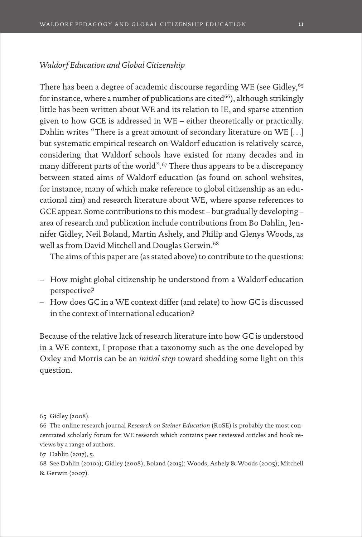## *Waldorf Education and Global Citizenship*

There has been a degree of academic discourse regarding WE (see Gidley,<sup>65</sup>) for instance, where a number of publications are cited<sup>66</sup>), although strikingly little has been written about WE and its relation to IE, and sparse attention given to how GCE is addressed in WE – either theoretically or practically. Dahlin writes "There is a great amount of secondary literature on WE […] but systematic empirical research on Waldorf education is relatively scarce, considering that Waldorf schools have existed for many decades and in many different parts of the world".<sup>67</sup> There thus appears to be a discrepancy between stated aims of Waldorf education (as found on school websites, for instance, many of which make reference to global citizenship as an educational aim) and research literature about WE, where sparse references to GCE appear. Some contributions to this modest – but gradually developing – area of research and publication include contributions from Bo Dahlin, Jennifer Gidley, Neil Boland, Martin Ashely, and Philip and Glenys Woods, as well as from David Mitchell and Douglas Gerwin.<sup>68</sup>

The aims of this paper are (as stated above) to contribute to the questions:

- How might global citizenship be understood from a Waldorf education perspective?
- How does GC in a WE context differ (and relate) to how GC is discussed in the context of international education?

Because of the relative lack of research literature into how GC is understood in a WE context, I propose that a taxonomy such as the one developed by Oxley and Morris can be an *initial step* toward shedding some light on this question.

67 Dahlin (2017), 5.

68 See Dahlin (2010a); Gidley (2008); Boland (2015); Woods, Ashely & Woods (2005); Mitchell & Gerwin (2007).

<sup>65</sup> Gidley (2008).

<sup>66</sup> The online research journal *Research on Steiner Education* (RoSE) is probably the most concentrated scholarly forum for WE research which contains peer reviewed articles and book reviews by a range of authors.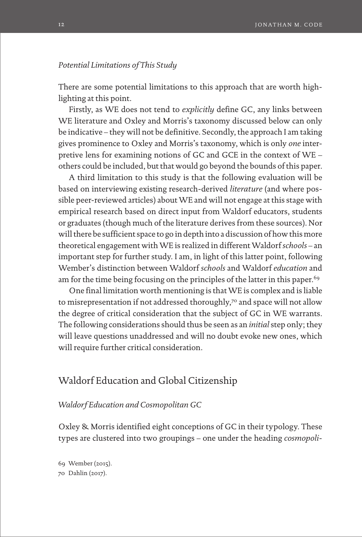#### *Potential Limitations of This Study*

There are some potential limitations to this approach that are worth highlighting at this point.

Firstly, as WE does not tend to *explicitly* define GC, any links between WE literature and Oxley and Morris's taxonomy discussed below can only be indicative – they will not be definitive. Secondly, the approach I am taking gives prominence to Oxley and Morris's taxonomy, which is only *one* interpretive lens for examining notions of GC and GCE in the context of WE – others could be included, but that would go beyond the bounds of this paper.

A third limitation to this study is that the following evaluation will be based on interviewing existing research-derived *literature* (and where possible peer-reviewed articles) about WE and will not engage at this stage with empirical research based on direct input from Waldorf educators, students or graduates (though much of the literature derives from these sources). Nor will there be sufficient space to go in depth into a discussion of how this more theoretical engagement with WE is realized in different Waldorf *schools* – an important step for further study. I am, in light of this latter point, following Wember's distinction between Waldorf *schools* and Waldorf *education* and am for the time being focusing on the principles of the latter in this paper.<sup>69</sup>

One final limitation worth mentioning is that WE is complex and is liable to misrepresentation if not addressed thoroughly,<sup>70</sup> and space will not allow the degree of critical consideration that the subject of GC in WE warrants. The following considerations should thus be seen as an *initial* step only; they will leave questions unaddressed and will no doubt evoke new ones, which will require further critical consideration.

## Waldorf Education and Global Citizenship

#### *Waldorf Education and Cosmopolitan GC*

Oxley & Morris identified eight conceptions of GC in their typology. These types are clustered into two groupings – one under the heading *cosmopoli-*

69 Wember (2015). 70 Dahlin (2017).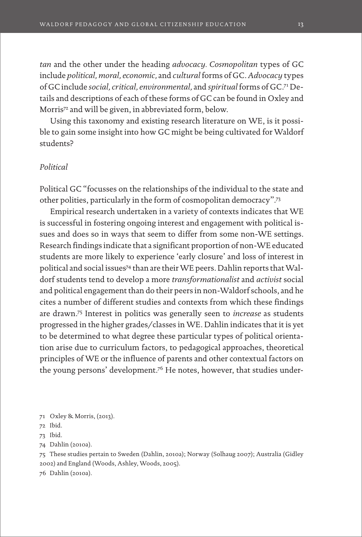*tan* and the other under the heading *advocacy. Cosmopolitan* types of GC include *political, moral, economic,* and *cultural* forms of GC. *Advocacy* types of GC include *social, critical, environmental,* and *spiritual* forms of GC.71 Details and descriptions of each of these forms of GC can be found in Oxley and Morris<sup>72</sup> and will be given, in abbreviated form, below.

Using this taxonomy and existing research literature on WE, is it possible to gain some insight into how GC might be being cultivated for Waldorf students?

#### *Political*

Political GC "focusses on the relationships of the individual to the state and other polities, particularly in the form of cosmopolitan democracy".73

Empirical research undertaken in a variety of contexts indicates that WE is successful in fostering ongoing interest and engagement with political issues and does so in ways that seem to differ from some non-WE settings. Research findings indicate that a significant proportion of non-WE educated students are more likely to experience 'early closure' and loss of interest in political and social issues74 than are their WE peers. Dahlin reports that Waldorf students tend to develop a more *transformationalist* and *activist* social and political engagement than do their peers in non-Waldorf schools, and he cites a number of different studies and contexts from which these findings are drawn.75 Interest in politics was generally seen to *increase* as students progressed in the higher grades/classes in WE. Dahlin indicates that it is yet to be determined to what degree these particular types of political orientation arise due to curriculum factors, to pedagogical approaches, theoretical principles of WE or the influence of parents and other contextual factors on the young persons' development.76 He notes, however, that studies under-

75 These studies pertain to Sweden (Dahlin, 2010a); Norway (Solhaug 2007); Australia (Gidley 2002) and England (Woods, Ashley, Woods, 2005).

76 Dahlin (2010a).

<sup>71</sup> Oxley & Morris, (2013).

<sup>72</sup> Ibid.

<sup>73</sup> Ibid.

<sup>74</sup> Dahlin (2010a).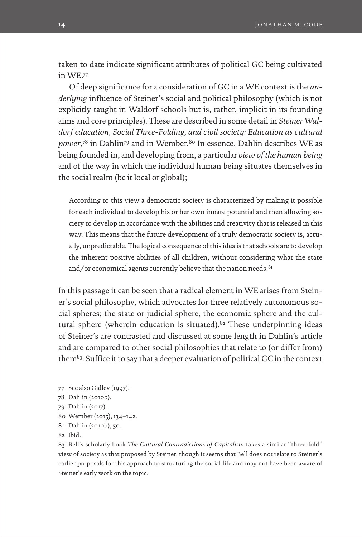taken to date indicate significant attributes of political GC being cultivated in WE.77

Of deep significance for a consideration of GC in a WE context is the *underlying* influence of Steiner's social and political philosophy (which is not explicitly taught in Waldorf schools but is, rather, implicit in its founding aims and core principles). These are described in some detail in *Steiner Waldorf education, Social Three-Folding, and civil society: Education as cultural*  power,<sup>78</sup> in Dahlin<sup>79</sup> and in Wember.<sup>80</sup> In essence, Dahlin describes WE as being founded in, and developing from, a particular *view of the human being* and of the way in which the individual human being situates themselves in the social realm (be it local or global);

According to this view a democratic society is characterized by making it possible for each individual to develop his or her own innate potential and then allowing society to develop in accordance with the abilities and creativity that is released in this way. This means that the future development of a truly democratic society is, actually, unpredictable. The logical consequence of this idea is that schools are to develop the inherent positive abilities of all children, without considering what the state and/or economical agents currently believe that the nation needs. <sup>81</sup>

In this passage it can be seen that a radical element in WE arises from Steiner's social philosophy, which advocates for three relatively autonomous social spheres; the state or judicial sphere, the economic sphere and the cultural sphere (wherein education is situated). $82$  These underpinning ideas of Steiner's are contrasted and discussed at some length in Dahlin's article and are compared to other social philosophies that relate to (or differ from) them83. Suffice it to say that a deeper evaluation of political GC in the context

- 77 See also Gidley (1997).
- 78 Dahlin (2010b).
- 79 Dahlin (2017).
- 80 Wember (2015), 134–142.
- 81 Dahlin (2010b), 50.
- 82 Ibid.

83 Bell's scholarly book *The Cultural Contradictions of Capitalism* takes a similar "three-fold" view of society as that proposed by Steiner, though it seems that Bell does not relate to Steiner's earlier proposals for this approach to structuring the social life and may not have been aware of Steiner's early work on the topic.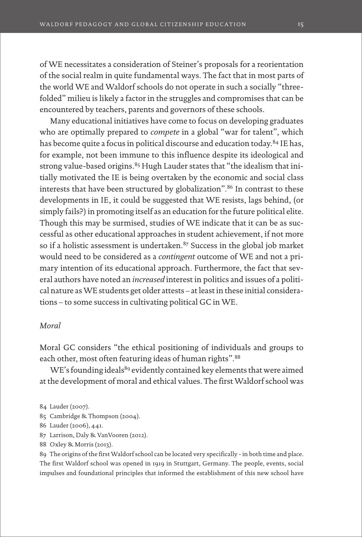of WE necessitates a consideration of Steiner's proposals for a reorientation of the social realm in quite fundamental ways. The fact that in most parts of the world WE and Waldorf schools do not operate in such a socially "threefolded" milieu is likely a factor in the struggles and compromises that can be encountered by teachers, parents and governors of these schools.

Many educational initiatives have come to focus on developing graduates who are optimally prepared to *compete* in a global "war for talent", which has become quite a focus in political discourse and education today.<sup>84</sup> IE has, for example, not been immune to this influence despite its ideological and strong value-based origins.<sup>85</sup> Hugh Lauder states that "the idealism that initially motivated the IE is being overtaken by the economic and social class interests that have been structured by globalization".<sup>86</sup> In contrast to these developments in IE, it could be suggested that WE resists, lags behind, (or simply fails?) in promoting itself as an education for the future political elite. Though this may be surmised, studies of WE indicate that it can be as successful as other educational approaches in student achievement, if not more so if a holistic assessment is undertaken.<sup>87</sup> Success in the global job market would need to be considered as a *contingent* outcome of WE and not a primary intention of its educational approach. Furthermore, the fact that several authors have noted an *increased* interest in politics and issues of a political nature as WE students get older attests – at least in these initial considerations – to some success in cultivating political GC in WE.

#### *Moral*

Moral GC considers "the ethical positioning of individuals and groups to each other, most often featuring ideas of human rights". 88

WE's founding ideals<sup>89</sup> evidently contained key elements that were aimed at the development of moral and ethical values. The first Waldorf school was

- 85 Cambridge & Thompson (2004).
- 86 Lauder (2006), 441.
- 87 Larrison, Daly & VanVooren (2012).
- 88 Oxley & Morris (2013).

89 The origins of the first Waldorf school can be located very specifically - in both time and place. The first Waldorf school was opened in 1919 in Stuttgart, Germany. The people, events, social impulses and foundational principles that informed the establishment of this new school have

<sup>84</sup> Lauder (2007).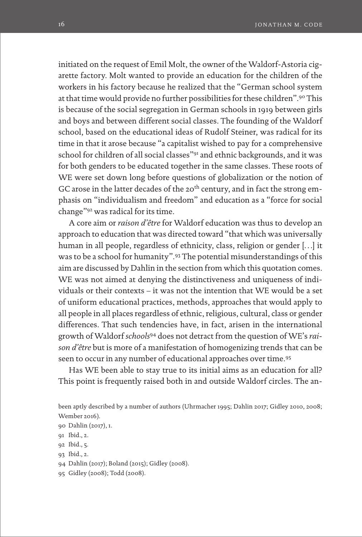initiated on the request of Emil Molt, the owner of the Waldorf-Astoria cigarette factory. Molt wanted to provide an education for the children of the workers in his factory because he realized that the "German school system at that time would provide no further possibilities for these children".90 This is because of the social segregation in German schools in 1919 between girls and boys and between different social classes. The founding of the Waldorf school, based on the educational ideas of Rudolf Steiner, was radical for its time in that it arose because "a capitalist wished to pay for a comprehensive school for children of all social classes"<sup>91</sup> and ethnic backgrounds, and it was for both genders to be educated together in the same classes. These roots of WE were set down long before questions of globalization or the notion of GC arose in the latter decades of the 20<sup>th</sup> century, and in fact the strong emphasis on "individualism and freedom" and education as a "force for social change"92 was radical for its time.

A core aim or *raison d'être* for Waldorf education was thus to develop an approach to education that was directed toward "that which was universally human in all people, regardless of ethnicity, class, religion or gender […] it was to be a school for humanity".93 The potential misunderstandings of this aim are discussed by Dahlin in the section from which this quotation comes. WE was not aimed at denying the distinctiveness and uniqueness of individuals or their contexts – it was not the intention that WE would be a set of uniform educational practices, methods, approaches that would apply to all people in all places regardless of ethnic, religious, cultural, class or gender differences. That such tendencies have, in fact, arisen in the international growth of Waldorf *schools*94 does not detract from the question of WE's *raison d'être* but is more of a manifestation of homogenizing trends that can be seen to occur in any number of educational approaches over time.95

Has WE been able to stay true to its initial aims as an education for all? This point is frequently raised both in and outside Waldorf circles. The an-

95 Gidley (2008); Todd (2008).

been aptly described by a number of authors (Uhrmacher 1995; Dahlin 2017; Gidley 2010, 2008; Wember 2016).

<sup>90</sup> Dahlin (2017), 1.

<sup>91</sup> Ibid., 2.

<sup>92</sup> Ibid., 5.

<sup>93</sup> Ibid., 2.

<sup>94</sup> Dahlin (2017); Boland (2015); Gidley (2008).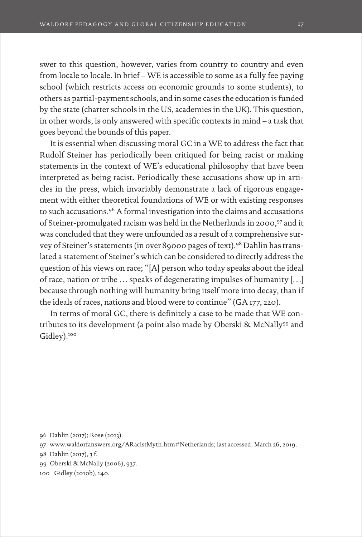swer to this question, however, varies from country to country and even from locale to locale. In brief – WE is accessible to some as a fully fee paying school (which restricts access on economic grounds to some students), to others as partial-payment schools, and in some cases the education is funded by the state (charter schools in the US, academies in the UK). This question, in other words, is only answered with specific contexts in mind – a task that goes beyond the bounds of this paper.

It is essential when discussing moral GC in a WE to address the fact that Rudolf Steiner has periodically been critiqued for being racist or making statements in the context of WE's educational philosophy that have been interpreted as being racist. Periodically these accusations show up in articles in the press, which invariably demonstrate a lack of rigorous engagement with either theoretical foundations of WE or with existing responses to such accusations.96 A formal investigation into the claims and accusations of Steiner-promulgated racism was held in the Netherlands in 2000,97 and it was concluded that they were unfounded as a result of a comprehensive survey of Steiner's statements (in over 89000 pages of text).98 Dahlin has translated a statement of Steiner's which can be considered to directly address the question of his views on race; "[A] person who today speaks about the ideal of race, nation or tribe … speaks of degenerating impulses of humanity […] because through nothing will humanity bring itself more into decay, than if the ideals of races, nations and blood were to continue" (GA 177, 220).

In terms of moral GC, there is definitely a case to be made that WE contributes to its development (a point also made by Oberski & McNally99 and Gidley).<sup>100</sup>

96 Dahlin (2017); Rose (2013).

- 97 www.waldorfanswers.org/ARacistMyth.htm#Netherlands; last accessed: March 26, 2019.
- 98 Dahlin (2017), 3 f.
- 99 Oberski & McNally (2006), 937.
- 100 Gidley (2010b), 140.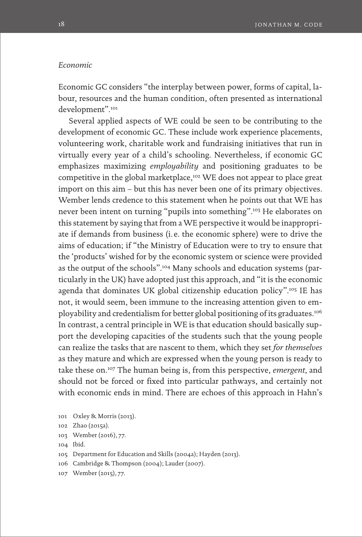#### *Economic*

Economic GC considers "the interplay between power, forms of capital, labour, resources and the human condition, often presented as international development".<sup>101</sup>

Several applied aspects of WE could be seen to be contributing to the development of economic GC. These include work experience placements, volunteering work, charitable work and fundraising initiatives that run in virtually every year of a child's schooling. Nevertheless, if economic GC emphasizes maximizing *employability* and positioning graduates to be competitive in the global marketplace,<sup>102</sup> WE does not appear to place great import on this aim – but this has never been one of its primary objectives. Wember lends credence to this statement when he points out that WE has never been intent on turning "pupils into something".103 He elaborates on this statement by saying that from a WE perspective it would be inappropriate if demands from business (i. e. the economic sphere) were to drive the aims of education; if "the Ministry of Education were to try to ensure that the 'products' wished for by the economic system or science were provided as the output of the schools".104 Many schools and education systems (particularly in the UK) have adopted just this approach, and "it is the economic agenda that dominates UK global citizenship education policy".105 IE has not, it would seem, been immune to the increasing attention given to employability and credentialism for better global positioning of its graduates.106 In contrast, a central principle in WE is that education should basically support the developing capacities of the students such that the young people can realize the tasks that are nascent to them, which they set *for themselves* as they mature and which are expressed when the young person is ready to take these on.107 The human being is, from this perspective, *emergent*, and should not be forced or fixed into particular pathways, and certainly not with economic ends in mind. There are echoes of this approach in Hahn's

- 102 Zhao (2015a).
- 103 Wember (2016), 77.
- 104 Ibid.
- 105 Department for Education and Skills (2004a); Hayden (2013).
- 106 Cambridge & Thompson (2004); Lauder (2007).
- 107 Wember (2015), 77.

<sup>101</sup> Oxley & Morris (2013).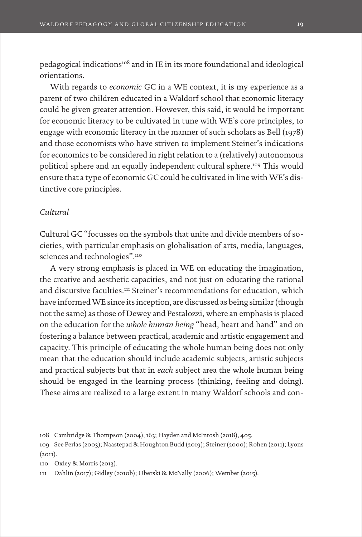pedagogical indications<sup>108</sup> and in IE in its more foundational and ideological orientations.

With regards to *economic* GC in a WE context, it is my experience as a parent of two children educated in a Waldorf school that economic literacy could be given greater attention. However, this said, it would be important for economic literacy to be cultivated in tune with WE's core principles, to engage with economic literacy in the manner of such scholars as Bell (1978) and those economists who have striven to implement Steiner's indications for economics to be considered in right relation to a (relatively) autonomous political sphere and an equally independent cultural sphere.<sup>109</sup> This would ensure that a type of economic GC could be cultivated in line with WE's distinctive core principles.

#### *Cultural*

Cultural GC "focusses on the symbols that unite and divide members of societies, with particular emphasis on globalisation of arts, media, languages, sciences and technologies".<sup>110</sup>

A very strong emphasis is placed in WE on educating the imagination, the creative and aesthetic capacities, and not just on educating the rational and discursive faculties.111 Steiner's recommendations for education, which have informed WE since its inception, are discussed as being similar (though not the same) as those of Dewey and Pestalozzi, where an emphasis is placed on the education for the *whole human being* "head, heart and hand" and on fostering a balance between practical, academic and artistic engagement and capacity. This principle of educating the whole human being does not only mean that the education should include academic subjects, artistic subjects and practical subjects but that in *each* subject area the whole human being should be engaged in the learning process (thinking, feeling and doing). These aims are realized to a large extent in many Waldorf schools and con-

110 Oxley & Morris (2013).

111 Dahlin (2017); Gidley (2010b); Oberski & McNally (2006); Wember (2015).

<sup>108</sup> Cambridge & Thompson (2004), 163; Hayden and McIntosh (2018), 405.

<sup>109</sup> See Perlas (2003); Naastepad & Houghton Budd (2019); Steiner (2000); Rohen (2011); Lyons  $(2011).$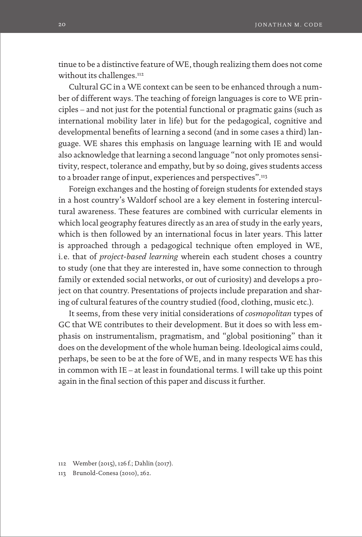tinue to be a distinctive feature of WE, though realizing them does not come without its challenges.<sup>112</sup>

Cultural GC in a WE context can be seen to be enhanced through a number of different ways. The teaching of foreign languages is core to WE principles – and not just for the potential functional or pragmatic gains (such as international mobility later in life) but for the pedagogical, cognitive and developmental benefits of learning a second (and in some cases a third) language. WE shares this emphasis on language learning with IE and would also acknowledge that learning a second language "not only promotes sensitivity, respect, tolerance and empathy, but by so doing, gives students access to a broader range of input, experiences and perspectives".<sup>113</sup>

Foreign exchanges and the hosting of foreign students for extended stays in a host country's Waldorf school are a key element in fostering intercultural awareness. These features are combined with curricular elements in which local geography features directly as an area of study in the early years, which is then followed by an international focus in later years. This latter is approached through a pedagogical technique often employed in WE, i.e. that of *project-based learning* wherein each student choses a country to study (one that they are interested in, have some connection to through family or extended social networks, or out of curiosity) and develops a project on that country. Presentations of projects include preparation and sharing of cultural features of the country studied (food, clothing, music etc.).

It seems, from these very initial considerations of *cosmopolitan* types of GC that WE contributes to their development. But it does so with less emphasis on instrumentalism, pragmatism, and "global positioning" than it does on the development of the whole human being. Ideological aims could, perhaps, be seen to be at the fore of WE, and in many respects WE has this in common with IE – at least in foundational terms. I will take up this point again in the final section of this paper and discuss it further.

- 112 Wember (2015), 126 f.; Dahlin (2017).
- 113 Brunold-Conesa (2010), 262.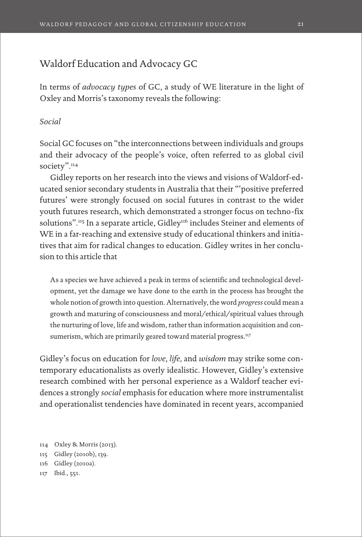## Waldorf Education and Advocacy GC

In terms of *advocacy types* of GC, a study of WE literature in the light of Oxley and Morris's taxonomy reveals the following:

#### *Social*

Social GC focuses on "the interconnections between individuals and groups and their advocacy of the people's voice, often referred to as global civil society".<sup>114</sup>

Gidley reports on her research into the views and visions of Waldorf-educated senior secondary students in Australia that their "'positive preferred futures' were strongly focused on social futures in contrast to the wider youth futures research, which demonstrated a stronger focus on techno-fix solutions".<sup>115</sup> In a separate article, Gidley<sup>116</sup> includes Steiner and elements of WE in a far-reaching and extensive study of educational thinkers and initiatives that aim for radical changes to education. Gidley writes in her conclusion to this article that

As a species we have achieved a peak in terms of scientific and technological development, yet the damage we have done to the earth in the process has brought the whole notion of growth into question. Alternatively, the word *progress* could mean a growth and maturing of consciousness and moral/ethical/spiritual values through the nurturing of love, life and wisdom, rather than information acquisition and consumerism, which are primarily geared toward material progress.<sup>117</sup>

Gidley's focus on education for *love*, *life,* and *wisdom* may strike some contemporary educationalists as overly idealistic. However, Gidley's extensive research combined with her personal experience as a Waldorf teacher evidences a strongly *social* emphasis for education where more instrumentalist and operationalist tendencies have dominated in recent years, accompanied

- 114 Oxley & Morris (2013). 115 Gidley (2010b), 139.
- 116 Gidley (2010a).
- 117 Ibid., 551.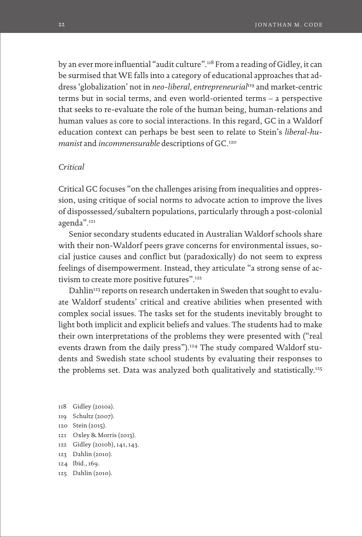by an ever more influential "audit culture".118 From a reading of Gidley, it can be surmised that WE falls into a category of educational approaches that address 'globalization' not in *neo-liberal, entrepreneurial*<sup>119</sup> and market-centric terms but in social terms, and even world-oriented terms – a perspective that seeks to re-evaluate the role of the human being, human-relations and human values as core to social interactions. In this regard, GC in a Waldorf education context can perhaps be best seen to relate to Stein's *liberal-humanist* and *incommensurable* descriptions of GC.120

#### *Critical*

Critical GC focuses "on the challenges arising from inequalities and oppression, using critique of social norms to advocate action to improve the lives of dispossessed/subaltern populations, particularly through a post-colonial agenda".121

Senior secondary students educated in Australian Waldorf schools share with their non-Waldorf peers grave concerns for environmental issues, social justice causes and conflict but (paradoxically) do not seem to express feelings of disempowerment. Instead, they articulate "a strong sense of activism to create more positive futures".<sup>122</sup>

Dahlin<sup>123</sup> reports on research undertaken in Sweden that sought to evaluate Waldorf students' critical and creative abilities when presented with complex social issues. The tasks set for the students inevitably brought to light both implicit and explicit beliefs and values. The students had to make their own interpretations of the problems they were presented with ("real events drawn from the daily press").<sup>124</sup> The study compared Waldorf students and Swedish state school students by evaluating their responses to the problems set. Data was analyzed both qualitatively and statistically.<sup>125</sup>

- 118 Gidley (2010a).
- 119 Schultz (2007).
- 120 Stein (2015).
- 121 Oxley & Morris (2013).
- 122 Gidley (2010b), 141, 143.
- 123 Dahlin (2010).
- 124 Ibid., 169.
- 125 Dahlin (2010).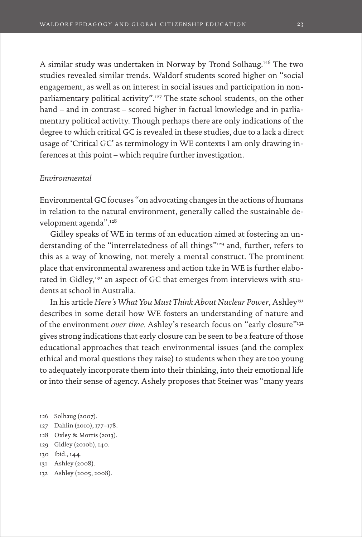A similar study was undertaken in Norway by Trond Solhaug.126 The two studies revealed similar trends. Waldorf students scored higher on "social engagement, as well as on interest in social issues and participation in nonparliamentary political activity".<sup>127</sup> The state school students, on the other hand – and in contrast – scored higher in factual knowledge and in parliamentary political activity. Though perhaps there are only indications of the degree to which critical GC is revealed in these studies, due to a lack a direct usage of 'Critical GC' as terminology in WE contexts I am only drawing inferences at this point – which require further investigation.

#### *Environmental*

Environmental GC focuses "on advocating changes in the actions of humans in relation to the natural environment, generally called the sustainable development agenda".128

Gidley speaks of WE in terms of an education aimed at fostering an understanding of the "interrelatedness of all things"129 and, further, refers to this as a way of knowing, not merely a mental construct. The prominent place that environmental awareness and action take in WE is further elaborated in Gidley,<sup>130</sup> an aspect of GC that emerges from interviews with students at school in Australia.

In his article *Here's What You Must Think About Nuclear Power*, Ashley<sup>131</sup> describes in some detail how WE fosters an understanding of nature and of the environment *over time*. Ashley's research focus on "early closure"<sup>132</sup> gives strong indications that early closure can be seen to be a feature of those educational approaches that teach environmental issues (and the complex ethical and moral questions they raise) to students when they are too young to adequately incorporate them into their thinking, into their emotional life or into their sense of agency. Ashely proposes that Steiner was "many years

- 127 Dahlin (2010), 177–178.
- 128 Oxley & Morris (2013).
- 129 Gidley (2010b), 140.
- 130 Ibid., 144.
- 131 Ashley (2008).
- 132 Ashley (2005, 2008).

<sup>126</sup> Solhaug (2007).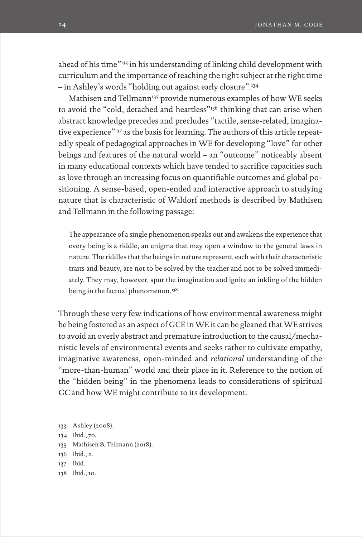ahead of his time"133 in his understanding of linking child development with curriculum and the importance of teaching the right subject at the right time – in Ashley's words "holding out against early closure".134

Mathisen and Tellmann<sup>135</sup> provide numerous examples of how WE seeks to avoid the "cold, detached and heartless"<sup>136</sup> thinking that can arise when abstract knowledge precedes and precludes "tactile, sense-related, imaginative experience"137 as the basis for learning. The authors of this article repeatedly speak of pedagogical approaches in WE for developing "love" for other beings and features of the natural world – an "outcome" noticeably absent in many educational contexts which have tended to sacrifice capacities such as love through an increasing focus on quantifiable outcomes and global positioning. A sense-based, open-ended and interactive approach to studying nature that is characteristic of Waldorf methods is described by Mathisen and Tellmann in the following passage:

The appearance of a single phenomenon speaks out and awakens the experience that every being is a riddle, an enigma that may open a window to the general laws in nature. The riddles that the beings in nature represent, each with their characteristic traits and beauty, are not to be solved by the teacher and not to be solved immediately. They may, however, spur the imagination and ignite an inkling of the hidden being in the factual phenomenon.<sup>138</sup>

Through these very few indications of how environmental awareness might be being fostered as an aspect of GCE in WE it can be gleaned that WE strives to avoid an overly abstract and premature introduction to the causal/mechanistic levels of environmental events and seeks rather to cultivate empathy, imaginative awareness, open-minded and *relational* understanding of the "more-than-human" world and their place in it. Reference to the notion of the "hidden being" in the phenomena leads to considerations of spiritual GC and how WE might contribute to its development.

- 133 Ashley (2008).
- 134 Ibid., 70.
- 135 Mathisen & Tellmann (2018).
- 136 Ibid., 2.
- 137 Ibid.
- 138 Ibid., 10.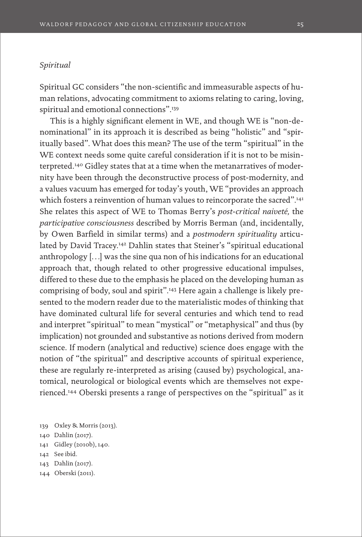#### *Spiritual*

Spiritual GC considers "the non-scientific and immeasurable aspects of human relations, advocating commitment to axioms relating to caring, loving, spiritual and emotional connections".<sup>139</sup>

This is a highly significant element in WE, and though WE is "non-denominational" in its approach it is described as being "holistic" and "spiritually based". What does this mean? The use of the term "spiritual" in the WE context needs some quite careful consideration if it is not to be misinterpreted.140 Gidley states that at a time when the metanarratives of modernity have been through the deconstructive process of post-modernity, and a values vacuum has emerged for today's youth, WE "provides an approach which fosters a reinvention of human values to reincorporate the sacred".<sup>141</sup> She relates this aspect of WE to Thomas Berry's *post-critical naiveté,* the *participative consciousness* described by Morris Berman (and, incidentally, by Owen Barfield in similar terms) and a *postmodern spirituality* articulated by David Tracey.<sup>142</sup> Dahlin states that Steiner's "spiritual educational anthropology […] was the sine qua non of his indications for an educational approach that, though related to other progressive educational impulses, differed to these due to the emphasis he placed on the developing human as comprising of body, soul and spirit".143 Here again a challenge is likely presented to the modern reader due to the materialistic modes of thinking that have dominated cultural life for several centuries and which tend to read and interpret "spiritual" to mean "mystical" or "metaphysical" and thus (by implication) not grounded and substantive as notions derived from modern science. If modern (analytical and reductive) science does engage with the notion of "the spiritual" and descriptive accounts of spiritual experience, these are regularly re-interpreted as arising (caused by) psychological, anatomical, neurological or biological events which are themselves not experienced.144 Oberski presents a range of perspectives on the "spiritual" as it

- 141 Gidley (2010b), 140.
- 142 See ibid.
- 143 Dahlin (2017).
- 144 Oberski (2011).

<sup>139</sup> Oxley & Morris (2013).

<sup>140</sup> Dahlin (2017).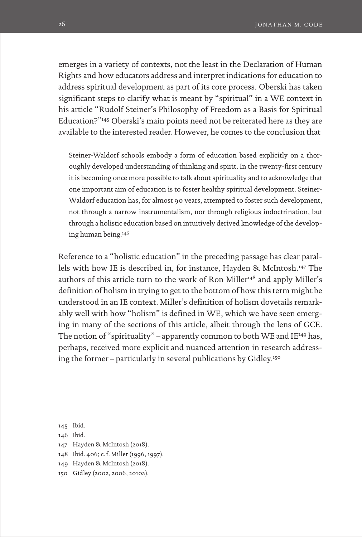emerges in a variety of contexts, not the least in the Declaration of Human Rights and how educators address and interpret indications for education to address spiritual development as part of its core process. Oberski has taken significant steps to clarify what is meant by "spiritual" in a WE context in his article "Rudolf Steiner's Philosophy of Freedom as a Basis for Spiritual Education?"145 Oberski's main points need not be reiterated here as they are available to the interested reader. However, he comes to the conclusion that

Steiner-Waldorf schools embody a form of education based explicitly on a thoroughly developed understanding of thinking and spirit. In the twenty-first century it is becoming once more possible to talk about spirituality and to acknowledge that one important aim of education is to foster healthy spiritual development. Steiner-Waldorf education has, for almost 90 years, attempted to foster such development, not through a narrow instrumentalism, nor through religious indoctrination, but through a holistic education based on intuitively derived knowledge of the developing human being.146

Reference to a "holistic education" in the preceding passage has clear parallels with how IE is described in, for instance, Hayden & McIntosh.147 The authors of this article turn to the work of Ron Miller<sup>148</sup> and apply Miller's definition of holism in trying to get to the bottom of how this term might be understood in an IE context. Miller's definition of holism dovetails remarkably well with how "holism" is defined in WE, which we have seen emerging in many of the sections of this article, albeit through the lens of GCE. The notion of "spirituality" – apparently common to both WE and IE<sup>149</sup> has, perhaps, received more explicit and nuanced attention in research addressing the former – particularly in several publications by Gidley.150

- 145 Ibid.
- 146 Ibid.
- 147 Hayden & McIntosh (2018).
- 148 Ibid. 406; c.f. Miller (1996, 1997).
- 149 Hayden & McIntosh (2018).
- 150 Gidley (2002, 2006, 2010a).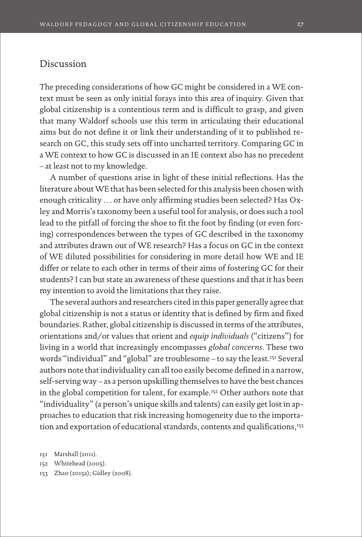## Discussion

The preceding considerations of how GC might be considered in a WE context must be seen as only initial forays into this area of inquiry. Given that global citizenship is a contentious term and is difficult to grasp, and given that many Waldorf schools use this term in articulating their educational aims but do not define it or link their understanding of it to published research on GC, this study sets off into uncharted territory. Comparing GC in a WE context to how GC is discussed in an IE context also has no precedent – at least not to my knowledge.

A number of questions arise in light of these initial reflections. Has the literature about WE that has been selected for this analysis been chosen with enough criticality … or have only affirming studies been selected? Has Oxley and Morris's taxonomy been a useful tool for analysis, or does such a tool lead to the pitfall of forcing the shoe to fit the foot by finding (or even forcing) correspondences between the types of GC described in the taxonomy and attributes drawn out of WE research? Has a focus on GC in the context of WE diluted possibilities for considering in more detail how WE and IE differ or relate to each other in terms of their aims of fostering GC for their students? I can but state an awareness of these questions and that it has been my intention to avoid the limitations that they raise.

The several authors and researchers cited in this paper generally agree that global citizenship is not a status or identity that is defined by firm and fixed boundaries. Rather, global citizenship is discussed in terms of the attributes, orientations and/or values that orient and *equip individuals* ("citizens") for living in a world that increasingly encompasses *global concerns*. These two words "individual" and "global" are troublesome – to say the least.151 Several authors note that individuality can all too easily become defined in a narrow, self-serving way – as a person upskilling themselves to have the best chances in the global competition for talent, for example.<sup>152</sup> Other authors note that "individuality" (a person's unique skills and talents) can easily get lost in approaches to education that risk increasing homogeneity due to the importation and exportation of educational standards, contents and qualifications,<sup>153</sup>

151 Marshall (2011).

152 Whitehead (2005).

153 Zhao (2015a); Gidley (2008).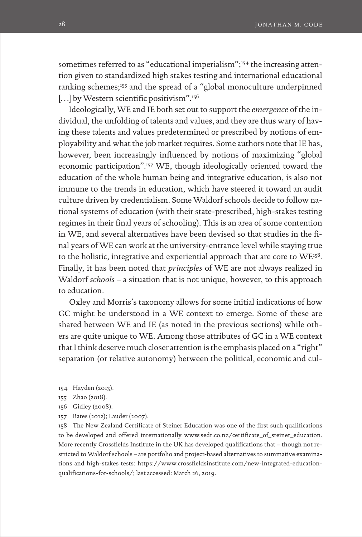sometimes referred to as "educational imperialism";<sup>154</sup> the increasing attention given to standardized high stakes testing and international educational ranking schemes;<sup>155</sup> and the spread of a "global monoculture underpinned [...] by Western scientific positivism".<sup>156</sup>

Ideologically, WE and IE both set out to support the *emergence* of the individual, the unfolding of talents and values, and they are thus wary of having these talents and values predetermined or prescribed by notions of employability and what the job market requires. Some authors note that IE has, however, been increasingly influenced by notions of maximizing "global economic participation".157 WE, though ideologically oriented toward the education of the whole human being and integrative education, is also not immune to the trends in education, which have steered it toward an audit culture driven by credentialism. Some Waldorf schools decide to follow national systems of education (with their state-prescribed, high-stakes testing regimes in their final years of schooling). This is an area of some contention in WE, and several alternatives have been devised so that studies in the final years of WE can work at the university-entrance level while staying true to the holistic, integrative and experiential approach that are core to WE158. Finally, it has been noted that *principles* of WE are not always realized in Waldorf *schools* – a situation that is not unique, however, to this approach to education.

Oxley and Morris's taxonomy allows for some initial indications of how GC might be understood in a WE context to emerge. Some of these are shared between WE and IE (as noted in the previous sections) while others are quite unique to WE. Among those attributes of GC in a WE context that I think deserve much closer attention is the emphasis placed on a "right" separation (or relative autonomy) between the political, economic and cul-

- 154 Hayden (2013).
- 155 Zhao (2018).
- 156 Gidley (2008).
- 157 Bates (2012); Lauder (2007).

158 The New Zealand Certificate of Steiner Education was one of the first such qualifications to be developed and offered internationally [www.sedt.co.nz/certificate\\_of\\_steiner\\_education](http://www.sedt.co.nz/certificate_of_steiner_education). More recently Crossfields Institute in the UK has developed qualifications that – though not restricted to Waldorf schools – are portfolio and project-based alternatives to summative examinations and high-stakes tests: [https://www.crossfieldsinstitute.com/new-integrated-education](https://www.crossfieldsinstitute.com/new-integrated-education-qualifications-for-schools/)[qualifications-for-schools/](https://www.crossfieldsinstitute.com/new-integrated-education-qualifications-for-schools/); last accessed: March 26, 2019.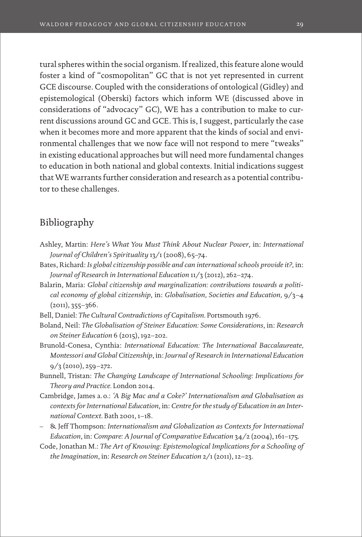tural spheres within the social organism. If realized, this feature alone would foster a kind of "cosmopolitan" GC that is not yet represented in current GCE discourse. Coupled with the considerations of ontological (Gidley) and epistemological (Oberski) factors which inform WE (discussed above in considerations of "advocacy" GC), WE has a contribution to make to current discussions around GC and GCE. This is, I suggest, particularly the case when it becomes more and more apparent that the kinds of social and environmental challenges that we now face will not respond to mere "tweaks" in existing educational approaches but will need more fundamental changes to education in both national and global contexts. Initial indications suggest that WE warrants further consideration and research as a potential contributor to these challenges.

## Bibliography

- Ashley, Martin: *Here's What You Must Think About Nuclear Power*, in: *International Journal of Children's Spirituality* 13/1 (2008), 65–74.
- Bates, Richard: *Is global citizenship possible and can international schools provide it?,* in: *Journal of Research in International Education* 11/3 (2012), 262–274.
- Balarin, Maria: *Global citizenship and marginalization: contributions towards a political economy of global citizenship*, in: *Globalisation, Societies and Education,* 9/3–4 (2011), 355–366.
- Bell, Daniel: *The Cultural Contradictions of Capitalism.* Portsmouth 1976.
- Boland, Neil: *The Globalisation of Steiner Education: Some Considerations*, in: *Research on Steiner Education* 6 (2015), 192–202.
- Brunold-Conesa, Cynthia: *International Education: The International Baccalaureate, Montessori and Global Citizenship*, in: *Journal of Research in International Education*  9/3 (2010), 259–272.
- Bunnell, Tristan: *The Changing Landscape of International Schooling: Implications for Theory and Practice.* London 2014.
- Cambridge, James a.o.: *'A Big Mac and a Coke?' Internationalism and Globalisation as contexts for International Education*, in: *Centre for the study of Education in an International Context*. Bath 2001, 1–18.
- & Jeff Thompson: *Internationalism and Globalization as Contexts for International Education*, in: *Compare: A Journal of Comparative Education* 34/2 (2004), 161–175.
- Code, Jonathan M.: *The Art of Knowing: Epistemological Implications for a Schooling of the Imagination*, in: *Research on Steiner Education* 2/1 (2011), 12–23.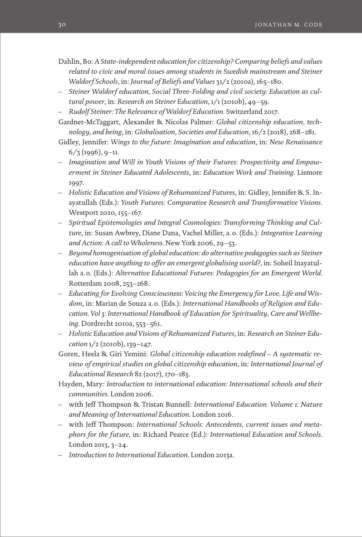- Dahlin, Bo: *A State-independent education for citizenship? Comparing beliefs and values related to civic and moral issues among students in Swedish mainstream and Steiner Waldorf Schools*, in: *Journal of Beliefs and Values* 31/2 (2010a), 165–180.
- *Steiner Waldorf education, Social Three-Folding and civil society: Education as cultural power*, in: *Research on Steiner Education*, 1/1 (2010b), 49–59.
- *Rudolf Steiner: The Relevance of Waldorf Education.* Switzerland 2017.
- Gardner-McTaggart, Alexander & Nicolas Palmer: *Global citizenship education, technology, and being*, in: *Globalisation, Societies and Education*, 16/2 (2018), 268–281.
- Gidley, Jennifer: *Wings to the future: Imagination and education*, in: *New Renaissance*  $6/3$  (1996), 9-11.
- *Imagination and Will in Youth Visions of their Futures: Prospectivity and Empowerment in Steiner Educated Adolescents*, in: *Education Work and Training*. Lismore 1997.
- *Holistic Education and Visions of Rehumanized Futures*, in: Gidley, Jennifer & S. Inayatullah (Eds.): *Youth Futures: Comparative Research and Transformative Visions.* Westport 2020, 155–167.
- *Spiritual Epistemologies and Integral Cosmologies: Transforming Thinking and Culture*, in: Susan Awbrey, Diane Dana, Vachel Miller, a.o. (Eds.): *Integrative Learning and Action: A call to Wholeness.* New York 2006, 29–53.
- *Beyond homogenisation of global education: do alternative pedagogies such as Steiner education have anything to offer an emergent globalising world?,* in: Soheil Inayatullah a.o. (Eds.): *Alternative Educational Futures: Pedagogies for an Emergent World.*  Rotterdam 2008, 253–268.
- *Educating for Evolving Consciousness: Voicing the Emergency for Love, Life and Wisdom*, in: Marian de Souza a.o. (Eds.): *International Handbooks of Religion and Education*. *Vol 3: International Handbook of Education for Spirituality, Care and Wellbeing*. Dordrecht 2010a, 553–561.
- *Holistic Education and Visions of Rehumanized Futures*, in: *Research on Steiner Education* 1/2 (2010b), 139–147.
- Goren, Heela & Giri Yemini: *Global citizenship education redefined A systematic review of empirical studies on global citizenship education*, in: *International Journal of Educational Research* 82 (2017), 170–183.
- Hayden, Mary: *Introduction to international education: International schools and their communities*. London 2006.
- with Jeff Thompson & Tristan Bunnell: *International Education. Volume 1: Nature and Meaning of International Education*. London 2016.
- with Jeff Thompson: *International Schools: Antecedents, current issues and metaphors for the future*, in: Richard Pearce (Ed.): *International Education and Schools.* London 2013, 3–24.
- *Introduction to International Education*. London 2013a.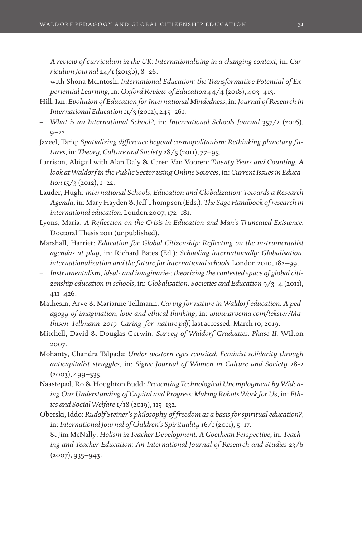- *A review of curriculum in the UK: Internationalising in a changing context*, in: *Curriculum Journal* 24/1 (2013b), 8–26.
- with Shona McIntosh: *International Education: the Transformative Potential of Experiential Learning*, in: *Oxford Review of Education* 44/4 (2018), 403–413.
- Hill, Ian: *Evolution of Education for International Mindedness*, in: *Journal of Research in International Education* 11/3 (2012), 245–261.
- *What is an International School?,* in: *International Schools Journal* 357/2 (2016),  $9 - 22.$
- Jazeel, Tariq: *Spatializing difference beyond cosmopolitanism: Rethinking planetary futures*, in: *Theory, Culture and Society* 28/5 (2011), 77–95.
- Larrison, Abigail with Alan Daly & Caren Van Vooren: *Twenty Years and Counting: A look at Waldorf in the Public Sector using Online Sources*, in: *Current Issues in Education* 15/3 (2012), 1–22.
- Lauder, Hugh: *International Schools, Education and Globalization: Towards a Research Agenda*, in: Mary Hayden & Jeff Thompson (Eds.): *The Sage Handbook of research in international education*. London 2007, 172–181.
- Lyons, Maria: *A Reflection on the Crisis in Education and Man's Truncated Existence*. Doctoral Thesis 2011 (unpublished).
- Marshall, Harriet: *Education for Global Citizenship: Reflecting on the instrumentalist agendas at play*, in: Richard Bates (Ed.): *Schooling internationally: Globalisation, internationalization and the future for international schools.* London 2010, 182–99.
- *Instrumentalism, ideals and imaginaries: theorizing the contested space of global citizenship education in schools*, in: *Globalisation, Societies and Education* 9/3–4 (2011), 411–426.
- Mathesin, Arve & Marianne Tellmann: *Caring for nature in Waldorf education: A pedagogy of imagination, love and ethical thinking*, in: *[www.arvema.com/tekster/Ma](http://www.arvema.com/tekster/Mathisen_Tellmann_2019_Caring_for_nature.pdf)[thisen\\_Tellmann\\_2019\\_Caring\\_for\\_nature.pdf](http://www.arvema.com/tekster/Mathisen_Tellmann_2019_Caring_for_nature.pdf)*; last accessed: March 10, 2019.
- Mitchell, David & Douglas Gerwin: *Survey of Waldorf Graduates. Phase II*. Wilton 2007.
- Mohanty, Chandra Talpade: *Under western eyes revisited: Feminist solidarity through anticapitalist struggles*, in: *Signs: Journal of Women in Culture and Society* 28-2  $(2003), 499 - 535.$
- Naastepad, Ro & Houghton Budd: *Preventing Technological Unemployment by Widening Our Understanding of Capital and Progress: Making Robots Work for U*s, in: *Ethics and Social Welfare* 1/18 (2019), 115–132.
- Oberski, Iddo: *Rudolf Steiner's philosophy of freedom as a basis for spiritual education?,* in: *International Journal of Children's Spirituality* 16/1 (2011), 5–17.
- & Jim McNally: *Holism in Teacher Development: A Goethean Perspective*, in: *Teaching and Teacher Education: An International Journal of Research and Studies* 23/6 (2007), 935–943.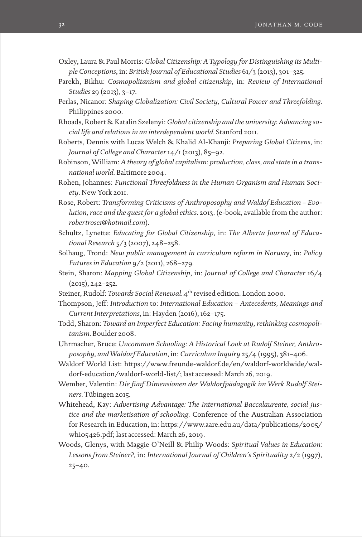- Oxley, Laura & Paul Morris: *Global Citizenship: A Typology for Distinguishing its Multiple Conceptions*, in: *British Journal of Educational Studies* 61/3 (2013), 301–325.
- Parekh, Bikhu: *Cosmopolitanism and global citizenship*, in: *Review of International Studies* 29 (2013), 3–17.
- Perlas, Nicanor: *Shaping Globalization: Civil Society, Cultural Power and Threefolding*. Philippines 2000.
- Rhoads, Robert & Katalin Szelenyi: *Global citizenship and the university: Advancing social life and relations in an interdependent world.* Stanford 2011.
- Roberts, Dennis with Lucas Welch & Khalid Al-Khanji: *Preparing Global Citizens*, in: *Journal of College and Character* 14/1 (2013), 85–92.
- Robinson, William: *A theory of global capitalism: production, class, and state in a transnational world*. Baltimore 2004.
- Rohen, Johannes: *Functional Threefoldness in the Human Organism and Human Society*. New York 2011.
- Rose, Robert: *Transforming Criticisms of Anthroposophy and Waldof Education Evolution, race and the quest for a global ethics*. 2013. (e-book, available from the author: *robertrose1@hotmail.com*).
- Schultz, Lynette: *Educating for Global Citizenship*, in: *The Alberta Journal of Educational Research* 5/3 (2007), 248–258.
- Solhaug, Trond: *New public management in curriculum reform in Norwa*y, in: *Policy Futures in Education* 9/2 (2011), 268–279*.*
- Stein, Sharon: *Mapping Global Citizenship*, in: *Journal of College and Character* 16/4  $(2015), 242 - 252.$
- Steiner, Rudolf: *Towards Social Renewal.* 4<sup>th</sup> revised edition. London 2000.
- Thompson, Jeff: *Introduction* to: *International Education Antecedents, Meanings and Current Interpretations*, in: Hayden (2016), 162–175.
- Todd, Sharon: *Toward an Imperfect Education: Facing humanity, rethinking cosmopolitanism.* Boulder 2008.
- Uhrmacher, Bruce: *Uncommon Schooling: A Historical Look at Rudolf Steiner, Anthroposophy, and Waldorf Education*, in: *Curriculum Inquiry* 25/4 (1995), 381–406.
- Waldorf World List: [https://www.freunde-waldorf.de/en/waldorf-worldwide/wal](https://www.freunde-waldorf.de/en/waldorf-worldwide/waldorf-education/waldorf-world-list/)[dorf-education/waldorf-world-list/](https://www.freunde-waldorf.de/en/waldorf-worldwide/waldorf-education/waldorf-world-list/); last accessed: March 26, 2019.
- Wember, Valentin: *Die fünf Dimensionen der Waldorfpädagogik im Werk Rudolf Steiners.* Tübingen 2015.
- Whitehead, Kay: *Advertising Advantage: The International Baccalaureate, social justice and the marketisation of schooling*. Conference of the Australian Association for Research in Education, in: [https://www.aare.edu.au/data/publications/2005/](https://www.aare.edu.au/data/publications/2005/whi05426.pdf) [whi05426.pdf;](https://www.aare.edu.au/data/publications/2005/whi05426.pdf) last accessed: March 26, 2019.
- Woods, Glenys, with Maggie O'Neill & Philip Woods: *Spiritual Values in Education: Lessons from Steiner?,* in: *International Journal of Children's Spirituality* 2/2 (1997), 25–40.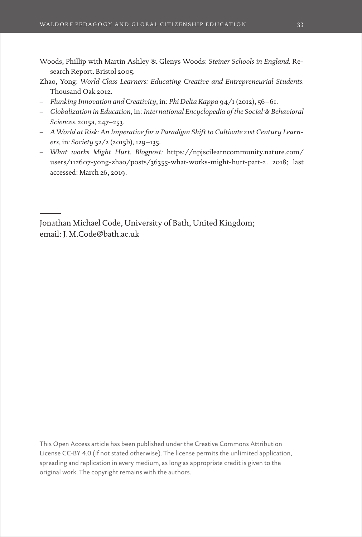- Woods, Phillip with Martin Ashley & Glenys Woods: *Steiner Schools in England.* Research Report. Bristol 2005.
- Zhao, Yong: *World Class Learners: Educating Creative and Entrepreneurial Students.* Thousand Oak 2012.
- *Flunking Innovation and Creativity*, in: *Phi Delta Kappa* 94/1 (2012), 56–61.
- *Globalization in Education*, in: *International Encyclopedia of the Social & Behavioral Sciences.* 2015a, 247–253.
- *A World at Risk: An Imperative for a Paradigm Shift to Cultivate 21st Century Learners*, in*: Society* 52/2 (2015b), 129–135.
- *What works Might Hurt. Blogpost:* [https://npjscilearncommunity.nature.com/](https://npjscilearncommunity.nature.com/users/112607-yong-zhao/posts/36355-what-works-might-hurt-part-2.%202018) [users/112607-yong-zhao/posts/36355-what-works-might-hurt-part-2. 2018;](https://npjscilearncommunity.nature.com/users/112607-yong-zhao/posts/36355-what-works-might-hurt-part-2.%202018) last accessed: March 26, 2019.

Jonathan Michael Code, University of Bath, United Kingdom; email: J.M.Code@bath.ac.uk

This Open Access article has been published under the Creative Commons Attribution License CC-BY 4.0 (if not stated otherwise). The license permits the unlimited application, spreading and replication in every medium, as long as appropriate credit is given to the original work. The copyright remains with the authors.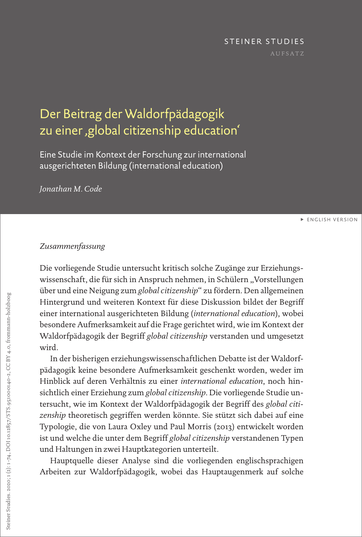#### STEINER STUDIES

## <span id="page-34-0"></span>Der Beitrag der Waldorfpädagogik zu einer ,global citizenship education'

Eine Studie im Kontext der Forschung zur international ausgerichteten Bildung (international education)

*Jonathan M. Code*

**[ENGLISH VERSION](#page-0-0)** 

### *Zusammenfassung*

Die vorliegende Studie untersucht kritisch solche Zugänge zur Erziehungswissenschaft, die für sich in Anspruch nehmen, in Schülern "Vorstellungen über und eine Neigung zum *global citizenship*" zu fördern. Den allgemeinen Hintergrund und weiteren Kontext für diese Diskussion bildet der Begriff einer international ausgerichteten Bildung (*international education*), wobei besondere Aufmerksamkeit auf die Frage gerichtet wird, wie im Kontext der Waldorfpädagogik der Begriff *global citizenship* verstanden und umgesetzt wird.

In der bisherigen erziehungswissenschaftlichen Debatte ist der Waldorfpädagogik keine besondere Aufmerksamkeit geschenkt worden, weder im Hinblick auf deren Verhältnis zu einer *international education*, noch hinsichtlich einer Erziehung zum *global citizenship*. Die vorliegende Studie untersucht, wie im Kontext der Waldorfpädagogik der Begriff des *global citizenship* theoretisch gegriffen werden könnte. Sie stützt sich dabei auf eine Typologie, die von Laura Oxley und Paul Morris (2013) entwickelt worden ist und welche die unter dem Begriff *global citizenship* verstandenen Typen und Haltungen in zwei Hauptkategorien unterteilt.

Hauptquelle dieser Analyse sind die vorliegenden englischsprachigen Arbeiten zur Waldorfpädagogik, wobei das Hauptaugenmerk auf solche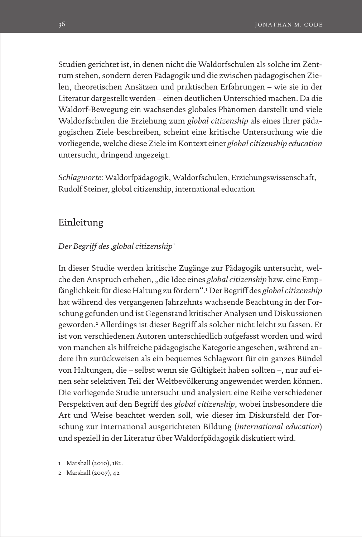Studien gerichtet ist, in denen nicht die Waldorfschulen als solche im Zentrum stehen, sondern deren Pädagogik und die zwischen pädagogischen Zielen, theoretischen Ansätzen und praktischen Erfahrungen – wie sie in der Literatur dargestellt werden – einen deutlichen Unterschied machen. Da die Waldorf-Bewegung ein wachsendes globales Phänomen darstellt und viele Waldorfschulen die Erziehung zum *global citizenship* als eines ihrer pädagogischen Ziele beschreiben, scheint eine kritische Untersuchung wie die vorliegende, welche diese Ziele im Kontext einer *global citizenship education* untersucht, dringend angezeigt.

*Schlagworte:* Waldorfpädagogik, Waldorfschulen, Erziehungswissenschaft, Rudolf Steiner, global citizenship, international education

## Einleitung

#### *Der Begriff des 'global citizenship'*

In dieser Studie werden kritische Zugänge zur Pädagogik untersucht, welche den Anspruch erheben, "die Idee eines *global citizenship* bzw. eine Empfänglichkeit für diese Haltung zu fördern".1 Der Begriff des *global citizenship*  hat während des vergangenen Jahrzehnts wachsende Beachtung in der Forschung gefunden und ist Gegenstand kritischer Analysen und Diskussionen geworden.2 Allerdings ist dieser Begriff als solcher nicht leicht zu fassen. Er ist von verschiedenen Autoren unterschiedlich aufgefasst worden und wird von manchen als hilfreiche pädagogische Kategorie angesehen, während andere ihn zurückweisen als ein bequemes Schlagwort für ein ganzes Bündel von Haltungen, die – selbst wenn sie Gültigkeit haben sollten –, nur auf einen sehr selektiven Teil der Weltbevölkerung angewendet werden können. Die vorliegende Studie untersucht und analysiert eine Reihe verschiedener Perspektiven auf den Begriff des *global citizenship*, wobei insbesondere die Art und Weise beachtet werden soll, wie dieser im Diskursfeld der Forschung zur international ausgerichteten Bildung (*international education*) und speziell in der Literatur über Waldorfpädagogik diskutiert wird.

1 Marshall (2010), 182.

2 Marshall (2007), 42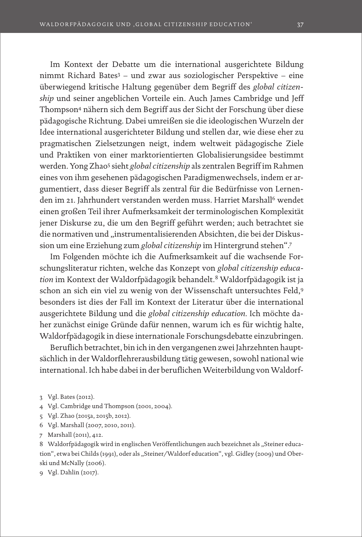Im Kontext der Debatte um die international ausgerichtete Bildung nimmt Richard Bates3 – und zwar aus soziologischer Perspektive – eine überwiegend kritische Haltung gegenüber dem Begriff des *global citizenship* und seiner angeblichen Vorteile ein. Auch James Cambridge und Jeff Thompson4 nähern sich dem Begriff aus der Sicht der Forschung über diese pädagogische Richtung. Dabei umreißen sie die ideologischen Wurzeln der Idee international ausgerichteter Bildung und stellen dar, wie diese eher zu pragmatischen Zielsetzungen neigt, indem weltweit pädagogische Ziele und Praktiken von einer marktorientierten Globalisierungsidee bestimmt werden. Yong Zhao<sup>5</sup> sieht *global citizenship* als zentralen Begriff im Rahmen eines von ihm gesehenen pädagogischen Paradigmenwechsels, indem er argumentiert, dass dieser Begriff als zentral für die Bedürfnisse von Lernenden im 21. Jahrhundert verstanden werden muss. Harriet Marshall6 wendet einen großen Teil ihrer Aufmerksamkeit der terminologischen Komplexität jener Diskurse zu, die um den Begriff geführt werden; auch betrachtet sie die normativen und "instrumentalisierenden Absichten, die bei der Diskussion um eine Erziehung zum *global citizenship* im Hintergrund stehen".7

Im Folgenden möchte ich die Aufmerksamkeit auf die wachsende Forschungsliteratur richten, welche das Konzept von *global citizenship education* im Kontext der Waldorfpädagogik behandelt.8 Waldorfpädagogik ist ja schon an sich ein viel zu wenig von der Wissenschaft untersuchtes Feld,9 besonders ist dies der Fall im Kontext der Literatur über die international ausgerichtete Bildung und die *global citizenship education*. Ich möchte daher zunächst einige Gründe dafür nennen, warum ich es für wichtig halte, Waldorfpädagogik in diese internationale Forschungsdebatte einzubringen.

Beruflich betrachtet, bin ich in den vergangenen zwei Jahrzehnten hauptsächlich in der Waldorflehrerausbildung tätig gewesen, sowohl national wie international. Ich habe dabei in der beruflichen Weiterbildung von Waldorf-

- 4 Vgl. Cambridge und Thompson (2001, 2004).
- 5 Vgl. Zhao (2015a, 2015b, 2012).
- 6 Vgl. Marshall (2007, 2010, 2011).
- 7 Marshall (2011), 412.

8 Waldorfpädagogik wird in englischen Veröffentlichungen auch bezeichnet als "Steiner education", etwa bei Childs (1991), oder als "Steiner/Waldorf education", vgl. Gidley (2009) und Oberski und McNally (2006).

9 Vgl. Dahlin (2017).

<sup>3</sup> Vgl. Bates (2012).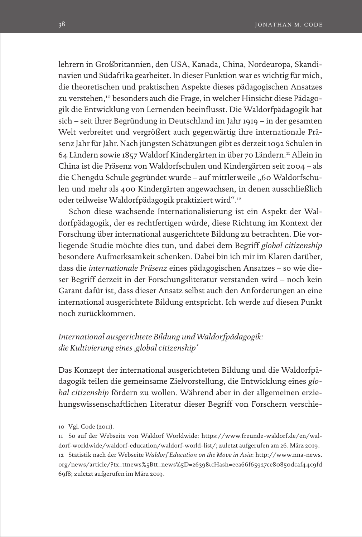lehrern in Großbritannien, den USA, Kanada, China, Nordeuropa, Skandinavien und Südafrika gearbeitet. In dieser Funktion war es wichtig für mich, die theoretischen und praktischen Aspekte dieses pädagogischen Ansatzes zu verstehen,<sup>10</sup> besonders auch die Frage, in welcher Hinsicht diese Pädagogik die Entwicklung von Lernenden beeinflusst. Die Waldorfpädagogik hat sich – seit ihrer Begründung in Deutschland im Jahr 1919 – in der gesamten Welt verbreitet und vergrößert auch gegenwärtig ihre internationale Präsenz Jahr für Jahr. Nach jüngsten Schätzungen gibt es derzeit 1092 Schulen in 64 Ländern sowie 1857 Waldorf Kindergärten in über 70 Ländern.11 Allein in China ist die Präsenz von Waldorfschulen und Kindergärten seit 2004 – als die Chengdu Schule gegründet wurde – auf mittlerweile "60 Waldorfschulen und mehr als 400 Kindergärten angewachsen, in denen ausschließlich oder teilweise Waldorfpädagogik praktiziert wird".12

Schon diese wachsende Internationalisierung ist ein Aspekt der Waldorfpädagogik, der es rechtfertigen würde, diese Richtung im Kontext der Forschung über international ausgerichtete Bildung zu betrachten. Die vorliegende Studie möchte dies tun, und dabei dem Begriff *global citizenship* besondere Aufmerksamkeit schenken. Dabei bin ich mir im Klaren darüber, dass die *internationale Präsenz* eines pädagogischen Ansatzes – so wie dieser Begriff derzeit in der Forschungsliteratur verstanden wird – noch kein Garant dafür ist, dass dieser Ansatz selbst auch den Anforderungen an eine international ausgerichtete Bildung entspricht. Ich werde auf diesen Punkt noch zurückkommen.

## *International ausgerichtete Bildung und Waldorfpädagogik: die Kultivierung eines 'global citizenship'*

Das Konzept der international ausgerichteten Bildung und die Waldorfpädagogik teilen die gemeinsame Zielvorstellung, die Entwicklung eines *global citizenship* fördern zu wollen. Während aber in der allgemeinen erziehungswissenschaftlichen Literatur dieser Begriff von Forschern verschie-

11 So auf der Webseite von Waldorf Worldwide: [https://www.freunde-waldorf.de/en/wal](https://www.freunde-waldorf.de/en/waldorf-worldwide/waldorf-education/waldorf-world-list/)[dorf-worldwide/waldorf-education/waldorf-world-list/;](https://www.freunde-waldorf.de/en/waldorf-worldwide/waldorf-education/waldorf-world-list/) zuletzt aufgerufen am 26. März 2019. 12 Statistik nach der Webseite *Waldorf Education on the Move in Asia*: [http://www.nna-news.](http://www.nna-news.org/news/article/?tx_ttnews%5Btt_news%5D=2639&cHash=eea66f65927ce80850dcaf44c9fd69f8) [org/news/article/?tx\\_ttnews%5Btt\\_news%5D=2639&cHash=eea66f65927ce80850dcaf44c9fd](http://www.nna-news.org/news/article/?tx_ttnews%5Btt_news%5D=2639&cHash=eea66f65927ce80850dcaf44c9fd69f8) [69f8](http://www.nna-news.org/news/article/?tx_ttnews%5Btt_news%5D=2639&cHash=eea66f65927ce80850dcaf44c9fd69f8); zuletzt aufgerufen im März 2019.

<sup>10</sup> Vgl. Code (2011).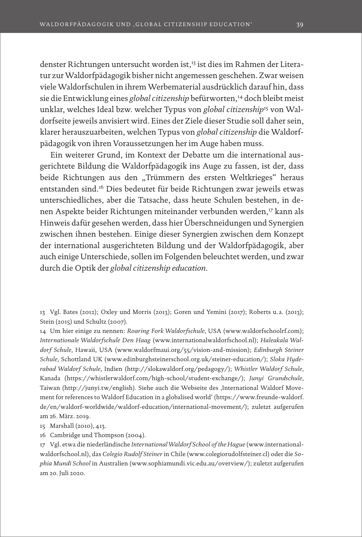denster Richtungen untersucht worden ist,13 ist dies im Rahmen der Literatur zur Waldorfpädagogik bisher nicht angemessen geschehen. Zwar weisen viele Waldorfschulen in ihrem Werbematerial ausdrücklich darauf hin, dass sie die Entwicklung eines global citizenship befürworten,<sup>14</sup> doch bleibt meist unklar, welches Ideal bzw. welcher Typus von *global citizenship*15 von Waldorfseite jeweils anvisiert wird. Eines der Ziele dieser Studie soll daher sein, klarer herauszuarbeiten, welchen Typus von *global citizenship* die Waldorfpädagogik von ihren Voraussetzungen her im Auge haben muss.

Ein weiterer Grund, im Kontext der Debatte um die international ausgerichtete Bildung die Waldorfpädagogik ins Auge zu fassen, ist der, dass beide Richtungen aus den "Trümmern des ersten Weltkrieges" heraus entstanden sind.16 Dies bedeutet für beide Richtungen zwar jeweils etwas unterschiedliches, aber die Tatsache, dass heute Schulen bestehen, in denen Aspekte beider Richtungen miteinander verbunden werden,<sup>17</sup> kann als Hinweis dafür gesehen werden, dass hier Überschneidungen und Synergien zwischen ihnen bestehen. Einige dieser Synergien zwischen dem Konzept der international ausgerichteten Bildung und der Waldorfpädagogik, aber auch einige Unterschiede, sollen im Folgenden beleuchtet werden, und zwar durch die Optik der *global citizenship education*.

13 Vgl. Bates (2012); Oxley und Morris (2013); Goren und Yemini (2017); Roberts u. a. (2013); Stein (2015) und Schultz (2007).

14 Um hier einige zu nennen: *Roaring Fork Waldorfschule*, USA (www.waldorfschoolrf.com); *Internationale Waldorfschule Den Haag* (www.internationalwaldorfschool.nl); *Haleakala Waldorf Schule*, Hawaii, USA (www.waldorfmaui.org/55/vision-and-mission); *Edinburgh Steiner Schule*, Schottland UK (www.edinburghsteinerschool.org.uk/steiner-education/); *Sloka Hyderabad Waldorf Schule*, Indien (http://slokawaldorf.org/pedagogy/); *Whistler Waldorf Schule*, Kanada (https://whistlerwaldorf.com/high-school/student-exchange/); *Junyi Grundschule*, Taiwan (http://junyi.tw/english). Siehe auch die Webseite des ,International Waldorf Movement for references to Waldorf Education in a globalised world' (https://www.freunde-waldorf. de/en/waldorf-worldwide/waldorf-education/international-movement/); zuletzt aufgerufen am 26. März. 2019.

15 Marshall (2010), 413.

16 Cambridge und Thompson (2004).

17 Vgl. etwa die niederländische *International Waldorf School of the Hague* ([www.international](http://www.internationalwaldorfschool.nl)[waldorfschool.nl](http://www.internationalwaldorfschool.nl)), das *Colegio Rudolf Steiner* in Chile ([www.colegiorudolfsteiner.cl\)](http://www.colegiorudolfsteiner.cl) oder die *Sophia Mundi School* in Australien ([www.sophiamundi.vic.edu.au/overview/\)](http://www.sophiamundi.vic.edu.au/overview/); zuletzt aufgerufen am 20. Juli 2020.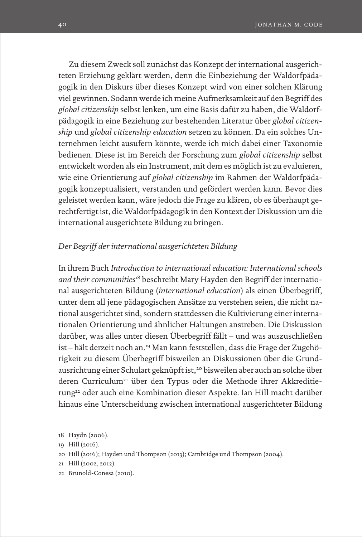Zu diesem Zweck soll zunächst das Konzept der international ausgerichteten Erziehung geklärt werden, denn die Einbeziehung der Waldorfpädagogik in den Diskurs über dieses Konzept wird von einer solchen Klärung viel gewinnen. Sodann werde ich meine Aufmerksamkeit auf den Begriff des *global citizenship* selbst lenken, um eine Basis dafür zu haben, die Waldorfpädagogik in eine Beziehung zur bestehenden Literatur über *global citizenship* und *global citizenship education* setzen zu können. Da ein solches Unternehmen leicht ausufern könnte, werde ich mich dabei einer Taxonomie bedienen. Diese ist im Bereich der Forschung zum *global citizenship* selbst entwickelt worden als ein Instrument, mit dem es möglich ist zu evaluieren, wie eine Orientierung auf *global citizenship* im Rahmen der Waldorfpädagogik konzeptualisiert, verstanden und gefördert werden kann. Bevor dies geleistet werden kann, wäre jedoch die Frage zu klären, ob es überhaupt gerechtfertigt ist, die Waldorfpädagogik in den Kontext der Diskussion um die international ausgerichtete Bildung zu bringen.

## *Der Begriff der international ausgerichteten Bildung*

In ihrem Buch *Introduction to international education: International schools and their communities*<sup>18</sup> beschreibt Mary Hayden den Begriff der international ausgerichteten Bildung (*international education*) als einen Überbegriff, unter dem all jene pädagogischen Ansätze zu verstehen seien, die nicht national ausgerichtet sind, sondern stattdessen die Kultivierung einer internationalen Orientierung und ähnlicher Haltungen anstreben. Die Diskussion darüber, was alles unter diesen Überbegriff fällt – und was auszuschließen ist – hält derzeit noch an.19 Man kann feststellen, dass die Frage der Zugehörigkeit zu diesem Überbegriff bisweilen an Diskussionen über die Grundausrichtung einer Schulart geknüpft ist,<sup>20</sup> bisweilen aber auch an solche über deren Curriculum<sup>21</sup> über den Typus oder die Methode ihrer Akkreditierung<sup>22</sup> oder auch eine Kombination dieser Aspekte. Ian Hill macht darüber hinaus eine Unterscheidung zwischen international ausgerichteter Bildung

- 20 Hill (2016); Hayden und Thompson (2013); Cambridge und Thompson (2004).
- 21 Hill (2002, 2012).
- 22 Brunold-Conesa (2010).

<sup>18</sup> Haydn (2006).

<sup>19</sup> Hill (2016).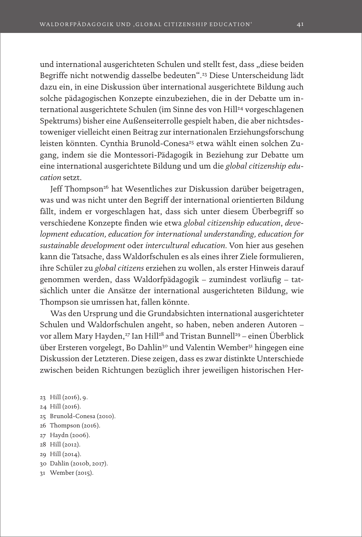und international ausgerichteten Schulen und stellt fest, dass "diese beiden Begriffe nicht notwendig dasselbe bedeuten".23 Diese Unterscheidung lädt dazu ein, in eine Diskussion über international ausgerichtete Bildung auch solche pädagogischen Konzepte einzubeziehen, die in der Debatte um international ausgerichtete Schulen (im Sinne des von Hill<sup>24</sup> vorgeschlagenen Spektrums) bisher eine Außenseiterrolle gespielt haben, die aber nichtsdestoweniger vielleicht einen Beitrag zur internationalen Erziehungsforschung leisten könnten. Cynthia Brunold-Conesa<sup>25</sup> etwa wählt einen solchen Zugang, indem sie die Montessori-Pädagogik in Beziehung zur Debatte um eine international ausgerichtete Bildung und um die *global citizenship education* setzt.

Jeff Thompson<sup>26</sup> hat Wesentliches zur Diskussion darüber beigetragen, was und was nicht unter den Begriff der international orientierten Bildung fällt, indem er vorgeschlagen hat, dass sich unter diesem Überbegriff so verschiedene Konzepte finden wie etwa *global citizenship education*, *development education, education for international understanding, education for sustainable development* oder *intercultural education*. Von hier aus gesehen kann die Tatsache, dass Waldorfschulen es als eines ihrer Ziele formulieren, ihre Schüler zu *global citizens* erziehen zu wollen, als erster Hinweis darauf genommen werden, dass Waldorfpädagogik – zumindest vorläufig – tatsächlich unter die Ansätze der international ausgerichteten Bildung, wie Thompson sie umrissen hat, fallen könnte.

Was den Ursprung und die Grundabsichten international ausgerichteter Schulen und Waldorfschulen angeht, so haben, neben anderen Autoren – vor allem Mary Hayden,<sup>27</sup> Ian Hill<sup>28</sup> and Tristan Bunnell<sup>29</sup> – einen Überblick über Ersteren vorgelegt, Bo Dahlin<sup>30</sup> und Valentin Wember<sup>31</sup> hingegen eine Diskussion der Letzteren. Diese zeigen, dass es zwar distinkte Unterschiede zwischen beiden Richtungen bezüglich ihrer jeweiligen historischen Her-

- 23 Hill (2016), 9.
- 24 Hill (2016).
- 25 Brunold-Conesa (2010).
- 26 Thompson (2016).
- 27 Haydn (2006).
- 28 Hill (2012).
- 29 Hill (2014).
- 30 Dahlin (2010b, 2017).
- 31 Wember (2015).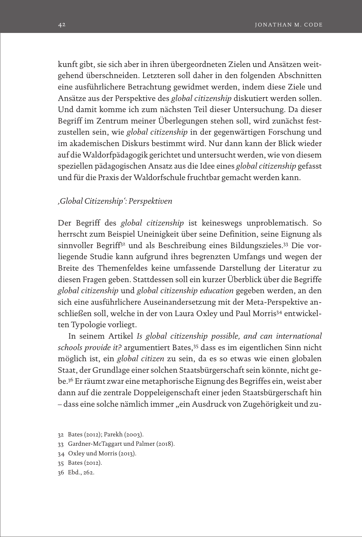kunft gibt, sie sich aber in ihren übergeordneten Zielen und Ansätzen weitgehend überschneiden. Letzteren soll daher in den folgenden Abschnitten eine ausführlichere Betrachtung gewidmet werden, indem diese Ziele und Ansätze aus der Perspektive des *global citizenship* diskutiert werden sollen. Und damit komme ich zum nächsten Teil dieser Untersuchung. Da dieser Begriff im Zentrum meiner Überlegungen stehen soll, wird zunächst festzustellen sein, wie *global citizenship* in der gegenwärtigen Forschung und im akademischen Diskurs bestimmt wird. Nur dann kann der Blick wieder auf die Waldorfpädagogik gerichtet und untersucht werden, wie von diesem speziellen pädagogischen Ansatz aus die Idee eines *global citizenship* gefasst und für die Praxis der Waldorfschule fruchtbar gemacht werden kann.

## *'Global Citizenship': Perspektiven*

Der Begriff des *global citizenship* ist keineswegs unproblematisch. So herrscht zum Beispiel Uneinigkeit über seine Definition, seine Eignung als sinnvoller Begriff32 und als Beschreibung eines Bildungszieles.33 Die vorliegende Studie kann aufgrund ihres begrenzten Umfangs und wegen der Breite des Themenfeldes keine umfassende Darstellung der Literatur zu diesen Fragen geben. Stattdessen soll ein kurzer Überblick über die Begriffe *global citizenship* und *global citizenship education* gegeben werden, an den sich eine ausführlichere Auseinandersetzung mit der Meta-Perspektive anschließen soll, welche in der von Laura Oxley und Paul Morris<sup>34</sup> entwickelten Typologie vorliegt.

In seinem Artikel *Is global citizenship possible, and can international schools provide it?* argumentiert Bates,35 dass es im eigentlichen Sinn nicht möglich ist, ein *global citizen* zu sein, da es so etwas wie einen globalen Staat, der Grundlage einer solchen Staatsbürgerschaft sein könnte, nicht gebe.36 Er räumt zwar eine metaphorische Eignung des Begriffes ein, weist aber dann auf die zentrale Doppeleigenschaft einer jeden Staatsbürgerschaft hin - dass eine solche nämlich immer "ein Ausdruck von Zugehörigkeit und zu-

- 33 Gardner-McTaggart und Palmer (2018).
- 34 Oxley und Morris (2013).
- 35 Bates (2012).
- 36 Ebd., 262.

<sup>32</sup> Bates (2012); Parekh (2003).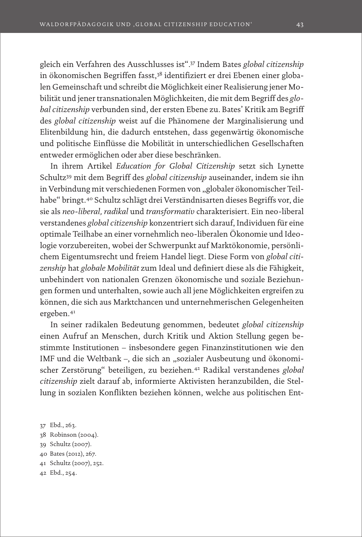gleich ein Verfahren des Ausschlusses ist".37 Indem Bates *global citizenship* in ökonomischen Begriffen fasst,<sup>38</sup> identifiziert er drei Ebenen einer globalen Gemeinschaft und schreibt die Möglichkeit einer Realisierung jener Mobilität und jener transnationalen Möglichkeiten, die mit dem Begriff des *global citizenship* verbunden sind, der ersten Ebene zu. Bates' Kritik am Begriff des *global citizenship* weist auf die Phänomene der Marginalisierung und Elitenbildung hin, die dadurch entstehen, dass gegenwärtig ökonomische und politische Einflüsse die Mobilität in unterschiedlichen Gesellschaften entweder ermöglichen oder aber diese beschränken.

In ihrem Artikel *Education for Global Citizenship* setzt sich Lynette Schultz39 mit dem Begriff des *global citizenship* auseinander, indem sie ihn in Verbindung mit verschiedenen Formen von "globaler ökonomischer Teilhabe" bringt.40 Schultz schlägt drei Verständnisarten dieses Begriffs vor, die sie als *neo-liberal, radikal* und *transformativ* charakterisiert. Ein neo-liberal verstandenes *global citizenship* konzentriert sich darauf, Individuen für eine optimale Teilhabe an einer vornehmlich neo-liberalen Ökonomie und Ideologie vorzubereiten, wobei der Schwerpunkt auf Marktökonomie, persönlichem Eigentumsrecht und freiem Handel liegt. Diese Form von *global citizenship* hat *globale Mobilität* zum Ideal und definiert diese als die Fähigkeit, unbehindert von nationalen Grenzen ökonomische und soziale Beziehungen formen und unterhalten, sowie auch all jene Möglichkeiten ergreifen zu können, die sich aus Marktchancen und unternehmerischen Gelegenheiten ergeben.<sup>41</sup>

In seiner radikalen Bedeutung genommen, bedeutet *global citizenship* einen Aufruf an Menschen, durch Kritik und Aktion Stellung gegen bestimmte Institutionen – insbesondere gegen Finanzinstitutionen wie den IMF und die Weltbank –, die sich an "sozialer Ausbeutung und ökonomischer Zerstörung" beteiligen, zu beziehen.42 Radikal verstandenes *global citizenship* zielt darauf ab, informierte Aktivisten heranzubilden, die Stellung in sozialen Konflikten beziehen können, welche aus politischen Ent-

- 38 Robinson (2004).
- 39 Schultz (2007).
- 40 Bates (2012), 267.
- 41 Schultz (2007), 252.
- 42 Ebd., 254.

<sup>37</sup> Ebd., 263.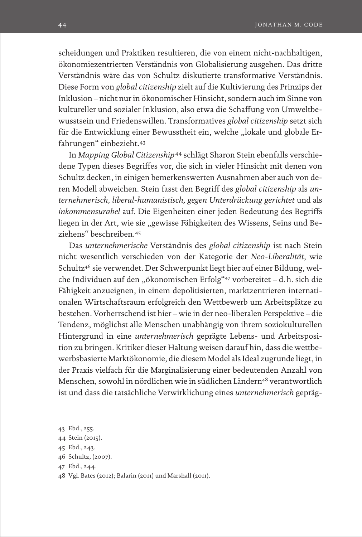scheidungen und Praktiken resultieren, die von einem nicht-nachhaltigen, ökonomiezentrierten Verständnis von Globalisierung ausgehen. Das dritte Verständnis wäre das von Schultz diskutierte transformative Verständnis. Diese Form von *global citizenship* zielt auf die Kultivierung des Prinzips der Inklusion – nicht nur in ökonomischer Hinsicht, sondern auch im Sinne von kultureller und sozialer Inklusion, also etwa die Schaffung von Umweltbewusstsein und Friedenswillen. Transformatives *global citizenship* setzt sich für die Entwicklung einer Bewusstheit ein, welche "lokale und globale Erfahrungen" einbezieht.43

In *Mapping Global Citizenship*  <sup>44</sup> schlägt Sharon Stein ebenfalls verschiedene Typen dieses Begriffes vor, die sich in vieler Hinsicht mit denen von Schultz decken, in einigen bemerkenswerten Ausnahmen aber auch von deren Modell abweichen. Stein fasst den Begriff des *global citizenship* als *unternehmerisch, liberal-humanistisch, gegen Unterdrückung gerichtet* und als *inkommensurabel* auf. Die Eigenheiten einer jeden Bedeutung des Begriffs liegen in der Art, wie sie "gewisse Fähigkeiten des Wissens, Seins und Beziehens" beschreiben.45

Das *unternehmerische* Verständnis des *global citizenship* ist nach Stein nicht wesentlich verschieden von der Kategorie der *Neo-Liberalität*, wie Schultz46 sie verwendet. Der Schwerpunkt liegt hier auf einer Bildung, welche Individuen auf den "ökonomischen Erfolg"<sup>47</sup> vorbereitet – d.h. sich die Fähigkeit anzueignen, in einem depolitisierten, marktzentrieren internationalen Wirtschaftsraum erfolgreich den Wettbewerb um Arbeitsplätze zu bestehen. Vorherrschend ist hier – wie in der neo-liberalen Perspektive – die Tendenz, möglichst alle Menschen unabhängig von ihrem soziokulturellen Hintergrund in eine *unternehmerisch* geprägte Lebens- und Arbeitsposition zu bringen. Kritiker dieser Haltung weisen darauf hin, dass die wettbewerbsbasierte Marktökonomie, die diesem Model als Ideal zugrunde liegt, in der Praxis vielfach für die Marginalisierung einer bedeutenden Anzahl von Menschen, sowohl in nördlichen wie in südlichen Ländern<sup>48</sup> verantwortlich ist und dass die tatsächliche Verwirklichung eines *unternehmerisch* gepräg-

<sup>43</sup> Ebd., 255.

<sup>44</sup> Stein (2015).

<sup>45</sup> Ebd., 243.

<sup>46</sup> Schultz, (2007).

<sup>47</sup> Ebd., 244.

<sup>48</sup> Vgl. Bates (2012); Balarin (2011) und Marshall (2011).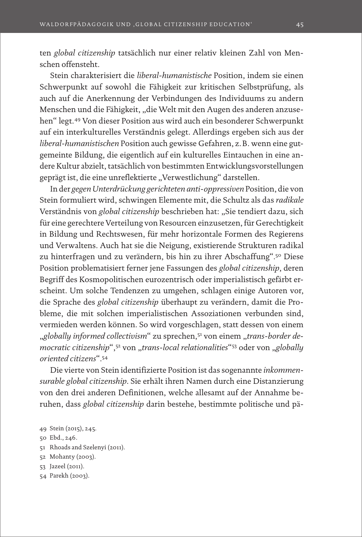ten *global citizenship* tatsächlich nur einer relativ kleinen Zahl von Menschen offensteht.

Stein charakterisiert die *liberal-humanistische* Position, indem sie einen Schwerpunkt auf sowohl die Fähigkeit zur kritischen Selbstprüfung, als auch auf die Anerkennung der Verbindungen des Individuums zu andern Menschen und die Fähigkeit, "die Welt mit den Augen des anderen anzusehen" legt.49 Von dieser Position aus wird auch ein besonderer Schwerpunkt auf ein interkulturelles Verständnis gelegt. Allerdings ergeben sich aus der *liberal-humanistischen* Position auch gewisse Gefahren, z.B. wenn eine gutgemeinte Bildung, die eigentlich auf ein kulturelles Eintauchen in eine andere Kultur abzielt, tatsächlich von bestimmten Entwicklungsvorstellungen geprägt ist, die eine unreflektierte "Verwestlichung" darstellen.

In der *gegen Unterdrückung gerichteten anti-oppressiven* Position, die von Stein formuliert wird, schwingen Elemente mit, die Schultz als das *radikale*  Verständnis von *global citizenship* beschrieben hat: "Sie tendiert dazu, sich für eine gerechtere Verteilung von Resourcen einzusetzen, für Gerechtigkeit in Bildung und Rechtswesen, für mehr horizontale Formen des Regierens und Verwaltens. Auch hat sie die Neigung, existierende Strukturen radikal zu hinterfragen und zu verändern, bis hin zu ihrer Abschaffung".50 Diese Position problematisiert ferner jene Fassungen des *global citizenship*, deren Begriff des Kosmopolitischen eurozentrisch oder imperialistisch gefärbt erscheint. Um solche Tendenzen zu umgehen, schlagen einige Autoren vor, die Sprache des *global citizenship* überhaupt zu verändern, damit die Probleme, die mit solchen imperialistischen Assoziationen verbunden sind, vermieden werden können. So wird vorgeschlagen, statt dessen von einem "globally informed collectivism" zu sprechen,<sup>51</sup> von einem "trans-border de*mocratic citizenship*",<sup>52</sup> von "*trans-local relationalities*"<sup>53</sup> oder von "*globally oriented citizens*".54

Die vierte von Stein identifizierte Position ist das sogenannte *inkommensurable global citizenship*. Sie erhält ihren Namen durch eine Distanzierung von den drei anderen Definitionen, welche allesamt auf der Annahme beruhen, dass *global citizenship* darin bestehe, bestimmte politische und pä-

- 51 Rhoads and Szelenyi (2011).
- 52 Mohanty (2003).
- 53 Jazeel (2011).
- 54 Parekh (2003).

<sup>49</sup> Stein (2015), 245.

<sup>50</sup> Ebd., 246.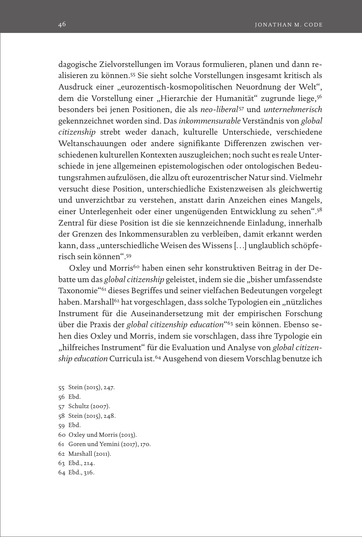dagogische Zielvorstellungen im Voraus formulieren, planen und dann realisieren zu können.55 Sie sieht solche Vorstellungen insgesamt kritisch als Ausdruck einer "eurozentisch-kosmopolitischen Neuordnung der Welt", dem die Vorstellung einer "Hierarchie der Humanität" zugrunde liege,<sup>56</sup> besonders bei jenen Positionen, die als *neo-liberal*  <sup>57</sup> und *unternehmerisch*  gekennzeichnet worden sind. Das *inkommensurable* Verständnis von *global citizenship* strebt weder danach, kulturelle Unterschiede, verschiedene Weltanschauungen oder andere signifikante Differenzen zwischen verschiedenen kulturellen Kontexten auszugleichen; noch sucht es reale Unterschiede in jene allgemeinen epistemologischen oder ontologischen Bedeutungsrahmen aufzulösen, die allzu oft eurozentrischer Natur sind. Vielmehr versucht diese Position, unterschiedliche Existenzweisen als gleichwertig und unverzichtbar zu verstehen, anstatt darin Anzeichen eines Mangels, einer Unterlegenheit oder einer ungenügenden Entwicklung zu sehen".58 Zentral für diese Position ist die sie kennzeichnende Einladung, innerhalb der Grenzen des Inkommensurablen zu verbleiben, damit erkannt werden kann, dass "unterschiedliche Weisen des Wissens [...] unglaublich schöpferisch sein können".59

Oxley und Morris<sup>60</sup> haben einen sehr konstruktiven Beitrag in der Debatte um das *global citizenship* geleistet, indem sie die "bisher umfassendste Taxonomie"61 dieses Begriffes und seiner vielfachen Bedeutungen vorgelegt haben. Marshall<sup>62</sup> hat vorgeschlagen, dass solche Typologien ein "nützliches Instrument für die Auseinandersetzung mit der empirischen Forschung über die Praxis der *global citizenship education*"63 sein können. Ebenso sehen dies Oxley und Morris, indem sie vorschlagen, dass ihre Typologie ein "hilfreiches Instrument" für die Evaluation und Analyse von *global citizenship education* Curricula ist.64 Ausgehend von diesem Vorschlag benutze ich

- 55 Stein (2015), 247. 56 Ebd. 57 Schultz (2007). 58 Stein (2015), 248. 59 Ebd.
- 60 Oxley und Morris (2013).
- 61 Goren und Yemini (2017), 170.
- 62 Marshall (2011).
- 63 Ebd., 214.
- 64 Ebd., 316.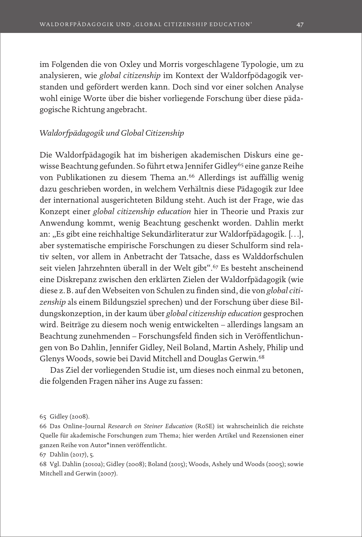im Folgenden die von Oxley und Morris vorgeschlagene Typologie, um zu analysieren, wie *global citizenship* im Kontext der Waldorfpödagogik verstanden und gefördert werden kann. Doch sind vor einer solchen Analyse wohl einige Worte über die bisher vorliegende Forschung über diese pädagogische Richtung angebracht.

## *Waldorfpädagogik und Global Citizenship*

Die Waldorfpädagogik hat im bisherigen akademischen Diskurs eine gewisse Beachtung gefunden. So führt etwa Jennifer Gidley<sup>65</sup> eine ganze Reihe von Publikationen zu diesem Thema an.<sup>66</sup> Allerdings ist auffällig wenig dazu geschrieben worden, in welchem Verhältnis diese Pädagogik zur Idee der international ausgerichteten Bildung steht. Auch ist der Frage, wie das Konzept einer *global citizenship education* hier in Theorie und Praxis zur Anwendung kommt, wenig Beachtung geschenkt worden. Dahlin merkt an: "Es gibt eine reichhaltige Sekundärliteratur zur Waldorfpädagogik. […], aber systematische empirische Forschungen zu dieser Schulform sind relativ selten, vor allem in Anbetracht der Tatsache, dass es Walddorfschulen seit vielen Jahrzehnten überall in der Welt gibt".67 Es besteht anscheinend eine Diskrepanz zwischen den erklärten Zielen der Waldorfpädagogik (wie diese z.B. auf den Webseiten von Schulen zu finden sind, die von *global citizenship* als einem Bildungsziel sprechen) und der Forschung über diese Bildungskonzeption, in der kaum über *global citizenship education* gesprochen wird. Beiträge zu diesem noch wenig entwickelten – allerdings langsam an Beachtung zunehmenden – Forschungsfeld finden sich in Veröffentlichungen von Bo Dahlin, Jennifer Gidley, Neil Boland, Martin Ashely, Philip und Glenys Woods, sowie bei David Mitchell and Douglas Gerwin.68

Das Ziel der vorliegenden Studie ist, um dieses noch einmal zu betonen, die folgenden Fragen näher ins Auge zu fassen:

<sup>65</sup> Gidley (2008).

<sup>66</sup> Das Online-Journal *Research on Steiner Education* (RoSE) ist wahrscheinlich die reichste Quelle für akademische Forschungen zum Thema; hier werden Artikel und Rezensionen einer ganzen Reihe von Autor\*innen veröffentlicht.

<sup>67</sup> Dahlin (2017), 5.

<sup>68</sup> Vgl. Dahlin (2010a); Gidley (2008); Boland (2015); Woods, Ashely und Woods (2005); sowie Mitchell and Gerwin (2007).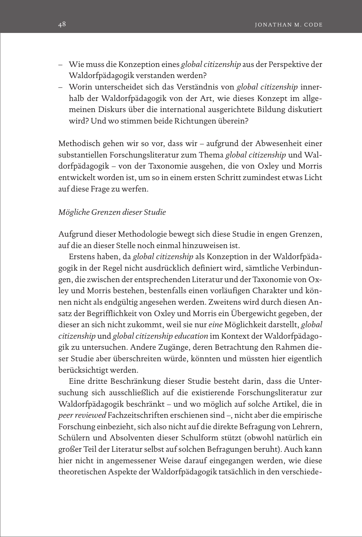- Wie muss die Konzeption eines *global citizenship* aus der Perspektive der Waldorfpädagogik verstanden werden?
- Worin unterscheidet sich das Verständnis von *global citizenship* innerhalb der Waldorfpädagogik von der Art, wie dieses Konzept im allgemeinen Diskurs über die international ausgerichtete Bildung diskutiert wird? Und wo stimmen beide Richtungen überein?

Methodisch gehen wir so vor, dass wir – aufgrund der Abwesenheit einer substantiellen Forschungsliteratur zum Thema *global citizenship* und Waldorfpädagogik – von der Taxonomie ausgehen, die von Oxley und Morris entwickelt worden ist, um so in einem ersten Schritt zumindest etwas Licht auf diese Frage zu werfen.

## *Mögliche Grenzen dieser Studie*

Aufgrund dieser Methodologie bewegt sich diese Studie in engen Grenzen, auf die an dieser Stelle noch einmal hinzuweisen ist.

Erstens haben, da *global citizenship* als Konzeption in der Waldorfpädagogik in der Regel nicht ausdrücklich definiert wird, sämtliche Verbindungen, die zwischen der entsprechenden Literatur und der Taxonomie von Oxley und Morris bestehen, bestenfalls einen vorläufigen Charakter und können nicht als endgültig angesehen werden. Zweitens wird durch diesen Ansatz der Begrifflichkeit von Oxley und Morris ein Übergewicht gegeben, der dieser an sich nicht zukommt, weil sie nur *eine* Möglichkeit darstellt, *global citizenship* und *global citizenship education* im Kontext der Waldorfpädagogik zu untersuchen. Andere Zugänge, deren Betrachtung den Rahmen dieser Studie aber überschreiten würde, könnten und müssten hier eigentlich berücksichtigt werden.

Eine dritte Beschränkung dieser Studie besteht darin, dass die Untersuchung sich ausschließlich auf die existierende Forschungsliteratur zur Waldorfpädagogik beschränkt – und wo möglich auf solche Artikel, die in *peer reviewed* Fachzeitschriften erschienen sind –, nicht aber die empirische Forschung einbezieht, sich also nicht auf die direkte Befragung von Lehrern, Schülern und Absolventen dieser Schulform stützt (obwohl natürlich ein großer Teil der Literatur selbst auf solchen Befragungen beruht). Auch kann hier nicht in angemessener Weise darauf eingegangen werden, wie diese theoretischen Aspekte der Waldorfpädagogik tatsächlich in den verschiede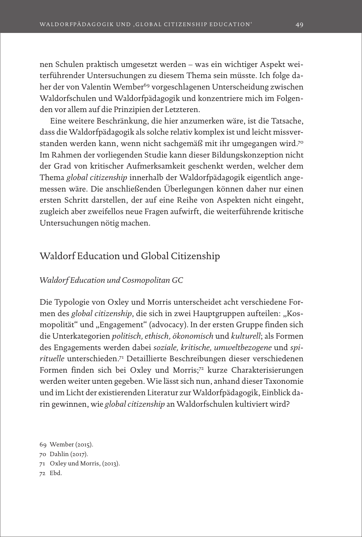nen Schulen praktisch umgesetzt werden – was ein wichtiger Aspekt weiterführender Untersuchungen zu diesem Thema sein müsste. Ich folge daher der von Valentin Wember<sup>69</sup> vorgeschlagenen Unterscheidung zwischen Waldorfschulen und Waldorfpädagogik und konzentriere mich im Folgenden vor allem auf die Prinzipien der Letzteren.

Eine weitere Beschränkung, die hier anzumerken wäre, ist die Tatsache, dass die Waldorfpädagogik als solche relativ komplex ist und leicht missverstanden werden kann, wenn nicht sachgemäß mit ihr umgegangen wird.70 Im Rahmen der vorliegenden Studie kann dieser Bildungskonzeption nicht der Grad von kritischer Aufmerksamkeit geschenkt werden, welcher dem Thema *global citizenship* innerhalb der Waldorfpädagogik eigentlich angemessen wäre. Die anschließenden Überlegungen können daher nur einen ersten Schritt darstellen, der auf eine Reihe von Aspekten nicht eingeht, zugleich aber zweifellos neue Fragen aufwirft, die weiterführende kritische Untersuchungen nötig machen.

# Waldorf Education und Global Citizenship

## *Waldorf Education und Cosmopolitan GC*

Die Typologie von Oxley und Morris unterscheidet acht verschiedene Formen des *global citizenship*, die sich in zwei Hauptgruppen aufteilen: "Kosmopolität" und "Engagement" (advocacy). In der ersten Gruppe finden sich die Unterkategorien *politisch, ethisch, ökonomisch* und *kulturell*; als Formen des Engagements werden dabei *soziale, kritische, umweltbezogene* und *spirituelle* unterschieden.71 Detaillierte Beschreibungen dieser verschiedenen Formen finden sich bei Oxley und Morris;72 kurze Charakterisierungen werden weiter unten gegeben. Wie lässt sich nun, anhand dieser Taxonomie und im Licht der existierenden Literatur zur Waldorfpädagogik, Einblick darin gewinnen, wie *global citizenship* an Waldorfschulen kultiviert wird?

69 Wember (2015).

- 71 Oxley und Morris, (2013).
- 72 Ebd.

<sup>70</sup> Dahlin (2017).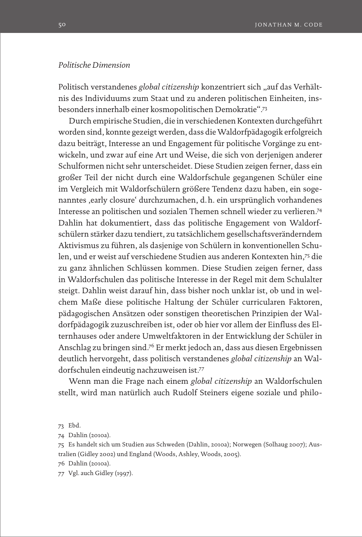## *Politische Dimension*

Politisch verstandenes *global citizenship* konzentriert sich "auf das Verhältnis des Individuums zum Staat und zu anderen politischen Einheiten, insbesonders innerhalb einer kosmopolitischen Demokratie".73

Durch empirische Studien, die in verschiedenen Kontexten durchgeführt worden sind, konnte gezeigt werden, dass die Waldorfpädagogik erfolgreich dazu beiträgt, Interesse an und Engagement für politische Vorgänge zu entwickeln, und zwar auf eine Art und Weise, die sich von derjenigen anderer Schulformen nicht sehr unterscheidet. Diese Studien zeigen ferner, dass ein großer Teil der nicht durch eine Waldorfschule gegangenen Schüler eine im Vergleich mit Waldorfschülern größere Tendenz dazu haben, ein sogenanntes , early closure' durchzumachen, d.h. ein ursprünglich vorhandenes Interesse an politischen und sozialen Themen schnell wieder zu verlieren.74 Dahlin hat dokumentiert, dass das politische Engagement von Waldorfschülern stärker dazu tendiert, zu tatsächlichem gesellschaftsveränderndem Aktivismus zu führen, als dasjenige von Schülern in konventionellen Schulen, und er weist auf verschiedene Studien aus anderen Kontexten hin,75 die zu ganz ähnlichen Schlüssen kommen. Diese Studien zeigen ferner, dass in Waldorfschulen das politische Interesse in der Regel mit dem Schulalter steigt. Dahlin weist darauf hin, dass bisher noch unklar ist, ob und in welchem Maße diese politische Haltung der Schüler curricularen Faktoren, pädagogischen Ansätzen oder sonstigen theoretischen Prinzipien der Waldorfpädagogik zuzuschreiben ist, oder ob hier vor allem der Einfluss des Elternhauses oder andere Umweltfaktoren in der Entwicklung der Schüler in Anschlag zu bringen sind.76 Er merkt jedoch an, dass aus diesen Ergebnissen deutlich hervorgeht, dass politisch verstandenes *global citizenship* an Waldorfschulen eindeutig nachzuweisen ist.77

Wenn man die Frage nach einem *global citizenship* an Waldorfschulen stellt, wird man natürlich auch Rudolf Steiners eigene soziale und philo-

<sup>73</sup> Ebd.

<sup>74</sup> Dahlin (2010a).

<sup>75</sup> Es handelt sich um Studien aus Schweden (Dahlin, 2010a); Norwegen (Solhaug 2007); Australien (Gidley 2002) und England (Woods, Ashley, Woods, 2005).

<sup>76</sup> Dahlin (2010a).

<sup>77</sup> Vgl. auch Gidley (1997).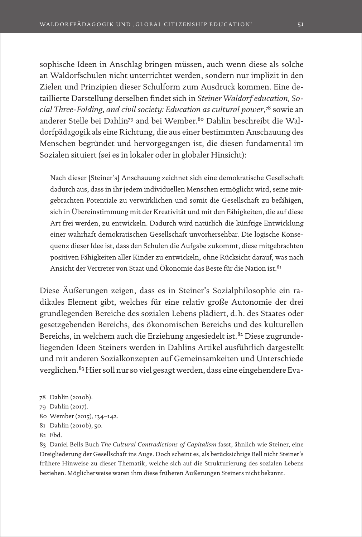sophische Ideen in Anschlag bringen müssen, auch wenn diese als solche an Waldorfschulen nicht unterrichtet werden, sondern nur implizit in den Zielen und Prinzipien dieser Schulform zum Ausdruck kommen. Eine detaillierte Darstellung derselben findet sich in *Steiner Waldorf education, Social Three-Folding, and civil society: Education as cultural power*, 78 sowie an anderer Stelle bei Dahlin<sup>79</sup> and bei Wember.<sup>80</sup> Dahlin beschreibt die Waldorfpädagogik als eine Richtung, die aus einer bestimmten Anschauung des Menschen begründet und hervorgegangen ist, die diesen fundamental im Sozialen situiert (sei es in lokaler oder in globaler Hinsicht):

Nach dieser [Steiner's] Anschauung zeichnet sich eine demokratische Gesellschaft dadurch aus, dass in ihr jedem individuellen Menschen ermöglicht wird, seine mitgebrachten Potentiale zu verwirklichen und somit die Gesellschaft zu befähigen, sich in Übereinstimmung mit der Kreativität und mit den Fähigkeiten, die auf diese Art frei werden, zu entwickeln. Dadurch wird natürlich die künftige Entwicklung einer wahrhaft demokratischen Gesellschaft unvorhersehbar. Die logische Konsequenz dieser Idee ist, dass den Schulen die Aufgabe zukommt, diese mitgebrachten positiven Fähigkeiten aller Kinder zu entwickeln, ohne Rücksicht darauf, was nach Ansicht der Vertreter von Staat und Ökonomie das Beste für die Nation ist.<sup>81</sup>

Diese Äußerungen zeigen, dass es in Steiner's Sozialphilosophie ein radikales Element gibt, welches für eine relativ große Autonomie der drei grundlegenden Bereiche des sozialen Lebens plädiert, d.h. des Staates oder gesetzgebenden Bereichs, des ökonomischen Bereichs und des kulturellen Bereichs, in welchem auch die Erziehung angesiedelt ist.<sup>82</sup> Diese zugrundeliegenden Ideen Steiners werden in Dahlins Artikel ausführlich dargestellt und mit anderen Sozialkonzepten auf Gemeinsamkeiten und Unterschiede verglichen.<sup>83</sup> Hier soll nur so viel gesagt werden, dass eine eingehendere Eva-

- 80 Wember (2015), 134–142.
- 81 Dahlin (2010b), 50.
- 82 Ebd.

83 Daniel Bells Buch *The Cultural Contradictions of Capitalism* fasst, ähnlich wie Steiner, eine Dreigliederung der Gesellschaft ins Auge. Doch scheint es, als berücksichtige Bell nicht Steiner's frühere Hinweise zu dieser Thematik, welche sich auf die Strukturierung des sozialen Lebens beziehen. Möglicherweise waren ihm diese früheren Äußerungen Steiners nicht bekannt.

<sup>78</sup> Dahlin (2010b).

<sup>79</sup> Dahlin (2017).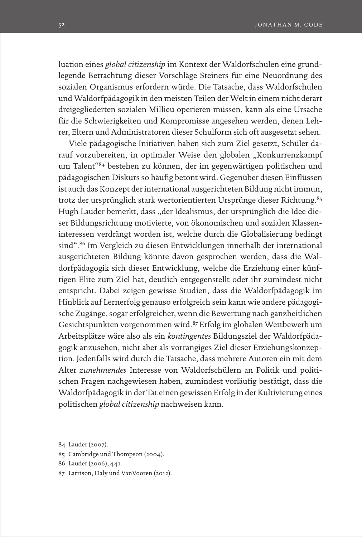luation eines *global citizenship* im Kontext der Waldorfschulen eine grundlegende Betrachtung dieser Vorschläge Steiners für eine Neuordnung des sozialen Organismus erfordern würde. Die Tatsache, dass Waldorfschulen und Waldorfpädagogik in den meisten Teilen der Welt in einem nicht derart dreigegliederten sozialen Millieu operieren müssen, kann als eine Ursache für die Schwierigkeiten und Kompromisse angesehen werden, denen Lehrer, Eltern und Administratoren dieser Schulform sich oft ausgesetzt sehen.

Viele pädagogische Initiativen haben sich zum Ziel gesetzt, Schüler darauf vorzubereiten, in optimaler Weise den globalen "Konkurrenzkampf um Talent"84 bestehen zu können, der im gegenwärtigen politischen und pädagogischen Diskurs so häufig betont wird. Gegenüber diesen Einflüssen ist auch das Konzept der international ausgerichteten Bildung nicht immun, trotz der ursprünglich stark wertorientierten Ursprünge dieser Richtung.<sup>85</sup> Hugh Lauder bemerkt, dass "der Idealismus, der ursprünglich die Idee dieser Bildungsrichtung motivierte, von ökonomischen und sozialen Klasseninteressen verdrängt worden ist, welche durch die Globalisierung bedingt sind".86 Im Vergleich zu diesen Entwicklungen innerhalb der international ausgerichteten Bildung könnte davon gesprochen werden, dass die Waldorfpädagogik sich dieser Entwicklung, welche die Erziehung einer künftigen Elite zum Ziel hat, deutlich entgegenstellt oder ihr zumindest nicht entspricht. Dabei zeigen gewisse Studien, dass die Waldorfpädagogik im Hinblick auf Lernerfolg genauso erfolgreich sein kann wie andere pädagogische Zugänge, sogar erfolgreicher, wenn die Bewertung nach ganzheitlichen Gesichtspunkten vorgenommen wird.87 Erfolg im globalen Wettbewerb um Arbeitsplätze wäre also als ein *kontingentes* Bildungsziel der Waldorfpädagogik anzusehen, nicht aber als vorrangiges Ziel dieser Erziehungskonzeption. Jedenfalls wird durch die Tatsache, dass mehrere Autoren ein mit dem Alter *zunehmendes* Interesse von Waldorfschülern an Politik und politischen Fragen nachgewiesen haben, zumindest vorläufig bestätigt, dass die Waldorfpädagogik in der Tat einen gewissen Erfolg in der Kultivierung eines politischen *global citizenship* nachweisen kann.

- 85 Cambridge und Thompson (2004).
- 86 Lauder (2006), 441.
- 87 Larrison, Daly und VanVooren (2012).

<sup>84</sup> Lauder (2007).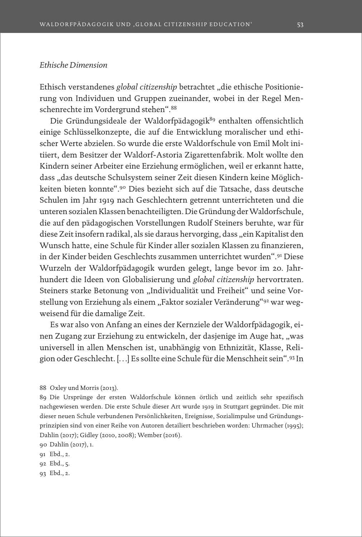## *Ethische Dimension*

Ethisch verstandenes *global citizenship* betrachtet "die ethische Positionierung von Individuen und Gruppen zueinander, wobei in der Regel Menschenrechte im Vordergrund stehen".88

Die Gründungsideale der Waldorfpädagogik<sup>89</sup> enthalten offensichtlich einige Schlüsselkonzepte, die auf die Entwicklung moralischer und ethischer Werte abzielen. So wurde die erste Waldorfschule von Emil Molt initiiert, dem Besitzer der Waldorf-Astoria Zigarettenfabrik. Molt wollte den Kindern seiner Arbeiter eine Erziehung ermöglichen, weil er erkannt hatte, dass "das deutsche Schulsystem seiner Zeit diesen Kindern keine Möglichkeiten bieten konnte".90 Dies bezieht sich auf die Tatsache, dass deutsche Schulen im Jahr 1919 nach Geschlechtern getrennt unterrichteten und die unteren sozialen Klassen benachteiligten. Die Gründung der Waldorfschule, die auf den pädagogischen Vorstellungen Rudolf Steiners beruhte, war für diese Zeit insofern radikal, als sie daraus hervorging, dass "ein Kapitalist den Wunsch hatte, eine Schule für Kinder aller sozialen Klassen zu finanzieren, in der Kinder beiden Geschlechts zusammen unterrichtet wurden".91 Diese Wurzeln der Waldorfpädagogik wurden gelegt, lange bevor im 20. Jahrhundert die Ideen von Globalisierung und *global citizenship* hervortraten. Steiners starke Betonung von "Individualität und Freiheit" und seine Vorstellung von Erziehung als einem "Faktor sozialer Veränderung"<sup>92</sup> war wegweisend für die damalige Zeit.

Es war also von Anfang an eines der Kernziele der Waldorfpädagogik, einen Zugang zur Erziehung zu entwickeln, der dasjenige im Auge hat, "was universell in allen Menschen ist, unabhängig von Ethnizität, Klasse, Religion oder Geschlecht. […] Es sollte eine Schule für die Menschheit sein".93 In

91 Ebd., 2.

92 Ebd., 5.

93 Ebd., 2.

<sup>88</sup> Oxley und Morris (2013).

<sup>89</sup> Die Ursprünge der ersten Waldorfschule können örtlich und zeitlich sehr spezifisch nachgewiesen werden. Die erste Schule dieser Art wurde 1919 in Stuttgart gegründet. Die mit dieser neuen Schule verbundenen Persönlichkeiten, Ereignisse, Sozialimpulse und Gründungsprinzipien sind von einer Reihe von Autoren detailiert beschrieben worden: Uhrmacher (1995); Dahlin (2017); Gidley (2010, 2008); Wember (2016).

<sup>90</sup> Dahlin (2017), 1.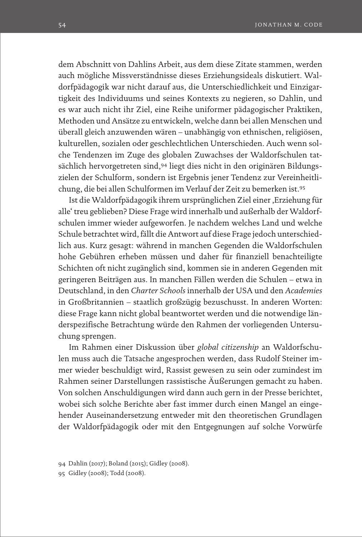dem Abschnitt von Dahlins Arbeit, aus dem diese Zitate stammen, werden auch mögliche Missverständnisse dieses Erziehungsideals diskutiert. Waldorfpädagogik war nicht darauf aus, die Unterschiedlichkeit und Einzigartigkeit des Individuums und seines Kontexts zu negieren, so Dahlin, und es war auch nicht ihr Ziel, eine Reihe uniformer pädagogischer Praktiken, Methoden und Ansätze zu entwickeln, welche dann bei allen Menschen und überall gleich anzuwenden wären – unabhängig von ethnischen, religiösen, kulturellen, sozialen oder geschlechtlichen Unterschieden. Auch wenn solche Tendenzen im Zuge des globalen Zuwachses der Waldorfschulen tatsächlich hervorgetreten sind,94 liegt dies nicht in den originären Bildungszielen der Schulform, sondern ist Ergebnis jener Tendenz zur Vereinheitlichung, die bei allen Schulformen im Verlauf der Zeit zu bemerken ist.95

Ist die Waldorfpädagogik ihrem ursprünglichen Ziel einer 'Erziehung für alle' treu geblieben? Diese Frage wird innerhalb und außerhalb der Waldorfschulen immer wieder aufgeworfen. Je nachdem welches Land und welche Schule betrachtet wird, fällt die Antwort auf diese Frage jedoch unterschiedlich aus. Kurz gesagt: während in manchen Gegenden die Waldorfschulen hohe Gebühren erheben müssen und daher für finanziell benachteiligte Schichten oft nicht zugänglich sind, kommen sie in anderen Gegenden mit geringeren Beiträgen aus. In manchen Fällen werden die Schulen – etwa in Deutschland, in den *Charter Schools* innerhalb der USA und den *Academies* in Großbritannien – staatlich großzügig bezuschusst. In anderen Worten: diese Frage kann nicht global beantwortet werden und die notwendige länderspezifische Betrachtung würde den Rahmen der vorliegenden Untersuchung sprengen.

Im Rahmen einer Diskussion über *global citizenship* an Waldorfschulen muss auch die Tatsache angesprochen werden, dass Rudolf Steiner immer wieder beschuldigt wird, Rassist gewesen zu sein oder zumindest im Rahmen seiner Darstellungen rassistische Äußerungen gemacht zu haben. Von solchen Anschuldigungen wird dann auch gern in der Presse berichtet, wobei sich solche Berichte aber fast immer durch einen Mangel an eingehender Auseinandersetzung entweder mit den theoretischen Grundlagen der Waldorfpädagogik oder mit den Entgegnungen auf solche Vorwürfe

<sup>94</sup> Dahlin (2017); Boland (2015); Gidley (2008).

<sup>95</sup> Gidley (2008); Todd (2008).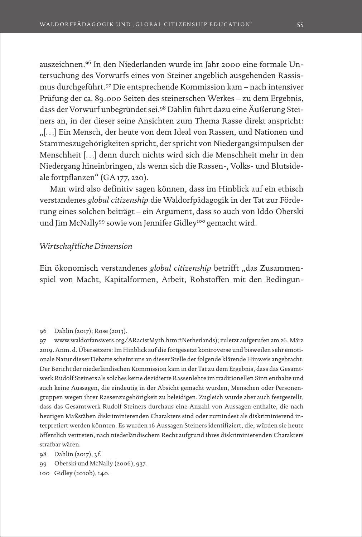auszeichnen.96 In den Niederlanden wurde im Jahr 2000 eine formale Untersuchung des Vorwurfs eines von Steiner angeblich ausgehenden Rassismus durchgeführt.97 Die entsprechende Kommission kam – nach intensiver Prüfung der ca. 89.000 Seiten des steinerschen Werkes – zu dem Ergebnis, dass der Vorwurf unbegründet sei.98 Dahlin führt dazu eine Äußerung Steiners an, in der dieser seine Ansichten zum Thema Rasse direkt anspricht: "[…] Ein Mensch, der heute von dem Ideal von Rassen, und Nationen und Stammeszugehörigkeiten spricht, der spricht von Niedergangsimpulsen der Menschheit […] denn durch nichts wird sich die Menschheit mehr in den Niedergang hineinbringen, als wenn sich die Rassen-, Volks- und Blutsideale fortpflanzen" (GA 177, 220).

Man wird also definitiv sagen können, dass im Hinblick auf ein ethisch verstandenes *global citizenship* die Waldorfpädagogik in der Tat zur Förderung eines solchen beiträgt – ein Argument, dass so auch von Iddo Oberski und Jim McNally<sup>99</sup> sowie von Jennifer Gidley<sup>100</sup> gemacht wird.

## *Wirtschaftliche Dimension*

Ein ökonomisch verstandenes *global citizenship* betrifft "das Zusammenspiel von Macht, Kapitalformen, Arbeit, Rohstoffen mit den Bedingun-

#### 96 Dahlin (2017); Rose (2013).

97 www.waldorfanswers.org/ARacistMyth.htm#Netherlands); zuletzt aufgerufen am 26. März 2019. Anm. d. Übersetzers: Im Hinblick auf die fortgesetzt kontroverse und bisweilen sehr emotionale Natur dieser Debatte scheint uns an dieser Stelle der folgende klärende Hinweis angebracht. Der Bericht der niederländischen Kommission kam in der Tat zu dem Ergebnis, dass das Gesamtwerk Rudolf Steiners als solches keine dezidierte Rassenlehre im traditionellen Sinn enthalte und auch keine Aussagen, die eindeutig in der Absicht gemacht wurden, Menschen oder Personengruppen wegen ihrer Rassenzugehörigkeit zu beleidigen. Zugleich wurde aber auch festgestellt, dass das Gesamtwerk Rudolf Steiners durchaus eine Anzahl von Aussagen enthalte, die nach heutigen Maßstäben diskriminierenden Charakters sind oder zumindest als diskriminierend interpretiert werden könnten. Es wurden 16 Aussagen Steiners identifiziert, die, würden sie heute öffentlich vertreten, nach niederländischem Recht aufgrund ihres diskriminierenden Charakters strafbar wären.

98 Dahlin (2017), 3 f.

99 Oberski und McNally (2006), 937.

100 Gidley (2010b), 140.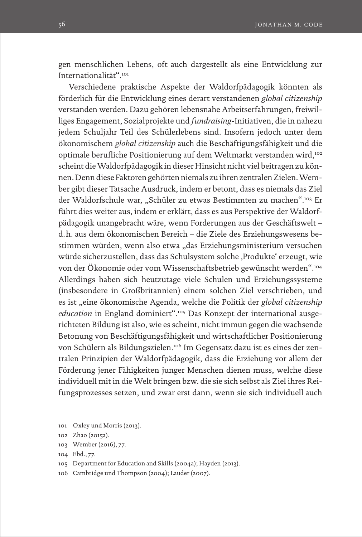gen menschlichen Lebens, oft auch dargestellt als eine Entwicklung zur Internationalität".101

Verschiedene praktische Aspekte der Waldorfpädagogik könnten als förderlich für die Entwicklung eines derart verstandenen *global citizenship* verstanden werden. Dazu gehören lebensnahe Arbeitserfahrungen, freiwilliges Engagement, Sozialprojekte und *fundraising*-Initiativen, die in nahezu jedem Schuljahr Teil des Schülerlebens sind. Insofern jedoch unter dem ökonomischem *global citizenship* auch die Beschäftigungsfähigkeit und die optimale berufliche Positionierung auf dem Weltmarkt verstanden wird,102 scheint die Waldorfpädagogik in dieser Hinsicht nicht viel beitragen zu können. Denn diese Faktoren gehörten niemals zu ihren zentralen Zielen. Wember gibt dieser Tatsache Ausdruck, indem er betont, dass es niemals das Ziel der Waldorfschule war, "Schüler zu etwas Bestimmten zu machen".103 Er führt dies weiter aus, indem er erklärt, dass es aus Perspektive der Waldorfpädagogik unangebracht wäre, wenn Forderungen aus der Geschäftswelt – d.h. aus dem ökonomischen Bereich – die Ziele des Erziehungswesens bestimmen würden, wenn also etwa "das Erziehungsministerium versuchen würde sicherzustellen, dass das Schulsystem solche ,Produkte' erzeugt, wie von der Ökonomie oder vom Wissenschaftsbetrieb gewünscht werden".104 Allerdings haben sich heutzutage viele Schulen und Erziehungssysteme (insbesondere in Großbritannien) einem solchen Ziel verschrieben, und es ist "eine ökonomische Agenda, welche die Politik der *global citizenship education* in England dominiert".105 Das Konzept der international ausgerichteten Bildung ist also, wie es scheint, nicht immun gegen die wachsende Betonung von Beschäftigungsfähigkeit und wirtschaftlicher Positionierung von Schülern als Bildungszielen.106 Im Gegensatz dazu ist es eines der zentralen Prinzipien der Waldorfpädagogik, dass die Erziehung vor allem der Förderung jener Fähigkeiten junger Menschen dienen muss, welche diese individuell mit in die Welt bringen bzw. die sie sich selbst als Ziel ihres Reifungsprozesses setzen, und zwar erst dann, wenn sie sich individuell auch

- 103 Wember (2016), 77.
- 104 Ebd., 77.
- 105 Department for Education and Skills (2004a); Hayden (2013).
- 106 Cambridge und Thompson (2004); Lauder (2007).

<sup>101</sup> Oxley und Morris (2013).

<sup>102</sup> Zhao (2015a).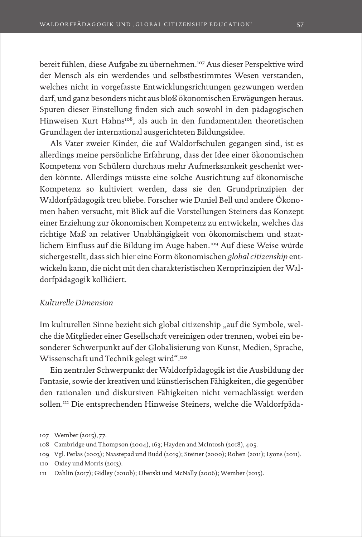bereit fühlen, diese Aufgabe zu übernehmen.107 Aus dieser Perspektive wird der Mensch als ein werdendes und selbstbestimmtes Wesen verstanden, welches nicht in vorgefasste Entwicklungsrichtungen gezwungen werden darf, und ganz besonders nicht aus bloß ökonomischen Erwägungen heraus. Spuren dieser Einstellung finden sich auch sowohl in den pädagogischen Hinweisen Kurt Hahns<sup>108</sup>, als auch in den fundamentalen theoretischen Grundlagen der international ausgerichteten Bildungsidee.

Als Vater zweier Kinder, die auf Waldorfschulen gegangen sind, ist es allerdings meine persönliche Erfahrung, dass der Idee einer ökonomischen Kompetenz von Schülern durchaus mehr Aufmerksamkeit geschenkt werden könnte. Allerdings müsste eine solche Ausrichtung auf ökonomische Kompetenz so kultiviert werden, dass sie den Grundprinzipien der Waldorfpädagogik treu bliebe. Forscher wie Daniel Bell und andere Ökonomen haben versucht, mit Blick auf die Vorstellungen Steiners das Konzept einer Erziehung zur ökonomischen Kompetenz zu entwickeln, welches das richtige Maß an relativer Unabhängigkeit von ökonomischem und staatlichem Einfluss auf die Bildung im Auge haben.109 Auf diese Weise würde sichergestellt, dass sich hier eine Form ökonomischen *global citizenship* entwickeln kann, die nicht mit den charakteristischen Kernprinzipien der Waldorfpädagogik kollidiert.

## *Kulturelle Dimension*

Im kulturellen Sinne bezieht sich global citizenship "auf die Symbole, welche die Mitglieder einer Gesellschaft vereinigen oder trennen, wobei ein besonderer Schwerpunkt auf der Globalisierung von Kunst, Medien, Sprache, Wissenschaft und Technik gelegt wird".110

Ein zentraler Schwerpunkt der Waldorfpädagogik ist die Ausbildung der Fantasie, sowie der kreativen und künstlerischen Fähigkeiten, die gegenüber den rationalen und diskursiven Fähigkeiten nicht vernachlässigt werden sollen.111 Die entsprechenden Hinweise Steiners, welche die Waldorfpäda-

<sup>107</sup> Wember (2015), 77.

<sup>108</sup> Cambridge und Thompson (2004), 163; Hayden and McIntosh (2018), 405.

<sup>109</sup> Vgl. Perlas (2003); Naastepad und Budd (2019); Steiner (2000); Rohen (2011); Lyons (2011).

<sup>110</sup> Oxley und Morris (2013).

<sup>111</sup> Dahlin (2017); Gidley (2010b); Oberski und McNally (2006); Wember (2015).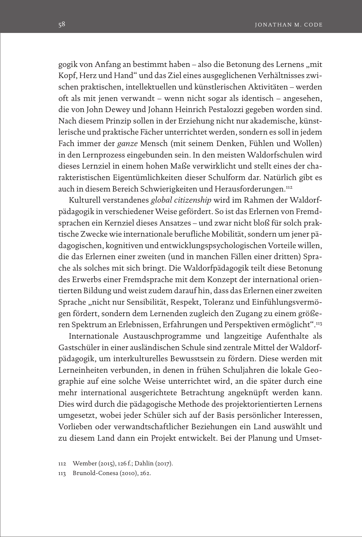gogik von Anfang an bestimmt haben – also die Betonung des Lernens "mit Kopf, Herz und Hand" und das Ziel eines ausgeglichenen Verhältnisses zwischen praktischen, intellektuellen und künstlerischen Aktivitäten – werden oft als mit jenen verwandt – wenn nicht sogar als identisch – angesehen, die von John Dewey und Johann Heinrich Pestalozzi gegeben worden sind. Nach diesem Prinzip sollen in der Erziehung nicht nur akademische, künstlerische und praktische Fächer unterrichtet werden, sondern es soll in jedem Fach immer der *ganze* Mensch (mit seinem Denken, Fühlen und Wollen) in den Lernprozess eingebunden sein. In den meisten Waldorfschulen wird dieses Lernziel in einem hohen Maße verwirklicht und stellt eines der charakteristischen Eigentümlichkeiten dieser Schulform dar. Natürlich gibt es auch in diesem Bereich Schwierigkeiten und Herausforderungen.112

Kulturell verstandenes *global citizenship* wird im Rahmen der Waldorfpädagogik in verschiedener Weise gefördert. So ist das Erlernen von Fremdsprachen ein Kernziel dieses Ansatzes – und zwar nicht bloß für solch praktische Zwecke wie internationale berufliche Mobilität, sondern um jener pädagogischen, kognitiven und entwicklungspsychologischen Vorteile willen, die das Erlernen einer zweiten (und in manchen Fällen einer dritten) Sprache als solches mit sich bringt. Die Waldorfpädagogik teilt diese Betonung des Erwerbs einer Fremdsprache mit dem Konzept der international orientierten Bildung und weist zudem darauf hin, dass das Erlernen einer zweiten Sprache "nicht nur Sensibilität, Respekt, Toleranz und Einfühlungsvermögen fördert, sondern dem Lernenden zugleich den Zugang zu einem größeren Spektrum an Erlebnissen, Erfahrungen und Perspektiven ermöglicht".113

Internationale Austauschprogramme und langzeitige Aufenthalte als Gastschüler in einer ausländischen Schule sind zentrale Mittel der Waldorfpädagogik, um interkulturelles Bewusstsein zu fördern. Diese werden mit Lerneinheiten verbunden, in denen in frühen Schuljahren die lokale Geographie auf eine solche Weise unterrichtet wird, an die später durch eine mehr international ausgerichtete Betrachtung angeknüpft werden kann. Dies wird durch die pädagogische Methode des projektorientierten Lernens umgesetzt, wobei jeder Schüler sich auf der Basis persönlicher Interessen, Vorlieben oder verwandtschaftlicher Beziehungen ein Land auswählt und zu diesem Land dann ein Projekt entwickelt. Bei der Planung und Umset-

<sup>112</sup> Wember (2015), 126 f.; Dahlin (2017).

<sup>113</sup> Brunold-Conesa (2010), 262.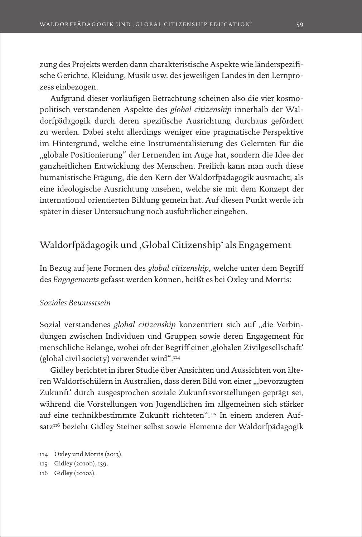zung des Projekts werden dann charakteristische Aspekte wie länderspezifische Gerichte, Kleidung, Musik usw. des jeweiligen Landes in den Lernprozess einbezogen.

Aufgrund dieser vorläufigen Betrachtung scheinen also die vier kosmopolitisch verstandenen Aspekte des *global citizenship* innerhalb der Waldorfpädagogik durch deren spezifische Ausrichtung durchaus gefördert zu werden. Dabei steht allerdings weniger eine pragmatische Perspektive im Hintergrund, welche eine Instrumentalisierung des Gelernten für die "globale Positionierung" der Lernenden im Auge hat, sondern die Idee der ganzheitlichen Entwicklung des Menschen. Freilich kann man auch diese humanistische Prägung, die den Kern der Waldorfpädagogik ausmacht, als eine ideologische Ausrichtung ansehen, welche sie mit dem Konzept der international orientierten Bildung gemein hat. Auf diesen Punkt werde ich später in dieser Untersuchung noch ausführlicher eingehen.

# Waldorfpädagogik und 'Global Citizenship' als Engagement

In Bezug auf jene Formen des *global citizenship*, welche unter dem Begriff des *Engagements* gefasst werden können, heißt es bei Oxley und Morris:

## *Soziales Bewusstsein*

Sozial verstandenes *global citizenship* konzentriert sich auf "die Verbindungen zwischen Individuen und Gruppen sowie deren Engagement für menschliche Belange, wobei oft der Begriff einer ,globalen Zivilgesellschaft' (global civil society) verwendet wird".114

Gidley berichtet in ihrer Studie über Ansichten und Aussichten von älteren Waldorfschülern in Australien, dass deren Bild von einer ", bevorzugten Zukunft' durch ausgesprochen soziale Zukunftsvorstellungen geprägt sei, während die Vorstellungen von Jugendlichen im allgemeinen sich stärker auf eine technikbestimmte Zukunft richteten".115 In einem anderen Aufsatz<sup>116</sup> bezieht Gidley Steiner selbst sowie Elemente der Waldorfpädagogik

114 Oxley und Morris (2013). 115 Gidley (2010b), 139. 116 Gidley (2010a).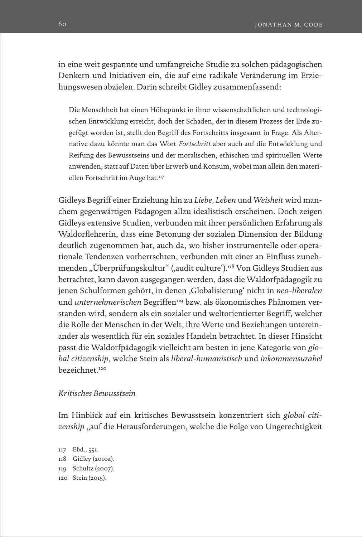in eine weit gespannte und umfangreiche Studie zu solchen pädagogischen Denkern und Initiativen ein, die auf eine radikale Veränderung im Erziehungswesen abzielen. Darin schreibt Gidley zusammenfassend:

Die Menschheit hat einen Höhepunkt in ihrer wissenschaftlichen und technologischen Entwicklung erreicht, doch der Schaden, der in diesem Prozess der Erde zugefügt worden ist, stellt den Begriff des Fortschritts insgesamt in Frage. Als Alternative dazu könnte man das Wort *Fortschritt* aber auch auf die Entwicklung und Reifung des Bewusstseins und der moralischen, ethischen und spirituellen Werte anwenden, statt auf Daten über Erwerb und Konsum, wobei man allein den materiellen Fortschritt im Auge hat.<sup>117</sup>

Gidleys Begriff einer Erziehung hin zu *Liebe, Leben* und *Weisheit* wird manchem gegenwärtigen Pädagogen allzu idealistisch erscheinen. Doch zeigen Gidleys extensive Studien, verbunden mit ihrer persönlichen Erfahrung als Waldorflehrerin, dass eine Betonung der sozialen Dimension der Bildung deutlich zugenommen hat, auch da, wo bisher instrumentelle oder operationale Tendenzen vorherrschten, verbunden mit einer an Einfluss zunehmenden "Überprüfungskultur" (,audit culture').<sup>118</sup> Von Gidleys Studien aus betrachtet, kann davon ausgegangen werden, dass die Waldorfpädagogik zu jenen Schulformen gehört, in denen 'Globalisierung' nicht in *neo-liberalen*  und *unternehmerischen* Begriffen<sup>119</sup> bzw. als ökonomisches Phänomen verstanden wird, sondern als ein sozialer und weltorientierter Begriff, welcher die Rolle der Menschen in der Welt, ihre Werte und Beziehungen untereinander als wesentlich für ein soziales Handeln betrachtet. In dieser Hinsicht passt die Waldorfpädagogik vielleicht am besten in jene Kategorie von *global citizenship*, welche Stein als *liberal-humanistisch* und *inkommensurabel*  bezeichnet.120

## *Kritisches Bewusstsein*

Im Hinblick auf ein kritisches Bewusstsein konzentriert sich *global citi*zenship, auf die Herausforderungen, welche die Folge von Ungerechtigkeit

 Ebd., 551. Gidley (2010a). Schultz (2007). Stein (2015).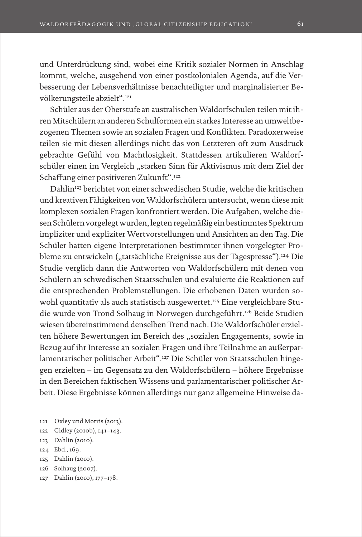und Unterdrückung sind, wobei eine Kritik sozialer Normen in Anschlag kommt, welche, ausgehend von einer postkolonialen Agenda, auf die Verbesserung der Lebensverhältnisse benachteiligter und marginalisierter Bevölkerungsteile abzielt".121

Schüler aus der Oberstufe an australischen Waldorfschulen teilen mit ihren Mitschülern an anderen Schulformen ein starkes Interesse an umweltbezogenen Themen sowie an sozialen Fragen und Konflikten. Paradoxerweise teilen sie mit diesen allerdings nicht das von Letzteren oft zum Ausdruck gebrachte Gefühl von Machtlosigkeit. Stattdessen artikulieren Waldorfschüler einen im Vergleich "starken Sinn für Aktivismus mit dem Ziel der Schaffung einer positiveren Zukunft".122

Dahlin123 berichtet von einer schwedischen Studie, welche die kritischen und kreativen Fähigkeiten von Waldorfschülern untersucht, wenn diese mit komplexen sozialen Fragen konfrontiert werden. Die Aufgaben, welche diesen Schülern vorgelegt wurden, legten regelmäßig ein bestimmtes Spektrum impliziter und expliziter Wertvorstellungen und Ansichten an den Tag. Die Schüler hatten eigene Interpretationen bestimmter ihnen vorgelegter Probleme zu entwickeln ("tatsächliche Ereignisse aus der Tagespresse").<sup>124</sup> Die Studie verglich dann die Antworten von Waldorfschülern mit denen von Schülern an schwedischen Staatsschulen und evaluierte die Reaktionen auf die entsprechenden Problemstellungen. Die erhobenen Daten wurden sowohl quantitativ als auch statistisch ausgewertet.<sup>125</sup> Eine vergleichbare Studie wurde von Trond Solhaug in Norwegen durchgeführt.<sup>126</sup> Beide Studien wiesen übereinstimmend denselben Trend nach. Die Waldorfschüler erzielten höhere Bewertungen im Bereich des "sozialen Engagements, sowie in Bezug auf ihr Interesse an sozialen Fragen und ihre Teilnahme an außerparlamentarischer politischer Arbeit".127 Die Schüler von Staatsschulen hingegen erzielten – im Gegensatz zu den Waldorfschülern – höhere Ergebnisse in den Bereichen faktischen Wissens und parlamentarischer politischer Arbeit. Diese Ergebnisse können allerdings nur ganz allgemeine Hinweise da-

- 121 Oxley und Morris (2013).
- 122 Gidley (2010b), 141–143.
- 123 Dahlin (2010).
- 124 Ebd., 169.
- 125 Dahlin (2010).
- 126 Solhaug (2007).
- 127 Dahlin (2010), 177–178.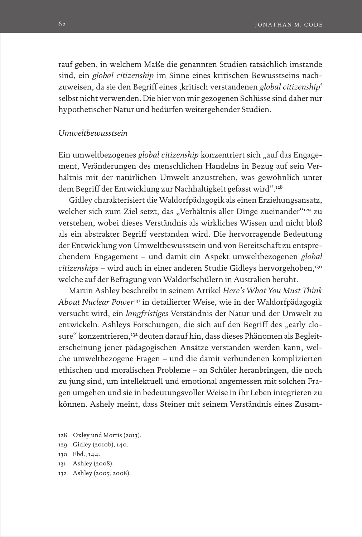rauf geben, in welchem Maße die genannten Studien tatsächlich imstande sind, ein *global citizenship* im Sinne eines kritischen Bewusstseins nachzuweisen, da sie den Begriff eines ,kritisch verstandenen *global citizenship*' selbst nicht verwenden. Die hier von mir gezogenen Schlüsse sind daher nur hypothetischer Natur und bedürfen weitergehender Studien.

## *Umweltbewusstsein*

Ein umweltbezogenes *global citizenship* konzentriert sich "auf das Engagement, Veränderungen des menschlichen Handelns in Bezug auf sein Verhältnis mit der natürlichen Umwelt anzustreben, was gewöhnlich unter dem Begriff der Entwicklung zur Nachhaltigkeit gefasst wird".128

Gidley charakterisiert die Waldorfpädagogik als einen Erziehungsansatz, welcher sich zum Ziel setzt, das "Verhältnis aller Dinge zueinander"<sup>129</sup> zu verstehen, wobei dieses Verständnis als wirkliches Wissen und nicht bloß als ein abstrakter Begriff verstanden wird. Die hervorragende Bedeutung der Entwicklung von Umweltbewusstsein und von Bereitschaft zu entsprechendem Engagement – und damit ein Aspekt umweltbezogenen *global citizenships* – wird auch in einer anderen Studie Gidleys hervorgehoben,130 welche auf der Befragung von Waldorfschülern in Australien beruht.

Martin Ashley beschreibt in seinem Artikel *Here's What You Must Think About Nuclear Power*131 in detailierter Weise, wie in der Waldorfpädagogik versucht wird, ein *langfristiges* Verständnis der Natur und der Umwelt zu entwickeln. Ashleys Forschungen, die sich auf den Begriff des "early closure" konzentrieren,<sup>132</sup> deuten darauf hin, dass dieses Phänomen als Begleiterscheinung jener pädagogischen Ansätze verstanden werden kann, welche umweltbezogene Fragen – und die damit verbundenen komplizierten ethischen und moralischen Probleme – an Schüler heranbringen, die noch zu jung sind, um intellektuell und emotional angemessen mit solchen Fragen umgehen und sie in bedeutungsvoller Weise in ihr Leben integrieren zu können. Ashely meint, dass Steiner mit seinem Verständnis eines Zusam-

- 128 Oxley und Morris (2013).
- 129 Gidley (2010b), 140.
- 130 Ebd., 144.
- 131 Ashley (2008).
- 132 Ashley (2005, 2008).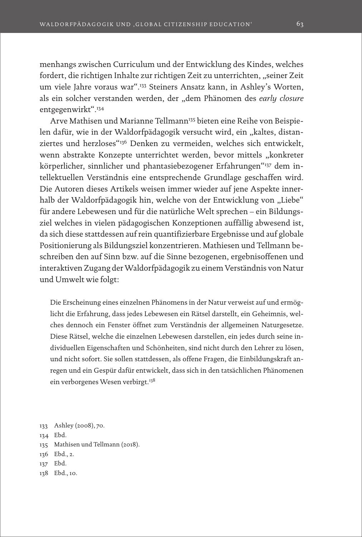menhangs zwischen Curriculum und der Entwicklung des Kindes, welches fordert, die richtigen Inhalte zur richtigen Zeit zu unterrichten, "seiner Zeit um viele Jahre voraus war".133 Steiners Ansatz kann, in Ashley's Worten, als ein solcher verstanden werden, der "dem Phänomen des *early closure* entgegenwirkt".134

Arve Mathisen und Marianne Tellmann<sup>135</sup> bieten eine Reihe von Beispielen dafür, wie in der Waldorfpädagogik versucht wird, ein "kaltes, distanziertes und herzloses"136 Denken zu vermeiden, welches sich entwickelt, wenn abstrakte Konzepte unterrichtet werden, bevor mittels "konkreter körperlicher, sinnlicher und phantasiebezogener Erfahrungen"<sup>137</sup> dem intellektuellen Verständnis eine entsprechende Grundlage geschaffen wird. Die Autoren dieses Artikels weisen immer wieder auf jene Aspekte innerhalb der Waldorfpädagogik hin, welche von der Entwicklung von "Liebe" für andere Lebewesen und für die natürliche Welt sprechen – ein Bildungsziel welches in vielen pädagogischen Konzeptionen auffällig abwesend ist, da sich diese stattdessen auf rein quantifizierbare Ergebnisse und auf globale Positionierung als Bildungsziel konzentrieren. Mathiesen und Tellmann beschreiben den auf Sinn bzw. auf die Sinne bezogenen, ergebnisoffenen und interaktiven Zugang der Waldorfpädagogik zu einem Verständnis von Natur und Umwelt wie folgt:

Die Erscheinung eines einzelnen Phänomens in der Natur verweist auf und ermöglicht die Erfahrung, dass jedes Lebewesen ein Rätsel darstellt, ein Geheimnis, welches dennoch ein Fenster öffnet zum Verständnis der allgemeinen Naturgesetze. Diese Rätsel, welche die einzelnen Lebewesen darstellen, ein jedes durch seine individuellen Eigenschaften und Schönheiten, sind nicht durch den Lehrer zu lösen, und nicht sofort. Sie sollen stattdessen, als offene Fragen, die Einbildungskraft anregen und ein Gespür dafür entwickelt, dass sich in den tatsächlichen Phänomenen ein verborgenes Wesen verbirgt.<sup>138</sup>

- 134 Ebd.
- 135 Mathisen und Tellmann (2018).
- 136 Ebd., 2.
- 137 Ebd.
- 138 Ebd., 10.

<sup>133</sup> Ashley (2008), 70.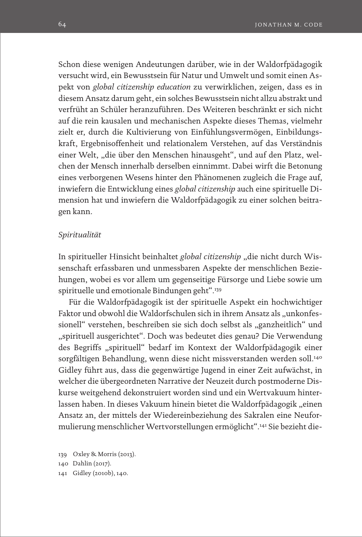Schon diese wenigen Andeutungen darüber, wie in der Waldorfpädagogik versucht wird, ein Bewusstsein für Natur und Umwelt und somit einen Aspekt von *global citizenship education* zu verwirklichen, zeigen, dass es in diesem Ansatz darum geht, ein solches Bewusstsein nicht allzu abstrakt und verfrüht an Schüler heranzuführen. Des Weiteren beschränkt er sich nicht auf die rein kausalen und mechanischen Aspekte dieses Themas, vielmehr zielt er, durch die Kultivierung von Einfühlungsvermögen, Einbildungskraft, Ergebnisoffenheit und relationalem Verstehen, auf das Verständnis einer Welt, "die über den Menschen hinausgeht", und auf den Platz, welchen der Mensch innerhalb derselben einnimmt. Dabei wirft die Betonung eines verborgenen Wesens hinter den Phänomenen zugleich die Frage auf, inwiefern die Entwicklung eines *global citizenship* auch eine spirituelle Dimension hat und inwiefern die Waldorfpädagogik zu einer solchen beitragen kann.

### *Spiritualität*

In spiritueller Hinsicht beinhaltet *global citizenship* "die nicht durch Wissenschaft erfassbaren und unmessbaren Aspekte der menschlichen Beziehungen, wobei es vor allem um gegenseitige Fürsorge und Liebe sowie um spirituelle und emotionale Bindungen geht".139

Für die Waldorfpädagogik ist der spirituelle Aspekt ein hochwichtiger Faktor und obwohl die Waldorfschulen sich in ihrem Ansatz als "unkonfessionell" verstehen, beschreiben sie sich doch selbst als "ganzheitlich" und "spirituell ausgerichtet". Doch was bedeutet dies genau? Die Verwendung des Begriffs "spirituell" bedarf im Kontext der Waldorfpädagogik einer sorgfältigen Behandlung, wenn diese nicht missverstanden werden soll.<sup>140</sup> Gidley führt aus, dass die gegenwärtige Jugend in einer Zeit aufwächst, in welcher die übergeordneten Narrative der Neuzeit durch postmoderne Diskurse weitgehend dekonstruiert worden sind und ein Wertvakuum hinterlassen haben. In dieses Vakuum hinein bietet die Waldorfpädagogik "einen Ansatz an, der mittels der Wiedereinbeziehung des Sakralen eine Neuformulierung menschlicher Wertvorstellungen ermöglicht".141 Sie bezieht die-

139 Oxley & Morris (2013). 140 Dahlin (2017). 141 Gidley (2010b), 140.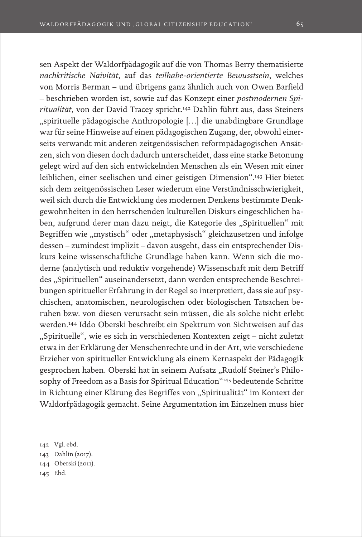sen Aspekt der Waldorfpädagogik auf die von Thomas Berry thematisierte *nachkritische Naivität*, auf das *teilhabe-orientierte Bewusstsein*, welches von Morris Berman – und übrigens ganz ähnlich auch von Owen Barfield – beschrieben worden ist, sowie auf das Konzept einer *postmodernen Spiritualität*, von der David Tracey spricht.142 Dahlin führt aus, dass Steiners "spirituelle pädagogische Anthropologie […] die unabdingbare Grundlage war für seine Hinweise auf einen pädagogischen Zugang, der, obwohl einerseits verwandt mit anderen zeitgenössischen reformpädagogischen Ansätzen, sich von diesen doch dadurch unterscheidet, dass eine starke Betonung gelegt wird auf den sich entwickelnden Menschen als ein Wesen mit einer leiblichen, einer seelischen und einer geistigen Dimension".143 Hier bietet sich dem zeitgenössischen Leser wiederum eine Verständnisschwierigkeit, weil sich durch die Entwicklung des modernen Denkens bestimmte Denkgewohnheiten in den herrschenden kulturellen Diskurs eingeschlichen haben, aufgrund derer man dazu neigt, die Kategorie des "Spirituellen" mit Begriffen wie "mystisch" oder "metaphysisch" gleichzusetzen und infolge dessen – zumindest implizit – davon ausgeht, dass ein entsprechender Diskurs keine wissenschaftliche Grundlage haben kann. Wenn sich die moderne (analytisch und reduktiv vorgehende) Wissenschaft mit dem Betriff des "Spirituellen" auseinandersetzt, dann werden entsprechende Beschreibungen spiritueller Erfahrung in der Regel so interpretiert, dass sie auf psychischen, anatomischen, neurologischen oder biologischen Tatsachen beruhen bzw. von diesen verursacht sein müssen, die als solche nicht erlebt werden.144 Iddo Oberski beschreibt ein Spektrum von Sichtweisen auf das "Spirituelle", wie es sich in verschiedenen Kontexten zeigt – nicht zuletzt etwa in der Erklärung der Menschenrechte und in der Art, wie verschiedene Erzieher von spiritueller Entwicklung als einem Kernaspekt der Pädagogik gesprochen haben. Oberski hat in seinem Aufsatz "Rudolf Steiner's Philosophy of Freedom as a Basis for Spiritual Education"<sup>145</sup> bedeutende Schritte in Richtung einer Klärung des Begriffes von "Spiritualität" im Kontext der Waldorfpädagogik gemacht. Seine Argumentation im Einzelnen muss hier

 Vgl. ebd. Dahlin (2017). Oberski (2011). 145 Ebd.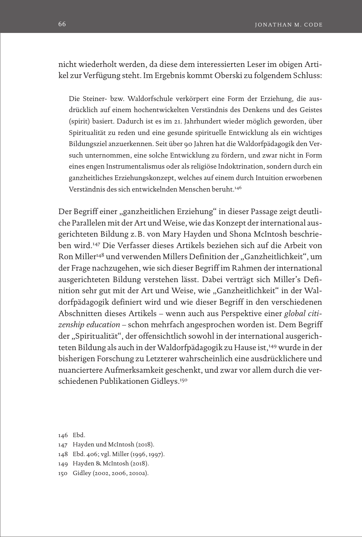nicht wiederholt werden, da diese dem interessierten Leser im obigen Artikel zur Verfügung steht. Im Ergebnis kommt Oberski zu folgendem Schluss:

Die Steiner- bzw. Waldorfschule verkörpert eine Form der Erziehung, die ausdrücklich auf einem hochentwickelten Verständnis des Denkens und des Geistes (spirit) basiert. Dadurch ist es im 21. Jahrhundert wieder möglich geworden, über Spiritualität zu reden und eine gesunde spirituelle Entwicklung als ein wichtiges Bildungsziel anzuerkennen. Seit über 90 Jahren hat die Waldorfpädagogik den Versuch unternommen, eine solche Entwicklung zu fördern, und zwar nicht in Form eines engen Instrumentalismus oder als religiöse Indoktrination, sondern durch ein ganzheitliches Erziehungskonzept, welches auf einem durch Intuition erworbenen Verständnis des sich entwickelnden Menschen beruht.146

Der Begriff einer "ganzheitlichen Erziehung" in dieser Passage zeigt deutliche Parallelen mit der Art und Weise, wie das Konzept der international ausgerichteten Bildung z.B. von Mary Hayden und Shona McIntosh beschrieben wird.147 Die Verfasser dieses Artikels beziehen sich auf die Arbeit von Ron Miller<sup>148</sup> und verwenden Millers Definition der "Ganzheitlichkeit", um der Frage nachzugehen, wie sich dieser Begriff im Rahmen der international ausgerichteten Bildung verstehen lässt. Dabei verträgt sich Miller's Definition sehr gut mit der Art und Weise, wie "Ganzheitlichkeit" in der Waldorfpädagogik definiert wird und wie dieser Begriff in den verschiedenen Abschnitten dieses Artikels – wenn auch aus Perspektive einer *global citizenship education* – schon mehrfach angesprochen worden ist. Dem Begriff der "Spiritualität", der offensichtlich sowohl in der international ausgerichteten Bildung als auch in der Waldorfpädagogik zu Hause ist,<sup>149</sup> wurde in der bisherigen Forschung zu Letzterer wahrscheinlich eine ausdrücklichere und nuanciertere Aufmerksamkeit geschenkt, und zwar vor allem durch die verschiedenen Publikationen Gidleys.150

- 147 Hayden und McIntosh (2018).
- 148 Ebd. 406; vgl. Miller (1996, 1997).
- 149 Hayden & McIntosh (2018).
- 150 Gidley (2002, 2006, 2010a).

<sup>146</sup> Ebd.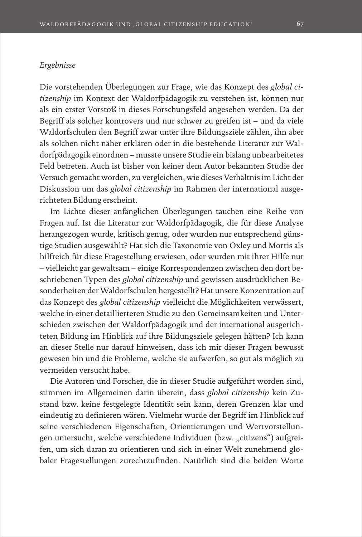## *Ergebnisse*

Die vorstehenden Überlegungen zur Frage, wie das Konzept des *global citizenship* im Kontext der Waldorfpädagogik zu verstehen ist, können nur als ein erster Vorstoß in dieses Forschungsfeld angesehen werden. Da der Begriff als solcher kontrovers und nur schwer zu greifen ist – und da viele Waldorfschulen den Begriff zwar unter ihre Bildungsziele zählen, ihn aber als solchen nicht näher erklären oder in die bestehende Literatur zur Waldorfpädagogik einordnen – musste unsere Studie ein bislang unbearbeitetes Feld betreten. Auch ist bisher von keiner dem Autor bekannten Studie der Versuch gemacht worden, zu vergleichen, wie dieses Verhältnis im Licht der Diskussion um das *global citizenship* im Rahmen der international ausgerichteten Bildung erscheint.

Im Lichte dieser anfänglichen Überlegungen tauchen eine Reihe von Fragen auf. Ist die Literatur zur Waldorfpädagogik, die für diese Analyse herangezogen wurde, kritisch genug, oder wurden nur entsprechend günstige Studien ausgewählt? Hat sich die Taxonomie von Oxley und Morris als hilfreich für diese Fragestellung erwiesen, oder wurden mit ihrer Hilfe nur – vielleicht gar gewaltsam – einige Korrespondenzen zwischen den dort beschriebenen Typen des *global citizenship* und gewissen ausdrücklichen Besonderheiten der Waldorfschulen hergestellt? Hat unsere Konzentration auf das Konzept des *global citizenship* vielleicht die Möglichkeiten verwässert, welche in einer detaillierteren Studie zu den Gemeinsamkeiten und Unterschieden zwischen der Waldorfpädagogik und der international ausgerichteten Bildung im Hinblick auf ihre Bildungsziele gelegen hätten? Ich kann an dieser Stelle nur darauf hinweisen, dass ich mir dieser Fragen bewusst gewesen bin und die Probleme, welche sie aufwerfen, so gut als möglich zu vermeiden versucht habe.

Die Autoren und Forscher, die in dieser Studie aufgeführt worden sind, stimmen im Allgemeinen darin überein, dass *global citizenship* kein Zustand bzw. keine festgelegte Identität sein kann, deren Grenzen klar und eindeutig zu definieren wären. Vielmehr wurde der Begriff im Hinblick auf seine verschiedenen Eigenschaften, Orientierungen und Wertvorstellungen untersucht, welche verschiedene Individuen (bzw. "citizens") aufgreifen, um sich daran zu orientieren und sich in einer Welt zunehmend globaler Fragestellungen zurechtzufinden. Natürlich sind die beiden Worte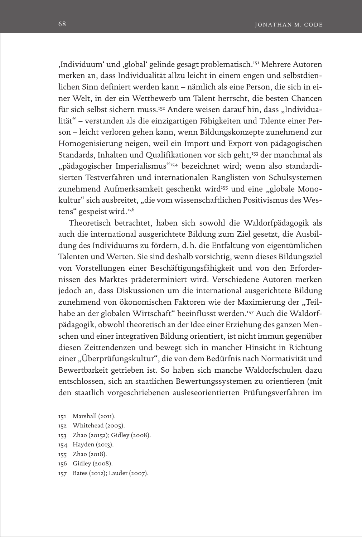'Individuum' und 'global' gelinde gesagt problematisch.151 Mehrere Autoren merken an, dass Individualität allzu leicht in einem engen und selbstdienlichen Sinn definiert werden kann – nämlich als eine Person, die sich in einer Welt, in der ein Wettbewerb um Talent herrscht, die besten Chancen für sich selbst sichern muss.<sup>152</sup> Andere weisen darauf hin, dass "Individualität" – verstanden als die einzigartigen Fähigkeiten und Talente einer Person – leicht verloren gehen kann, wenn Bildungskonzepte zunehmend zur Homogenisierung neigen, weil ein Import und Export von pädagogischen Standards, Inhalten und Qualifikationen vor sich geht,<sup>153</sup> der manchmal als "pädagogischer Imperialismus"<sup>154</sup> bezeichnet wird; wenn also standardisierten Testverfahren und internationalen Ranglisten von Schulsystemen zunehmend Aufmerksamkeit geschenkt wird<sup>155</sup> und eine "globale Monokultur" sich ausbreitet, "die vom wissenschaftlichen Positivismus des Westens" gespeist wird.156

Theoretisch betrachtet, haben sich sowohl die Waldorfpädagogik als auch die international ausgerichtete Bildung zum Ziel gesetzt, die Ausbildung des Individuums zu fördern, d.h. die Entfaltung von eigentümlichen Talenten und Werten. Sie sind deshalb vorsichtig, wenn dieses Bildungsziel von Vorstellungen einer Beschäftigungsfähigkeit und von den Erfordernissen des Marktes prädeterminiert wird. Verschiedene Autoren merken jedoch an, dass Diskussionen um die international ausgerichtete Bildung zunehmend von ökonomischen Faktoren wie der Maximierung der "Teilhabe an der globalen Wirtschaft" beeinflusst werden.157 Auch die Waldorfpädagogik, obwohl theoretisch an der Idee einer Erziehung des ganzen Menschen und einer integrativen Bildung orientiert, ist nicht immun gegenüber diesen Zeittendenzen und bewegt sich in mancher Hinsicht in Richtung einer "Überprüfungskultur", die von dem Bedürfnis nach Normativität und Bewertbarkeit getrieben ist. So haben sich manche Waldorfschulen dazu entschlossen, sich an staatlichen Bewertungssystemen zu orientieren (mit den staatlich vorgeschriebenen ausleseorientierten Prüfungsverfahren im

- 151 Marshall (2011).
- 152 Whitehead (2005).
- 153 Zhao (2015a); Gidley (2008).
- 154 Hayden (2013).
- 155 Zhao (2018).
- 156 Gidley (2008).
- 157 Bates (2012); Lauder (2007).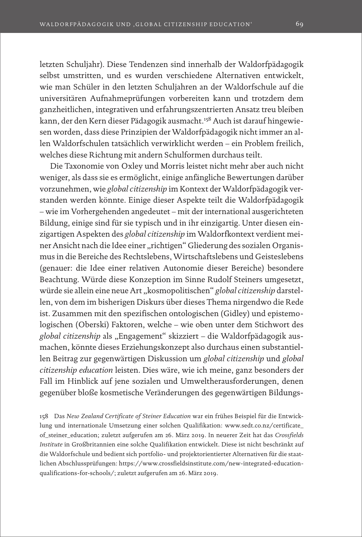letzten Schuljahr). Diese Tendenzen sind innerhalb der Waldorfpädagogik selbst umstritten, und es wurden verschiedene Alternativen entwickelt, wie man Schüler in den letzten Schuljahren an der Waldorfschule auf die universitären Aufnahmeprüfungen vorbereiten kann und trotzdem dem ganzheitlichen, integrativen und erfahrungszentrierten Ansatz treu bleiben kann, der den Kern dieser Pädagogik ausmacht.<sup>158</sup> Auch ist darauf hingewiesen worden, dass diese Prinzipien der Waldorfpädagogik nicht immer an allen Waldorfschulen tatsächlich verwirklicht werden – ein Problem freilich, welches diese Richtung mit andern Schulformen durchaus teilt.

Die Taxonomie von Oxley und Morris leistet nicht mehr aber auch nicht weniger, als dass sie es ermöglicht, einige anfängliche Bewertungen darüber vorzunehmen, wie *global citizenship* im Kontext der Waldorfpädagogik verstanden werden könnte. Einige dieser Aspekte teilt die Waldorfpädagogik – wie im Vorhergehenden angedeutet – mit der international ausgerichteten Bildung, einige sind für sie typisch und in ihr einzigartig. Unter diesen einzigartigen Aspekten des *global citizenship* im Waldorfkontext verdient meiner Ansicht nach die Idee einer "richtigen" Gliederung des sozialen Organismus in die Bereiche des Rechtslebens, Wirtschaftslebens und Geisteslebens (genauer: die Idee einer relativen Autonomie dieser Bereiche) besondere Beachtung. Würde diese Konzeption im Sinne Rudolf Steiners umgesetzt, würde sie allein eine neue Art "kosmopolitischen" global citizenship darstellen, von dem im bisherigen Diskurs über dieses Thema nirgendwo die Rede ist. Zusammen mit den spezifischen ontologischen (Gidley) und epistemologischen (Oberski) Faktoren, welche – wie oben unter dem Stichwort des *global citizenship* als "Engagement" skizziert – die Waldorfpädagogik ausmachen, könnte dieses Erziehungskonzept also durchaus einen substantiellen Beitrag zur gegenwärtigen Diskussion um *global citizenship* und *global citizenship education* leisten. Dies wäre, wie ich meine, ganz besonders der Fall im Hinblick auf jene sozialen und Umweltherausforderungen, denen gegenüber bloße kosmetische Veränderungen des gegenwärtigen Bildungs-

158 Das *New Zealand Certificate of Steiner Education* war ein frühes Beispiel für die Entwicklung und internationale Umsetzung einer solchen Qualifikation: [www.sedt.co.nz/certificate\\_](http://www.sedt.co.nz/certificate_of_steiner_education) [of\\_steiner\\_education;](http://www.sedt.co.nz/certificate_of_steiner_education) zuletzt aufgerufen am 26. März 2019. In neuerer Zeit hat das *Crossfields Institute* in Großbritannien eine solche Qualifikation entwickelt. Diese ist nicht beschränkt auf die Waldorfschule und bedient sich portfolio- und projektorientierter Alternativen für die staatlichen Abschlussprüfungen: [https://www.crossfieldsinstitute.com/new-integrated-education](https://www.crossfieldsinstitute.com/new-integrated-education-qualifications-for-schools/)[qualifications-for-schools/;](https://www.crossfieldsinstitute.com/new-integrated-education-qualifications-for-schools/) zuletzt aufgerufen am 26. März 2019.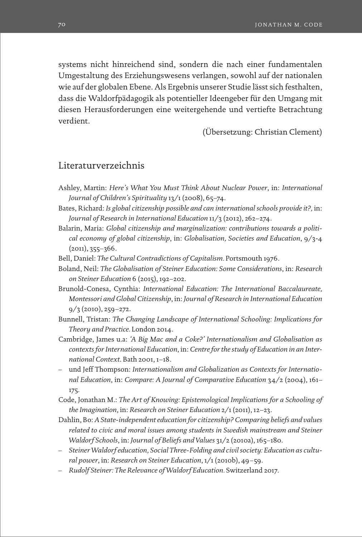systems nicht hinreichend sind, sondern die nach einer fundamentalen Umgestaltung des Erziehungswesens verlangen, sowohl auf der nationalen wie auf der globalen Ebene. Als Ergebnis unserer Studie lässt sich festhalten, dass die Waldorfpädagogik als potentieller Ideengeber für den Umgang mit diesen Herausforderungen eine weitergehende und vertiefte Betrachtung verdient.

(Übersetzung: Christian Clement)

# Literaturverzeichnis

- Ashley, Martin: *Here's What You Must Think About Nuclear Power*, in: *International Journal of Children's Spirituality* 13/1 (2008), 65–74.
- Bates, Richard: *Is global citizenship possible and can international schools provide it?,* in: *Journal of Research in International Education* 11/3 (2012), 262–274.
- Balarin, Maria: *Global citizenship and marginalization: contributions towards a political economy of global citizenship*, in: *Globalisation, Societies and Education*, 9/3-4  $(2011), 355 - 366.$
- Bell, Daniel: *The Cultural Contradictions of Capitalism.* Portsmouth 1976.
- Boland, Neil: *The Globalisation of Steiner Education: Some Considerations*, in: *Research on Steiner Education* 6 (2015), 192–202.
- Brunold-Conesa, Cynthia: *International Education: The International Baccalaureate, Montessori and Global Citizenship*, in: *Journal of Research in International Education*   $9/3$  (2010), 259–272.
- Bunnell, Tristan: *The Changing Landscape of International Schooling: Implications for Theory and Practice.* London 2014.
- Cambridge, James u.a: *'A Big Mac and a Coke?' Internationalism and Globalisation as contexts for International Education*, in: *Centre for the study of Education in an International Context*. Bath 2001, 1–18.
- und Jeff Thompson: *Internationalism and Globalization as Contexts for International Education*, in: *Compare: A Journal of Comparative Education* 34/2 (2004), 161– 175.
- Code, Jonathan M.: *The Art of Knowing: Epistemological Implications for a Schooling of the Imagination*, in: *Research on Steiner Education* 2/1 (2011), 12–23.
- Dahlin, Bo: *A State-independent education for citizenship? Comparing beliefs and values related to civic and moral issues among students in Swedish mainstream and Steiner Waldorf Schools*, in: *Journal of Beliefs and Values* 31/2 (2010a), 165–180.
- *Steiner Waldorf education, Social Three-Folding and civil society: Education as cultural power*, in: *Research on Steiner Education*, 1/1 (2010b), 49–59.
- *Rudolf Steiner: The Relevance of Waldorf Education.* Switzerland 2017.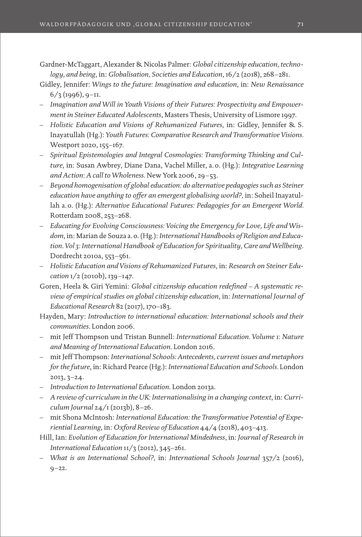Gardner-McTaggart, Alexander & Nicolas Palmer: *Global citizenship education, technology, and being*, in: *Globalisation, Societies and Education*, 16/2 (2018), 268–281.

- Gidley, Jennifer: *Wings to the future: Imagination and education*, in: *New Renaissance*  $6/3$  (1996), 9-11.
- *Imagination and Will in Youth Visions of their Futures: Prospectivity and Empowerment in Steiner Educated Adolescents*, Masters Thesis, University of Lismore 1997.
- *Holistic Education and Visions of Rehumanized Futures*, in: Gidley, Jennifer & S. Inayatullah (Hg.): *Youth Futures: Comparative Research and Transformative Visions.* Westport 2020, 155–167.
- *Spiritual Epistemologies and Integral Cosmologies: Transforming Thinking and Culture*, in: Susan Awbrey, Diane Dana, Vachel Miller, a.o. (Hg.): *Integrative Learning and Action: A call to Wholeness.* New York 2006, 29–53.
- *Beyond homogenisation of global education: do alternative pedagogies such as Steiner education have anything to offer an emergent globalising world?,* in: Soheil Inayatullah a.o. (Hg.): *Alternative Educational Futures: Pedagogies for an Emergent World.*  Rotterdam 2008, 253–268.
- *Educating for Evolving Consciousness: Voicing the Emergency for Love, Life and Wisdom*, in: Marian de Souza a.o. (Hg.): *International Handbooks of Religion and Education*. *Vol 3: International Handbook of Education for Spirituality, Care and Wellbeing*. Dordrecht 2010a, 553–561.
- *Holistic Education and Visions of Rehumanized Futures*, in: *Research on Steiner Education* 1/2 (2010b), 139–147.
- Goren, Heela & Giri Yemini: *Global citizenship education redefined A systematic review of empirical studies on global citizenship education*, in: *International Journal of Educational Research* 82 (2017), 170–183.
- Hayden, Mary: *Introduction to international education: International schools and their communities*. London 2006.
- mit Jeff Thompson und Tristan Bunnell: *International Education. Volume 1: Nature and Meaning of International Education*. London 2016.
- mit Jeff Thompson: *International Schools: Antecedents, current issues and metaphors for the future*, in: Richard Pearce (Hg.): *International Education and Schools.* London 2013, 3–24.
- *Introduction to International Education*. London 2013a.
- *A review of curriculum in the UK: Internationalising in a changing context*, in: *Curriculum Journal* 24/1 (2013b), 8–26.
- mit Shona McIntosh: *International Education: the Transformative Potential of Experiential Learning*, in: *Oxford Review of Education* 44/4 (2018), 403–413.
- Hill, Ian: *Evolution of Education for International Mindedness*, in: *Journal of Research in International Education* 11/3 (2012), 345–261.
- *What is an International School?,* in: *International Schools Journal* 357/2 (2016),  $9 - 22.$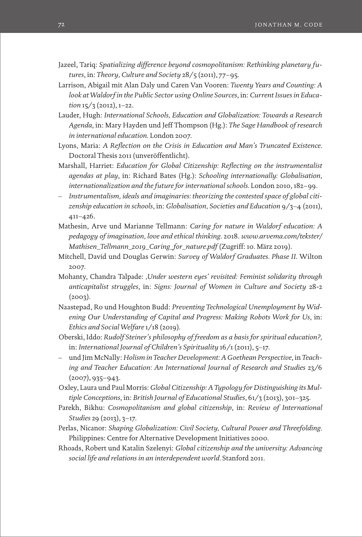- Jazeel, Tariq: *Spatializing difference beyond cosmopolitanism: Rethinking planetary futures*, in: *Theory, Culture and Society* 28/5 (2011), 77–95.
- Larrison, Abigail mit Alan Daly und Caren Van Vooren: *Twenty Years and Counting: A look at Waldorf in the Public Sector using Online Sources*, in: *Current Issues in Education* 15/3 (2012), 1–22.
- Lauder, Hugh: *International Schools, Education and Globalization: Towards a Research Agenda*, in: Mary Hayden und Jeff Thompson (Hg.): *The Sage Handbook of research in international education*. London 2007.
- Lyons, Maria: *A Reflection on the Crisis in Education and Man's Truncated Existence*. Doctoral Thesis 2011 (unveröffentlicht).
- Marshall, Harriet: *Education for Global Citizenship: Reflecting on the instrumentalist agendas at play*, in: Richard Bates (Hg.): *Schooling internationally: Globalisation, internationalization and the future for international schools.* London 2010, 182–99.
- *Instrumentalism, ideals and imaginaries: theorizing the contested space of global citizenship education in schools*, in: *Globalisation, Societies and Education* 9/3–4 (2011), 411–426.
- Mathesin, Arve und Marianne Tellmann: *Caring for nature in Waldorf education: A pedagogy of imagination, love and ethical thinking*. 2018. *[www.arvema.com/tekster/](http://www.arvema.com/tekster/Mathisen_Tellmann_2019_Caring_for_nature.pdf) [Mathisen\\_Tellmann\\_2019\\_Caring\\_for\\_nature.pdf](http://www.arvema.com/tekster/Mathisen_Tellmann_2019_Caring_for_nature.pdf)* (Zugriff: 10. März 2019).
- Mitchell, David und Douglas Gerwin: *Survey of Waldorf Graduates. Phase II*. Wilton 2007.
- Mohanty, Chandra Talpade: *'Under western eyes' revisited: Feminist solidarity through anticapitalist struggles*, in: *Signs: Journal of Women in Culture and Society* 28-2  $(2003)$ .
- Naastepad, Ro und Houghton Budd: *Preventing Technological Unemployment by Widening Our Understanding of Capital and Progress: Making Robots Work for Us*, in: *Ethics and Social Welfare* 1/18 (2019).
- Oberski, Iddo: *Rudolf Steiner's philosophy of freedom as a basis for spiritual education?,* in: *International Journal of Children's Spirituality* 16/1 (2011), 5–17.
- und Jim McNally: *Holism in Teacher Development: A Goethean Perspective*, in *Teaching and Teacher Education: An International Journal of Research and Studies* 23/6  $(2007), 935 - 943.$
- Oxley, Laura und Paul Morris: *Global Citizenship: A Typology for Distinguishing its Multiple Conceptions*, in: *British Journal of Educational Studies*, 61/3 (2013), 301–325.
- Parekh, Bikhu: *Cosmopolitanism and global citizenship*, in: *Review of International Studies* 29 (2013), 3–17.
- Perlas, Nicanor: *Shaping Globalization: Civil Society, Cultural Power and Threefolding*. Philippines: Centre for Alternative Development Initiatives 2000.
- Rhoads, Robert und Katalin Szelenyi: *Global citizenship and the university: Advancing social life and relations in an interdependent world.* Stanford 2011.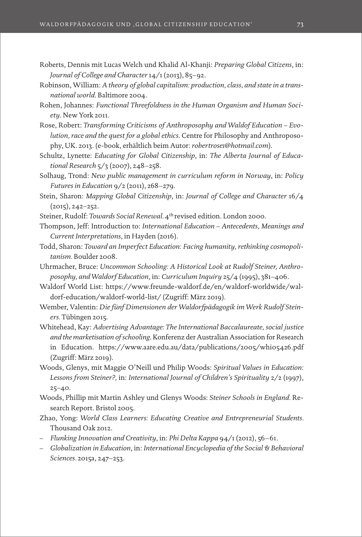- Roberts, Dennis mit Lucas Welch und Khalid Al-Khanji: *Preparing Global Citizens*, in: *Journal of College and Character* 14/1 (2013), 85–92.
- Robinson, William: *A theory of global capitalism: production, class, and state in a transnational world*. Baltimore 2004.
- Rohen, Johannes: *Functional Threefoldness in the Human Organism and Human Society*. New York 2011.
- Rose, Robert: *Transforming Criticisms of Anthroposophy and Waldof Education Evolution, race and the quest for a global ethics*. Centre for Philosophy and Anthroposophy, UK. 2013. (e-book, erhältlich beim Autor: *robertrose1@hotmail.com*).
- Schultz, Lynette: *Educating for Global Citizenship*, in: *The Alberta Journal of Educational Research* 5/3 (2007), 248–258.
- Solhaug, Trond: *New public management in curriculum reform in Norway*, in: *Policy Futures in Education* 9/2 (2011), 268–279*.*
- Stein, Sharon: *Mapping Global Citizenship*, in: *Journal of College and Character* 16/4 (2015), 242–252.
- Steiner, Rudolf: *Towards Social Renewal*. 4<sup>th</sup> revised edition. London 2000.
- Thompson, Jeff: Introduction to: *International Education Antecedents, Meanings and Current Interpretations*, in Hayden (2016).
- Todd, Sharon: *Toward an Imperfect Education: Facing humanity, rethinking cosmopolitanism.* Boulder 2008.
- Uhrmacher, Bruce: *Uncommon Schooling: A Historical Look at Rudolf Steiner, Anthroposophy, and Waldorf Education*, in: *Curriculum Inquiry* 25/4 (1995), 381–406.
- Waldorf World List: [https://www.freunde-waldorf.de/en/waldorf-worldwide/wal](https://www.freunde-waldorf.de/en/waldorf-worldwide/waldorf-education/waldorf-world-list/)[dorf-education/waldorf-world-list/](https://www.freunde-waldorf.de/en/waldorf-worldwide/waldorf-education/waldorf-world-list/) (Zugriff: März 2019).
- Wember, Valentin: *Die fünf Dimensionen der Waldorfpädagogik im Werk Rudolf Steiners.* Tübingen 2015.
- Whitehead, Kay: *Advertising Advantage: The International Baccalaureate, social justice and the marketisation of schooling*. Konferenz der Australian Association for Research in Education. <https://www.aare.edu.au/data/publications/2005/whi05426.pdf> (Zugriff: März 2019).
- Woods, Glenys, mit Maggie O'Neill und Philip Woods: *Spiritual Values in Education: Lessons from Steiner?,* in: *International Journal of Children's Spirituality* 2/2 (1997), 25–40.
- Woods, Phillip mit Martin Ashley und Glenys Woods: *Steiner Schools in England.* Research Report. Bristol 2005.
- Zhao, Yong: *World Class Learners: Educating Creative and Entrepreneurial Students.* Thousand Oak 2012.
- *Flunking Innovation and Creativity*, in: *Phi Delta Kappa* 94/1 (2012), 56–61.
- *Globalization in Education*, in: *International Encyclopedia of the Social & Behavioral Sciences.* 2015a, 247–253.